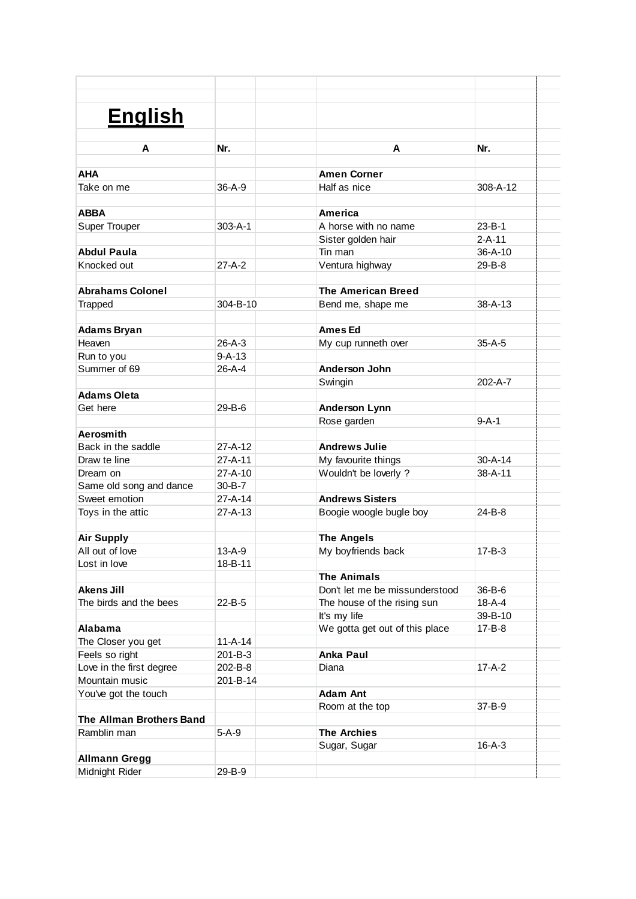| <b>English</b>           |               |                                                      |                               |  |
|--------------------------|---------------|------------------------------------------------------|-------------------------------|--|
|                          |               |                                                      |                               |  |
| A                        | Nr.           | A                                                    | Nr.                           |  |
|                          |               |                                                      |                               |  |
| <b>AHA</b>               |               | <b>Amen Corner</b>                                   |                               |  |
| Take on me               | $36 - A - 9$  | Half as nice                                         | 308-A-12                      |  |
|                          |               |                                                      |                               |  |
| <b>ABBA</b>              |               | America                                              |                               |  |
| <b>Super Trouper</b>     | $303 - A - 1$ | A horse with no name                                 | $23 - B - 1$                  |  |
| <b>Abdul Paula</b>       |               | Sister golden hair<br>Tin man                        | $2 - A - 11$<br>$36 - A - 10$ |  |
| Knocked out              | $27-A-2$      | Ventura highway                                      | 29-B-8                        |  |
|                          |               |                                                      |                               |  |
| <b>Abrahams Colonel</b>  |               | <b>The American Breed</b>                            |                               |  |
| Trapped                  | 304-B-10      | Bend me, shape me                                    | $38 - A - 13$                 |  |
|                          |               |                                                      |                               |  |
| <b>Adams Bryan</b>       |               | <b>Ames Ed</b>                                       |                               |  |
| Heaven                   | $26 - A - 3$  | My cup runneth over                                  | $35-A-5$                      |  |
| Run to you               | $9 - A - 13$  |                                                      |                               |  |
| Summer of 69             | 26-A-4        | Anderson John                                        |                               |  |
|                          |               | Swingin                                              | 202-A-7                       |  |
| <b>Adams Oleta</b>       |               |                                                      |                               |  |
| Get here                 | $29 - B - 6$  | <b>Anderson Lynn</b>                                 |                               |  |
|                          |               | Rose garden                                          | $9 - A - 1$                   |  |
| Aerosmith                |               |                                                      |                               |  |
| Back in the saddle       | $27 - A - 12$ | <b>Andrews Julie</b>                                 |                               |  |
| Draw te line             | $27 - A - 11$ | My favourite things                                  | $30 - A - 14$                 |  |
| Dream on                 | $27 - A - 10$ | Wouldn't be loverly ?                                | $38 - A - 11$                 |  |
| Same old song and dance  | $30 - B - 7$  |                                                      |                               |  |
| Sweet emotion            | $27 - A - 14$ | <b>Andrews Sisters</b>                               |                               |  |
| Toys in the attic        | $27 - A - 13$ | Boogie woogle bugle boy                              | 24-B-8                        |  |
|                          |               |                                                      |                               |  |
| <b>Air Supply</b>        |               | <b>The Angels</b>                                    |                               |  |
| All out of love          | $13 - A - 9$  | My boyfriends back                                   | $17 - B - 3$                  |  |
| Lost in love             | 18-B-11       |                                                      |                               |  |
| <b>Akens Jill</b>        |               | <b>The Animals</b><br>Don't let me be missunderstood |                               |  |
| The birds and the bees   | 22-B-5        | The house of the rising sun                          | 36-B-6<br>18-A-4              |  |
|                          |               | It's my life                                         | 39-B-10                       |  |
| Alabama                  |               | We gotta get out of this place                       | 17-B-8                        |  |
| The Closer you get       | $11 - A - 14$ |                                                      |                               |  |
| Feels so right           | 201-B-3       | <b>Anka Paul</b>                                     |                               |  |
| Love in the first degree | 202-B-8       | Diana                                                | $17-A-2$                      |  |
| Mountain music           | 201-B-14      |                                                      |                               |  |
| You've got the touch     |               | <b>Adam Ant</b>                                      |                               |  |
|                          |               | Room at the top                                      | 37-B-9                        |  |
| The Allman Brothers Band |               |                                                      |                               |  |
| Ramblin man              | $5-A-9$       | <b>The Archies</b>                                   |                               |  |
|                          |               | Sugar, Sugar                                         | $16 - A - 3$                  |  |
| <b>Allmann Gregg</b>     |               |                                                      |                               |  |
| Midnight Rider           | 29-B-9        |                                                      |                               |  |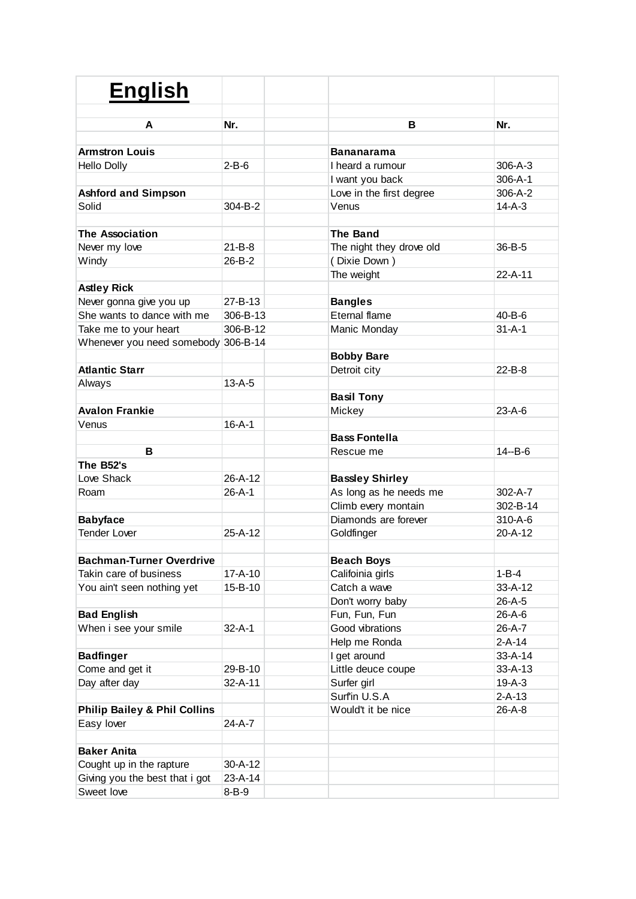| <b>English</b>                          |               |                          |               |
|-----------------------------------------|---------------|--------------------------|---------------|
| A                                       | Nr.           | в                        | Nr.           |
| <b>Armstron Louis</b>                   |               | <b>Bananarama</b>        |               |
| <b>Hello Dolly</b>                      | $2-B-6$       | I heard a rumour         | $306 - A - 3$ |
|                                         |               | I want you back          | $306 - A - 1$ |
| <b>Ashford and Simpson</b>              |               | Love in the first degree | 306-A-2       |
| Solid                                   | 304-B-2       | Venus                    | $14 - A - 3$  |
|                                         |               |                          |               |
| <b>The Association</b>                  |               | <b>The Band</b>          |               |
| Never my love                           | $21 - B - 8$  | The night they drove old | 36-B-5        |
| Windy                                   | $26 - B - 2$  | (Dixie Down)             |               |
|                                         |               | The weight               | $22 - A - 11$ |
| <b>Astley Rick</b>                      |               |                          |               |
| Never gonna give you up                 | $27 - B - 13$ | <b>Bangles</b>           |               |
| She wants to dance with me              | 306-B-13      | Eternal flame            | $40 - B - 6$  |
| Take me to your heart                   | 306-B-12      | Manic Monday             | $31 - A - 1$  |
| Whenever you need somebody 306-B-14     |               |                          |               |
|                                         |               | <b>Bobby Bare</b>        |               |
| <b>Atlantic Starr</b>                   |               | Detroit city             | $22 - B - 8$  |
| Always                                  | $13 - A - 5$  |                          |               |
|                                         |               | <b>Basil Tony</b>        |               |
| <b>Avalon Frankie</b>                   |               | Mickey                   | $23 - A - 6$  |
| Venus                                   | $16 - A - 1$  |                          |               |
|                                         |               | <b>Bass Fontella</b>     |               |
| в                                       |               | Rescue me                | $14 - B - 6$  |
| The B52's                               |               |                          |               |
| Love Shack                              | $26 - A - 12$ | <b>Bassley Shirley</b>   |               |
| Roam                                    | $26 - A - 1$  | As long as he needs me   | $302 - A - 7$ |
|                                         |               | Climb every montain      | 302-B-14      |
| <b>Babyface</b>                         |               | Diamonds are forever     | 310-A-6       |
| <b>Tender Lover</b>                     | $25 - A - 12$ | Goldfinger               | 20-A-12       |
| <b>Bachman-Turner Overdrive</b>         |               | <b>Beach Boys</b>        |               |
| Takin care of business                  | $17 - A - 10$ | Califoinia girls         | $1 - B - 4$   |
| You ain't seen nothing yet              | 15-B-10       | Catch a wave             | 33-A-12       |
|                                         |               | Don't worry baby         | 26-A-5        |
| <b>Bad English</b>                      |               | Fun, Fun, Fun            | 26-A-6        |
| When i see your smile                   | $32 - A - 1$  | Good vibrations          | 26-A-7        |
|                                         |               | Help me Ronda            | $2 - A - 14$  |
| <b>Badfinger</b>                        |               | I get around             | $33 - A - 14$ |
| Come and get it                         | 29-B-10       | Little deuce coupe       | $33 - A - 13$ |
| Day after day                           | $32 - A - 11$ | Surfer girl              | $19-A-3$      |
|                                         |               | Surfin U.S.A             | $2-A-13$      |
| <b>Philip Bailey &amp; Phil Collins</b> |               | Would't it be nice       | 26-A-8        |
| Easy lover                              | 24-A-7        |                          |               |
|                                         |               |                          |               |
| <b>Baker Anita</b>                      |               |                          |               |
| Cought up in the rapture                | 30-A-12       |                          |               |
| Giving you the best that i got          | 23-A-14       |                          |               |
| Sweet love                              | $8 - B - 9$   |                          |               |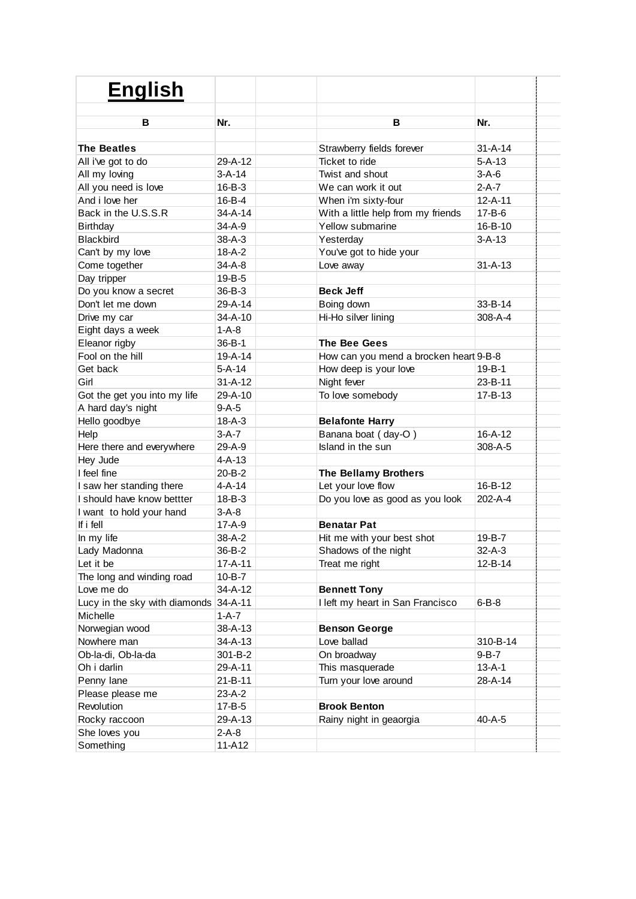| в<br>Nr.<br>В<br>Nr.<br><b>The Beatles</b><br>$31 - A - 14$<br>Strawberry fields forever          |  |
|---------------------------------------------------------------------------------------------------|--|
|                                                                                                   |  |
|                                                                                                   |  |
| $5 - A - 13$<br>All i've got to do<br>29-A-12<br>Ticket to ride                                   |  |
| All my loving<br>$3-A-14$<br>$3-A-6$<br>Twist and shout                                           |  |
| All you need is love<br>$2-A-7$<br>$16 - B - 3$<br>We can work it out                             |  |
| And i love her<br>16-B-4<br>$12 - A - 11$<br>When i'm sixty-four                                  |  |
| Back in the U.S.S.R<br>$34 - A - 14$<br>With a little help from my friends<br>$17 - B - 6$        |  |
| $34-A-9$<br>Yellow submarine<br>16-B-10<br><b>Birthday</b>                                        |  |
| $3 - A - 13$<br><b>Blackbird</b><br>$38 - A - 3$<br>Yesterday                                     |  |
| You've got to hide your<br>Can't by my love<br>$18 - A - 2$                                       |  |
| Come together<br>$31 - A - 13$<br>$34-A-8$<br>Love away                                           |  |
| Day tripper<br>19-B-5                                                                             |  |
| Do you know a secret<br>$36 - B - 3$<br><b>Beck Jeff</b>                                          |  |
| Don't let me down<br>33-B-14<br>29-A-14<br>Boing down                                             |  |
| Hi-Ho silver lining<br>Drive my car<br>34-A-10<br>308-A-4                                         |  |
| Eight days a week<br>$1 - A - 8$                                                                  |  |
| Eleanor rigby<br>$36 - B - 1$<br><b>The Bee Gees</b>                                              |  |
| Fool on the hill<br>$19 - A - 14$<br>How can you mend a brocken heart 9-B-8                       |  |
| $5 - A - 14$<br>Get back<br>How deep is your love<br>$19 - B - 1$                                 |  |
| $31 - A - 12$<br>23-B-11<br>Girl<br>Night fever                                                   |  |
| Got the get you into my life<br>29-A-10<br>To love somebody<br>17-B-13                            |  |
| A hard day's night<br>$9-A-5$                                                                     |  |
| Hello goodbye<br><b>Belafonte Harry</b><br>$18 - A - 3$                                           |  |
| Help<br>Banana boat (day-O)<br>$16 - A - 12$<br>$3-A-7$                                           |  |
| 29-A-9<br>Island in the sun<br>Here there and everywhere<br>308-A-5                               |  |
| Hey Jude<br>$4 - A - 13$                                                                          |  |
| I feel fine<br>20-B-2<br><b>The Bellamy Brothers</b>                                              |  |
| Let your love flow<br>16-B-12<br>I saw her standing there<br>$4 - A - 14$                         |  |
| I should have know bettter<br>$18 - B - 3$<br>Do you love as good as you look<br>202-A-4          |  |
| I want to hold your hand<br>$3-A-8$                                                               |  |
| If i fell<br>$17 - A - 9$<br><b>Benatar Pat</b>                                                   |  |
| In my life<br>38-A-2<br>Hit me with your best shot<br>19-B-7                                      |  |
| Lady Madonna<br>36-B-2<br>Shadows of the night<br>$32 - A - 3$                                    |  |
| $17 - A - 11$<br>Treat me right<br>12-B-14<br>Let it be                                           |  |
| $10 - B - 7$<br>The long and winding road                                                         |  |
| Love me do<br>34-A-12<br><b>Bennett Tony</b>                                                      |  |
| Lucy in the sky with diamonds<br>I left my heart in San Francisco<br>$34 - A - 11$<br>$6 - B - 8$ |  |
| Michelle<br>1-A-7                                                                                 |  |
| Norwegian wood<br>$38 - A - 13$<br><b>Benson George</b>                                           |  |
| Nowhere man<br>Love ballad<br>34-A-13<br>310-B-14                                                 |  |
| Ob-la-di, Ob-la-da<br>On broadway<br>$9 - B - 7$<br>301-B-2                                       |  |
| This masquerade<br>$13 - A - 1$<br>Oh i darlin<br>29-A-11                                         |  |
| Penny lane<br>$21 - B - 11$<br>Turn your love around<br>28-A-14                                   |  |
| Please please me<br>23-A-2                                                                        |  |
| <b>Brook Benton</b><br>Revolution<br>$17 - B - 5$                                                 |  |
| 29-A-13<br>Rainy night in geaorgia<br>40-A-5<br>Rocky raccoon                                     |  |
| She loves you<br>$2-A-8$                                                                          |  |
| Something<br>11-A12                                                                               |  |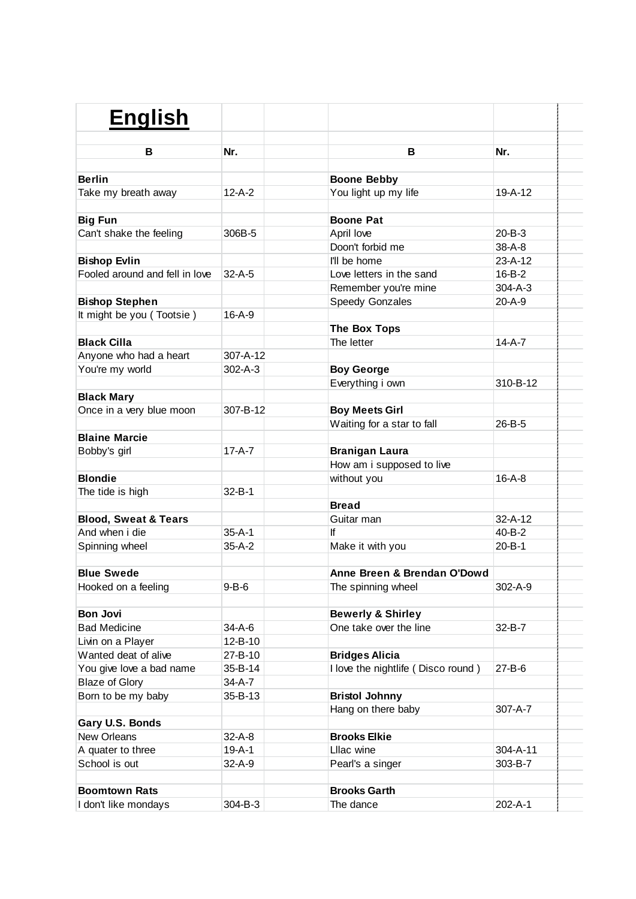| <b>English</b>                  |               |                                    |               |  |
|---------------------------------|---------------|------------------------------------|---------------|--|
| В                               | Nr.           | в                                  | Nr.           |  |
| <b>Berlin</b>                   |               | <b>Boone Bebby</b>                 |               |  |
| Take my breath away             | $12 - A - 2$  | You light up my life               | 19-A-12       |  |
| <b>Big Fun</b>                  |               | <b>Boone Pat</b>                   |               |  |
| Can't shake the feeling         | 306B-5        | April love                         | $20 - B - 3$  |  |
|                                 |               | Doon't forbid me                   | $38 - A - 8$  |  |
| <b>Bishop Evlin</b>             |               | I'll be home                       | $23 - A - 12$ |  |
| Fooled around and fell in love  | $32 - A - 5$  | Love letters in the sand           | $16 - B - 2$  |  |
|                                 |               | Remember you're mine               | $304 - A - 3$ |  |
| <b>Bishop Stephen</b>           |               | Speedy Gonzales                    | $20 - A - 9$  |  |
| It might be you (Tootsie)       | $16 - A - 9$  |                                    |               |  |
|                                 |               | The Box Tops                       |               |  |
| <b>Black Cilla</b>              |               | The letter                         | $14-A-7$      |  |
| Anyone who had a heart          | 307-A-12      |                                    |               |  |
| You're my world                 | $302 - A - 3$ | <b>Boy George</b>                  |               |  |
|                                 |               | Everything i own                   | 310-B-12      |  |
| <b>Black Mary</b>               |               |                                    |               |  |
| Once in a very blue moon        | 307-B-12      | <b>Boy Meets Girl</b>              |               |  |
|                                 |               | Waiting for a star to fall         | 26-B-5        |  |
| <b>Blaine Marcie</b>            |               |                                    |               |  |
| Bobby's girl                    | $17 - A - 7$  | <b>Branigan Laura</b>              |               |  |
|                                 |               | How am i supposed to live          |               |  |
| <b>Blondie</b>                  |               | without you                        | $16 - A - 8$  |  |
| The tide is high                | $32 - B - 1$  |                                    |               |  |
|                                 |               | <b>Bread</b>                       |               |  |
| <b>Blood, Sweat &amp; Tears</b> |               | Guitar man                         | $32 - A - 12$ |  |
| And when i die                  | $35 - A - 1$  | ١f                                 | 40-B-2        |  |
| Spinning wheel                  | $35-A-2$      | Make it with you                   | $20 - B - 1$  |  |
|                                 |               |                                    |               |  |
| <b>Blue Swede</b>               |               | Anne Breen & Brendan O'Dowd        |               |  |
| Hooked on a feeling             | $9 - B - 6$   | The spinning wheel                 | 302-A-9       |  |
|                                 |               |                                    |               |  |
| <b>Bon Jovi</b>                 |               | <b>Bewerly &amp; Shirley</b>       |               |  |
| <b>Bad Medicine</b>             | 34-A-6        | One take over the line             | 32-B-7        |  |
| Livin on a Player               | $12 - B - 10$ |                                    |               |  |
| Wanted deat of alive            | 27-B-10       | <b>Bridges Alicia</b>              |               |  |
| You give love a bad name        | 35-B-14       | I love the nightlife (Disco round) | 27-B-6        |  |
| <b>Blaze of Glory</b>           | 34-A-7        |                                    |               |  |
| Born to be my baby              | 35-B-13       | <b>Bristol Johnny</b>              |               |  |
|                                 |               | Hang on there baby                 | 307-A-7       |  |
| Gary U.S. Bonds                 |               |                                    |               |  |
| <b>New Orleans</b>              | $32-A-8$      | <b>Brooks Elkie</b>                |               |  |
| A quater to three               | 19-A-1        | Lllac wine                         | 304-A-11      |  |
| School is out                   | 32-A-9        | Pearl's a singer                   | 303-B-7       |  |
| <b>Boomtown Rats</b>            |               | <b>Brooks Garth</b>                |               |  |
| I don't like mondays            | 304-B-3       | The dance                          | 202-A-1       |  |
|                                 |               |                                    |               |  |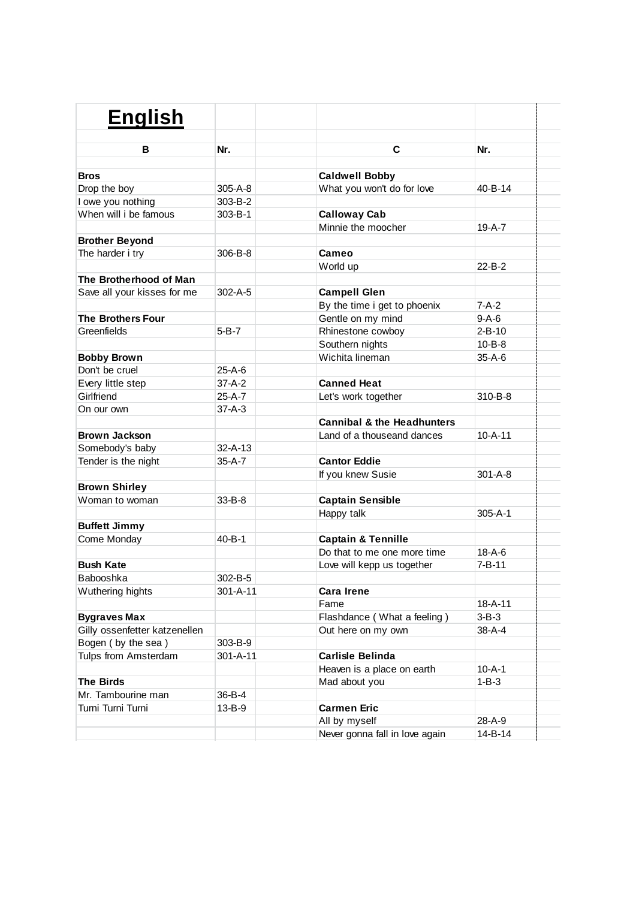| <b>English</b>                |               |                                       |               |
|-------------------------------|---------------|---------------------------------------|---------------|
|                               |               |                                       |               |
| в                             | Nr.           | C                                     | Nr.           |
| <b>Bros</b>                   |               | <b>Caldwell Bobby</b>                 |               |
| Drop the boy                  | $305 - A - 8$ | What you won't do for love            | $40 - B - 14$ |
| I owe you nothing             | 303-B-2       |                                       |               |
| When will i be famous         | 303-B-1       | <b>Calloway Cab</b>                   |               |
|                               |               | Minnie the moocher                    | $19 - A - 7$  |
| <b>Brother Beyond</b>         |               |                                       |               |
| The harder i try              | 306-B-8       | Cameo                                 |               |
|                               |               | World up                              | $22 - B - 2$  |
| The Brotherhood of Man        |               |                                       |               |
| Save all your kisses for me   | $302 - A - 5$ | <b>Campell Glen</b>                   |               |
|                               |               | By the time i get to phoenix          | $7-A-2$       |
| <b>The Brothers Four</b>      |               | Gentle on my mind                     | $9-A-6$       |
| Greenfields                   | 5-B-7         | Rhinestone cowboy                     | $2 - B - 10$  |
|                               |               | Southern nights                       | $10 - B - 8$  |
| <b>Bobby Brown</b>            |               | Wichita lineman                       | $35-A-6$      |
| Don't be cruel                | $25-A-6$      |                                       |               |
| Every little step             | $37-A-2$      | <b>Canned Heat</b>                    |               |
| Girlfriend                    | 25-A-7        | Let's work together                   | $310 - B - 8$ |
| On our own                    | $37 - A - 3$  |                                       |               |
|                               |               | <b>Cannibal &amp; the Headhunters</b> |               |
| <b>Brown Jackson</b>          |               | Land of a thouseand dances            | $10 - A - 11$ |
| Somebody's baby               | $32 - A - 13$ |                                       |               |
| Tender is the night           | 35-A-7        | <b>Cantor Eddie</b>                   |               |
|                               |               | If you knew Susie                     | $301 - A - 8$ |
| <b>Brown Shirley</b>          |               |                                       |               |
| Woman to woman                | 33-B-8        | <b>Captain Sensible</b>               |               |
|                               |               | Happy talk                            | $305 - A - 1$ |
| <b>Buffett Jimmy</b>          |               |                                       |               |
| Come Monday                   | $40 - B - 1$  | <b>Captain &amp; Tennille</b>         |               |
|                               |               | Do that to me one more time           | $18 - A - 6$  |
| <b>Bush Kate</b>              |               | Love will kepp us together            | $7 - B - 11$  |
| Babooshka                     | 302-B-5       |                                       |               |
| Wuthering hights              | 301-A-11      | <b>Cara Irene</b>                     |               |
|                               |               | Fame                                  | $18 - A - 11$ |
| <b>Bygraves Max</b>           |               | Flashdance (What a feeling)           | $3-B-3$       |
| Gilly ossenfetter katzenellen |               | Out here on my own                    | 38-A-4        |
| Bogen (by the sea)            | 303-B-9       |                                       |               |
| Tulps from Amsterdam          | 301-A-11      | <b>Carlisle Belinda</b>               |               |
|                               |               | Heaven is a place on earth            | $10 - A - 1$  |
| <b>The Birds</b>              |               | Mad about you                         | $1 - B - 3$   |
| Mr. Tambourine man            | 36-B-4        |                                       |               |
| Turni Turni Turni             | 13-B-9        | <b>Carmen Eric</b>                    |               |
|                               |               | All by myself                         | 28-A-9        |
|                               |               | Never gonna fall in love again        | 14-B-14       |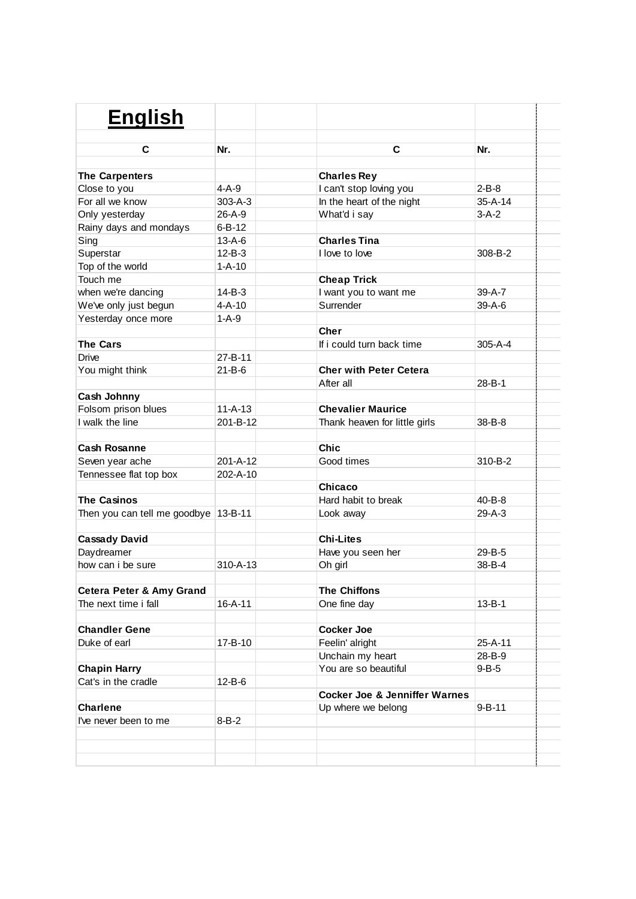| <b>English</b>                       |                |                                          |               |
|--------------------------------------|----------------|------------------------------------------|---------------|
|                                      |                |                                          |               |
| C                                    | Nr.            | C                                        | Nr.           |
|                                      |                |                                          |               |
| <b>The Carpenters</b>                | $4-A-9$        | <b>Charles Rey</b>                       | $2 - B - 8$   |
| Close to you                         |                | I can't stop loving you                  |               |
| For all we know                      | $303 - A - 3$  | In the heart of the night                | $35 - A - 14$ |
| Only yesterday                       | 26-A-9         | What'd i say                             | $3-A-2$       |
| Rainy days and mondays               | $6 - B - 12$   |                                          |               |
| Sing                                 | $13 - A - 6$   | <b>Charles Tina</b>                      |               |
| Superstar                            | $12 - B - 3$   | I love to love                           | 308-B-2       |
| Top of the world                     | $1 - A - 10$   |                                          |               |
| Touch me                             |                | <b>Cheap Trick</b>                       |               |
| when we're dancing                   | $14 - B - 3$   | I want you to want me                    | 39-A-7        |
| We've only just begun                | $4 - A - 10$   | Surrender                                | $39-A-6$      |
| Yesterday once more                  | $1-A-9$        |                                          |               |
|                                      |                | <b>Cher</b>                              |               |
| The Cars                             |                | If i could turn back time                | $305 - A - 4$ |
| <b>Drive</b>                         | 27-B-11        |                                          |               |
| You might think                      | $21 - B - 6$   | <b>Cher with Peter Cetera</b>            |               |
|                                      |                | After all                                | 28-B-1        |
| Cash Johnny                          |                |                                          |               |
| Folsom prison blues                  | $11 - A - 13$  | <b>Chevalier Maurice</b>                 |               |
| I walk the line                      | 201-B-12       | Thank heaven for little girls            | $38 - B - 8$  |
|                                      |                |                                          |               |
| <b>Cash Rosanne</b>                  |                | <b>Chic</b>                              |               |
| Seven year ache                      | $201 - A - 12$ | Good times                               | 310-B-2       |
| Tennessee flat top box               | 202-A-10       |                                          |               |
|                                      |                | Chicaco                                  |               |
| <b>The Casinos</b>                   |                | Hard habit to break                      | $40 - B - 8$  |
| Then you can tell me goodbye 13-B-11 |                | Look away                                | $29-A-3$      |
|                                      |                |                                          |               |
| <b>Cassady David</b>                 |                | <b>Chi-Lites</b>                         |               |
| Daydreamer                           |                | Have you seen her                        | 29-B-5        |
| how can i be sure                    | 310-A-13       | Oh girl                                  | $38 - B - 4$  |
|                                      |                |                                          |               |
| Cetera Peter & Amy Grand             |                | <b>The Chiffons</b>                      |               |
| The next time i fall                 | $16 - A - 11$  | One fine day                             | $13 - B - 1$  |
|                                      |                |                                          |               |
| <b>Chandler Gene</b>                 |                | <b>Cocker Joe</b>                        |               |
| Duke of earl                         | 17-B-10        | Feelin' alright                          | 25-A-11       |
|                                      |                |                                          | 28-B-9        |
|                                      |                | Unchain my heart                         |               |
| <b>Chapin Harry</b>                  |                | You are so beautiful                     | $9 - B - 5$   |
| Cat's in the cradle                  | $12 - B - 6$   |                                          |               |
|                                      |                | <b>Cocker Joe &amp; Jenniffer Warnes</b> |               |
| <b>Charlene</b>                      |                | Up where we belong                       | $9 - B - 11$  |
| I've never been to me                | $8 - B - 2$    |                                          |               |
|                                      |                |                                          |               |
|                                      |                |                                          |               |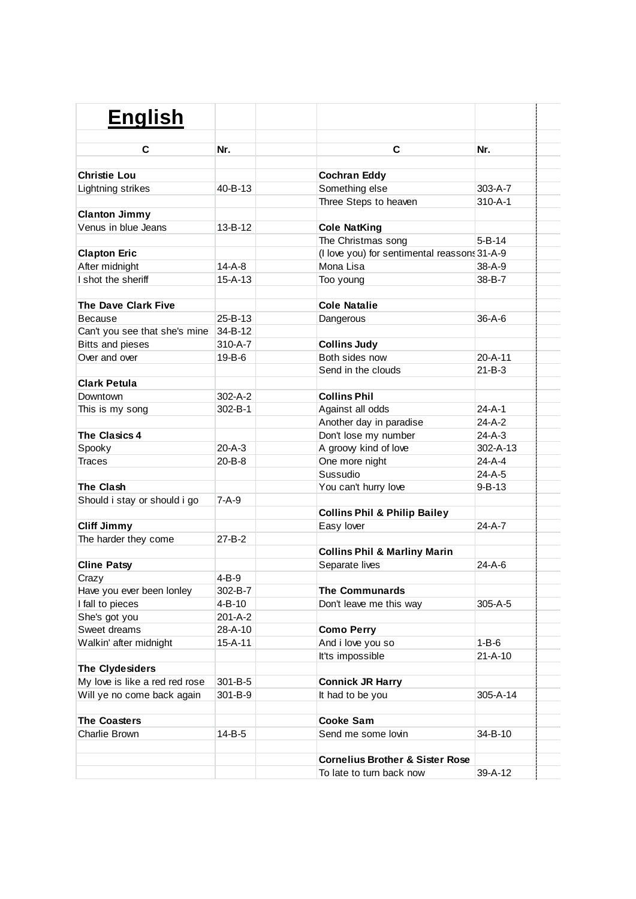| <b>English</b>                 | C<br>C<br>Nr.<br>Nr.<br><b>Cochran Eddy</b><br>303-A-7<br>40-B-13<br>Something else<br>Three Steps to heaven<br>$310 - A - 1$<br>$13 - B - 12$<br><b>Cole NatKing</b><br>$5 - B - 14$<br>The Christmas song<br>(I love you) for sentimental reassons 31-A-9<br>$14-A-8$<br>Mona Lisa<br>$38 - A - 9$<br>$15 - A - 13$<br>38-B-7<br>Too young<br><b>Cole Natalie</b><br>$25 - B - 13$<br>$36 - A - 6$<br>Dangerous<br>Can't you see that she's mine<br>34-B-12<br><b>Bitts and pieses</b><br>$310 - A - 7$<br><b>Collins Judy</b><br>Both sides now<br>$20 - A - 11$<br>19-B-6<br>Send in the clouds<br>$21 - B - 3$<br>$302 - A - 2$<br><b>Collins Phil</b><br>$24-A-1$<br>$302 - B - 1$<br>Against all odds |                                            |               |  |
|--------------------------------|--------------------------------------------------------------------------------------------------------------------------------------------------------------------------------------------------------------------------------------------------------------------------------------------------------------------------------------------------------------------------------------------------------------------------------------------------------------------------------------------------------------------------------------------------------------------------------------------------------------------------------------------------------------------------------------------------------------|--------------------------------------------|---------------|--|
|                                |                                                                                                                                                                                                                                                                                                                                                                                                                                                                                                                                                                                                                                                                                                              |                                            |               |  |
|                                |                                                                                                                                                                                                                                                                                                                                                                                                                                                                                                                                                                                                                                                                                                              |                                            |               |  |
| <b>Christie Lou</b>            |                                                                                                                                                                                                                                                                                                                                                                                                                                                                                                                                                                                                                                                                                                              |                                            |               |  |
| Lightning strikes              |                                                                                                                                                                                                                                                                                                                                                                                                                                                                                                                                                                                                                                                                                                              |                                            |               |  |
|                                |                                                                                                                                                                                                                                                                                                                                                                                                                                                                                                                                                                                                                                                                                                              |                                            |               |  |
| <b>Clanton Jimmy</b>           |                                                                                                                                                                                                                                                                                                                                                                                                                                                                                                                                                                                                                                                                                                              |                                            |               |  |
| Venus in blue Jeans            |                                                                                                                                                                                                                                                                                                                                                                                                                                                                                                                                                                                                                                                                                                              |                                            |               |  |
|                                |                                                                                                                                                                                                                                                                                                                                                                                                                                                                                                                                                                                                                                                                                                              |                                            |               |  |
| <b>Clapton Eric</b>            |                                                                                                                                                                                                                                                                                                                                                                                                                                                                                                                                                                                                                                                                                                              |                                            |               |  |
| After midnight                 |                                                                                                                                                                                                                                                                                                                                                                                                                                                                                                                                                                                                                                                                                                              |                                            |               |  |
| I shot the sheriff             |                                                                                                                                                                                                                                                                                                                                                                                                                                                                                                                                                                                                                                                                                                              |                                            |               |  |
| <b>The Dave Clark Five</b>     |                                                                                                                                                                                                                                                                                                                                                                                                                                                                                                                                                                                                                                                                                                              |                                            |               |  |
| Because                        |                                                                                                                                                                                                                                                                                                                                                                                                                                                                                                                                                                                                                                                                                                              |                                            |               |  |
|                                |                                                                                                                                                                                                                                                                                                                                                                                                                                                                                                                                                                                                                                                                                                              |                                            |               |  |
|                                |                                                                                                                                                                                                                                                                                                                                                                                                                                                                                                                                                                                                                                                                                                              |                                            |               |  |
| Over and over                  |                                                                                                                                                                                                                                                                                                                                                                                                                                                                                                                                                                                                                                                                                                              |                                            |               |  |
|                                |                                                                                                                                                                                                                                                                                                                                                                                                                                                                                                                                                                                                                                                                                                              |                                            |               |  |
| <b>Clark Petula</b>            |                                                                                                                                                                                                                                                                                                                                                                                                                                                                                                                                                                                                                                                                                                              |                                            |               |  |
| Downtown                       |                                                                                                                                                                                                                                                                                                                                                                                                                                                                                                                                                                                                                                                                                                              |                                            |               |  |
| This is my song                |                                                                                                                                                                                                                                                                                                                                                                                                                                                                                                                                                                                                                                                                                                              |                                            |               |  |
|                                |                                                                                                                                                                                                                                                                                                                                                                                                                                                                                                                                                                                                                                                                                                              | Another day in paradise                    | 24-A-2        |  |
| <b>The Clasics 4</b>           |                                                                                                                                                                                                                                                                                                                                                                                                                                                                                                                                                                                                                                                                                                              | Don't lose my number                       | $24-A-3$      |  |
| Spooky                         | $20 - A - 3$                                                                                                                                                                                                                                                                                                                                                                                                                                                                                                                                                                                                                                                                                                 | A groovy kind of love                      | 302-A-13      |  |
| <b>Traces</b>                  | $20 - B - 8$                                                                                                                                                                                                                                                                                                                                                                                                                                                                                                                                                                                                                                                                                                 | One more night                             | $24-A-4$      |  |
|                                |                                                                                                                                                                                                                                                                                                                                                                                                                                                                                                                                                                                                                                                                                                              | Sussudio                                   | 24-A-5        |  |
| The Clash                      |                                                                                                                                                                                                                                                                                                                                                                                                                                                                                                                                                                                                                                                                                                              | You can't hurry love                       | $9 - B - 13$  |  |
| Should i stay or should i go   | $7-A-9$                                                                                                                                                                                                                                                                                                                                                                                                                                                                                                                                                                                                                                                                                                      |                                            |               |  |
|                                |                                                                                                                                                                                                                                                                                                                                                                                                                                                                                                                                                                                                                                                                                                              | <b>Collins Phil &amp; Philip Bailey</b>    |               |  |
| <b>Cliff Jimmy</b>             |                                                                                                                                                                                                                                                                                                                                                                                                                                                                                                                                                                                                                                                                                                              | Easy lover                                 | 24-A-7        |  |
| The harder they come           | $27 - B - 2$                                                                                                                                                                                                                                                                                                                                                                                                                                                                                                                                                                                                                                                                                                 |                                            |               |  |
|                                |                                                                                                                                                                                                                                                                                                                                                                                                                                                                                                                                                                                                                                                                                                              | <b>Collins Phil &amp; Marliny Marin</b>    |               |  |
| <b>Cline Patsy</b>             |                                                                                                                                                                                                                                                                                                                                                                                                                                                                                                                                                                                                                                                                                                              | Separate lives                             | $24 - A - 6$  |  |
| Crazy                          | $4 - B - 9$                                                                                                                                                                                                                                                                                                                                                                                                                                                                                                                                                                                                                                                                                                  |                                            |               |  |
| Have you ever been lonley      | 302-B-7                                                                                                                                                                                                                                                                                                                                                                                                                                                                                                                                                                                                                                                                                                      | <b>The Communards</b>                      |               |  |
| I fall to pieces               | 4-B-10                                                                                                                                                                                                                                                                                                                                                                                                                                                                                                                                                                                                                                                                                                       | Don't leave me this way                    | 305-A-5       |  |
| She's got you                  | 201-A-2                                                                                                                                                                                                                                                                                                                                                                                                                                                                                                                                                                                                                                                                                                      |                                            |               |  |
| Sweet dreams                   | 28-A-10                                                                                                                                                                                                                                                                                                                                                                                                                                                                                                                                                                                                                                                                                                      | <b>Como Perry</b>                          |               |  |
| Walkin' after midnight         | 15-A-11                                                                                                                                                                                                                                                                                                                                                                                                                                                                                                                                                                                                                                                                                                      | And i love you so                          | $1 - B - 6$   |  |
|                                |                                                                                                                                                                                                                                                                                                                                                                                                                                                                                                                                                                                                                                                                                                              | It'ts impossible                           | $21 - A - 10$ |  |
| The Clydesiders                |                                                                                                                                                                                                                                                                                                                                                                                                                                                                                                                                                                                                                                                                                                              |                                            |               |  |
| My love is like a red red rose | 301-B-5                                                                                                                                                                                                                                                                                                                                                                                                                                                                                                                                                                                                                                                                                                      | <b>Connick JR Harry</b>                    |               |  |
| Will ye no come back again     | 301-B-9                                                                                                                                                                                                                                                                                                                                                                                                                                                                                                                                                                                                                                                                                                      | It had to be you                           | 305-A-14      |  |
|                                |                                                                                                                                                                                                                                                                                                                                                                                                                                                                                                                                                                                                                                                                                                              |                                            |               |  |
| <b>The Coasters</b>            |                                                                                                                                                                                                                                                                                                                                                                                                                                                                                                                                                                                                                                                                                                              | <b>Cooke Sam</b>                           |               |  |
| Charlie Brown                  | 14-B-5                                                                                                                                                                                                                                                                                                                                                                                                                                                                                                                                                                                                                                                                                                       | Send me some lovin                         | 34-B-10       |  |
|                                |                                                                                                                                                                                                                                                                                                                                                                                                                                                                                                                                                                                                                                                                                                              |                                            |               |  |
|                                |                                                                                                                                                                                                                                                                                                                                                                                                                                                                                                                                                                                                                                                                                                              | <b>Cornelius Brother &amp; Sister Rose</b> |               |  |
|                                |                                                                                                                                                                                                                                                                                                                                                                                                                                                                                                                                                                                                                                                                                                              | To late to turn back now                   | 39-A-12       |  |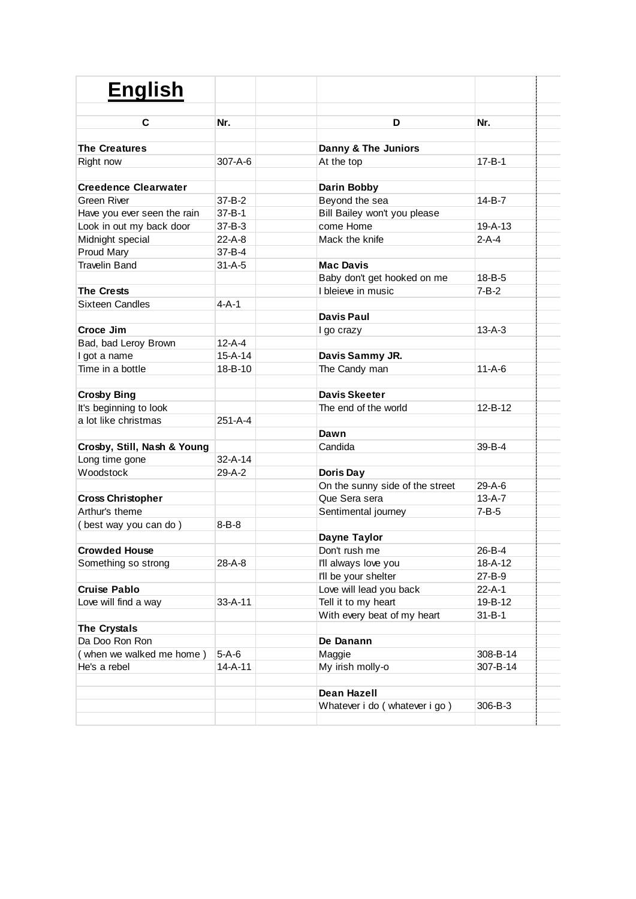| <b>English</b>              |               |                                 |               |
|-----------------------------|---------------|---------------------------------|---------------|
| C                           | Nr.           | D                               | Nr.           |
|                             |               |                                 |               |
| <b>The Creatures</b>        |               | Danny & The Juniors             |               |
| Right now                   | $307 - A - 6$ | At the top                      | 17-B-1        |
| <b>Creedence Clearwater</b> |               | Darin Bobby                     |               |
| Green River                 | $37 - B - 2$  | Beyond the sea                  | 14-B-7        |
| Have you ever seen the rain | $37 - B - 1$  | Bill Bailey won't you please    |               |
| Look in out my back door    | $37 - B - 3$  | come Home                       | $19 - A - 13$ |
| Midnight special            | $22-A-8$      | Mack the knife                  | $2-A-4$       |
| Proud Mary                  | $37 - B - 4$  |                                 |               |
| <b>Travelin Band</b>        | $31 - A - 5$  | <b>Mac Davis</b>                |               |
|                             |               | Baby don't get hooked on me     | $18 - B - 5$  |
| <b>The Crests</b>           |               | I bleieve in music              | $7 - B - 2$   |
| <b>Sixteen Candles</b>      | $4 - A - 1$   |                                 |               |
|                             |               | <b>Davis Paul</b>               |               |
| Croce Jim                   |               | I go crazy                      | $13 - A - 3$  |
| Bad, bad Leroy Brown        | $12 - A - 4$  |                                 |               |
| I got a name                | $15 - A - 14$ | Davis Sammy JR.                 |               |
| Time in a bottle            | $18 - B - 10$ | The Candy man                   | $11 - A - 6$  |
|                             |               |                                 |               |
| <b>Crosby Bing</b>          |               | Davis Skeeter                   |               |
| It's beginning to look      |               | The end of the world            | $12 - B - 12$ |
| a lot like christmas        | $251 - A - 4$ |                                 |               |
|                             |               |                                 |               |
|                             |               | Dawn                            |               |
| Crosby, Still, Nash & Young |               | Candida                         | $39 - B - 4$  |
| Long time gone              | $32 - A - 14$ |                                 |               |
| Woodstock                   | 29-A-2        | Doris Day                       |               |
|                             |               | On the sunny side of the street | 29-A-6        |
| <b>Cross Christopher</b>    |               | Que Sera sera                   | $13-A-7$      |
| Arthur's theme              |               | Sentimental journey             | $7 - B - 5$   |
| (best way you can do)       | $8 - B - 8$   |                                 |               |
|                             |               | Dayne Taylor                    |               |
| <b>Crowded House</b>        |               | Don't rush me                   | 26-B-4        |
| Something so strong         | 28-A-8        | I'll always love you            | 18-A-12       |
|                             |               | I'll be your shelter            | 27-B-9        |
| <b>Cruise Pablo</b>         |               | Love will lead you back         | $22 - A - 1$  |
| Love will find a way        | $33 - A - 11$ | Tell it to my heart             | 19-B-12       |
|                             |               | With every beat of my heart     | $31 - B - 1$  |
| The Crystals                |               |                                 |               |
| Da Doo Ron Ron              |               | De Danann                       |               |
| (when we walked me home)    | $5-A-6$       | Maggie                          | 308-B-14      |
| He's a rebel                | $14 - A - 11$ | My irish molly-o                | 307-B-14      |
|                             |               | <b>Dean Hazell</b>              |               |
|                             |               |                                 |               |
|                             |               | Whatever i do (whatever i go)   | 306-B-3       |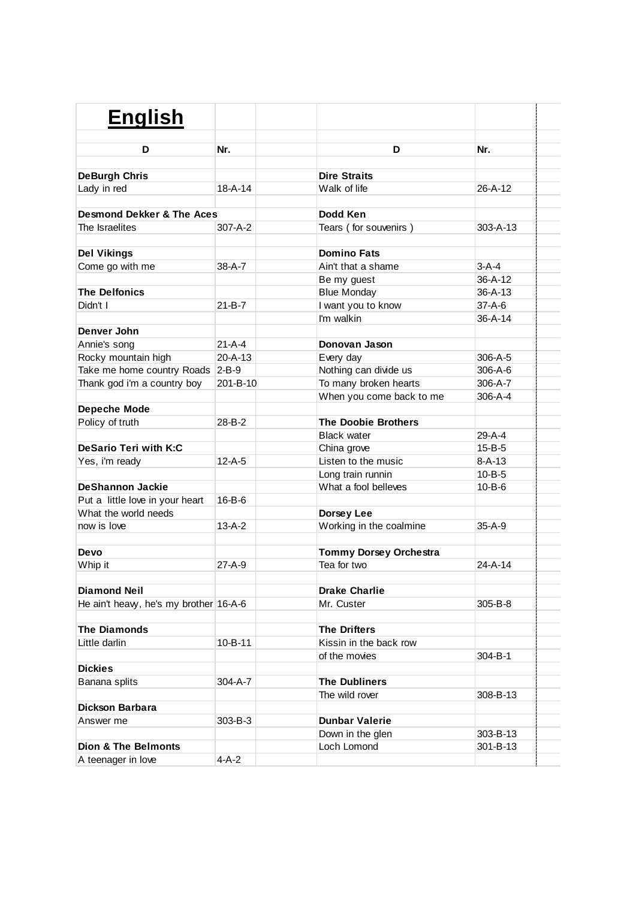| <b>English</b>                         |               |                               |               |  |
|----------------------------------------|---------------|-------------------------------|---------------|--|
| D                                      | Nr.           | D                             | Nr.           |  |
|                                        |               |                               |               |  |
| <b>DeBurgh Chris</b>                   |               | <b>Dire Straits</b>           |               |  |
| Lady in red                            | $18 - A - 14$ | Walk of life                  | $26 - A - 12$ |  |
| Desmond Dekker & The Aces              |               | Dodd Ken                      |               |  |
| The Israelites                         | 307-A-2       | Tears (for souvenirs)         | 303-A-13      |  |
|                                        |               |                               |               |  |
| <b>Del Vikings</b>                     |               | <b>Domino Fats</b>            |               |  |
| Come go with me                        | $38 - A - 7$  | Ain't that a shame            | $3-A-4$       |  |
|                                        |               | Be my guest                   | $36 - A - 12$ |  |
| <b>The Delfonics</b>                   |               | <b>Blue Monday</b>            | $36 - A - 13$ |  |
| Didn't I                               | $21 - B - 7$  | I want you to know            | $37 - A - 6$  |  |
|                                        |               | I'm walkin                    | $36 - A - 14$ |  |
| Denver John                            |               |                               |               |  |
| Annie's song                           | $21 - A - 4$  | Donovan Jason                 |               |  |
| Rocky mountain high                    | $20 - A - 13$ | Every day                     | 306-A-5       |  |
| Take me home country Roads 2-B-9       |               | Nothing can divide us         | $306 - A - 6$ |  |
| Thank god i'm a country boy            | 201-B-10      | To many broken hearts         | 306-A-7       |  |
|                                        |               | When you come back to me      | 306-A-4       |  |
| <b>Depeche Mode</b>                    |               |                               |               |  |
| Policy of truth                        | $28 - B - 2$  | <b>The Doobie Brothers</b>    |               |  |
|                                        |               | <b>Black water</b>            | 29-A-4        |  |
| DeSario Teri with K:C                  |               | China grove                   | $15 - B - 5$  |  |
| Yes, i'm ready                         | $12-A-5$      | Listen to the music           | $8 - A - 13$  |  |
|                                        |               | Long train runnin             | $10 - B - 5$  |  |
| <b>DeShannon Jackie</b>                |               | What a fool belleves          | $10 - B - 6$  |  |
| Put a little love in your heart        | $16 - B - 6$  |                               |               |  |
| What the world needs                   |               | Dorsey Lee                    |               |  |
| now is love                            | $13-A-2$      | Working in the coalmine       | $35 - A - 9$  |  |
|                                        |               |                               |               |  |
| Devo                                   |               | <b>Tommy Dorsey Orchestra</b> |               |  |
| Whip it                                | $27 - A - 9$  | Tea for two                   | $24 - A - 14$ |  |
| <b>Diamond Neil</b>                    |               | <b>Drake Charlie</b>          |               |  |
| He ain't heavy, he's my brother 16-A-6 |               | Mr. Custer                    | 305-B-8       |  |
|                                        |               |                               |               |  |
| <b>The Diamonds</b>                    |               | <b>The Drifters</b>           |               |  |
| Little darlin                          | $10 - B - 11$ | Kissin in the back row        |               |  |
|                                        |               | of the movies                 | 304-B-1       |  |
| <b>Dickies</b>                         |               |                               |               |  |
| Banana splits                          | 304-A-7       | <b>The Dubliners</b>          |               |  |
|                                        |               | The wild rover                | 308-B-13      |  |
| Dickson Barbara                        |               |                               |               |  |
| Answer me                              | 303-B-3       | <b>Dunbar Valerie</b>         |               |  |
|                                        |               | Down in the glen              | 303-B-13      |  |
| <b>Dion &amp; The Belmonts</b>         |               | Loch Lomond                   | 301-B-13      |  |
| A teenager in love                     | $4-A-2$       |                               |               |  |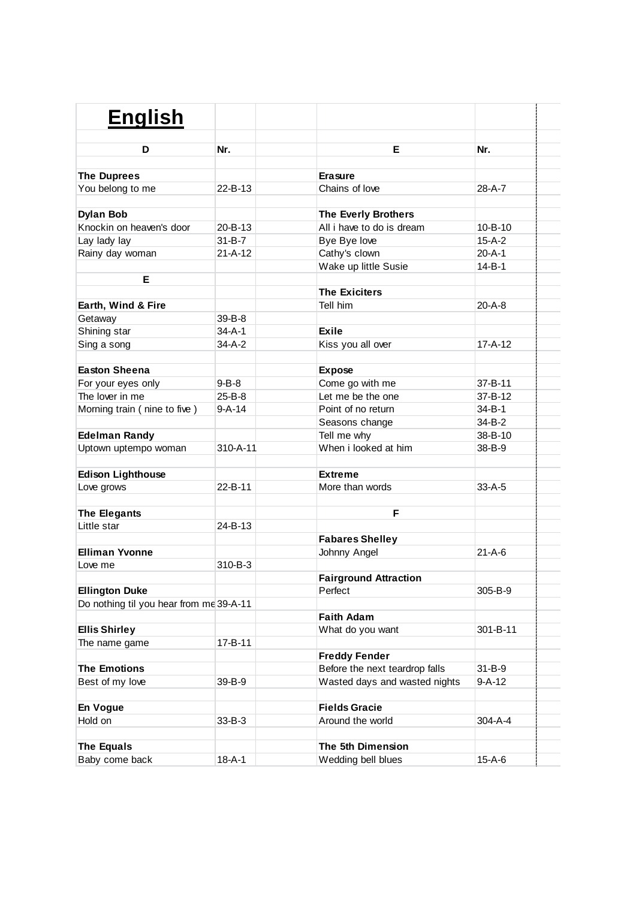| <b>English</b>                          |                |                                |               |  |
|-----------------------------------------|----------------|--------------------------------|---------------|--|
| D                                       | Nr.            | E.                             | Nr.           |  |
|                                         |                |                                |               |  |
| <b>The Duprees</b>                      |                | <b>Erasure</b>                 |               |  |
| You belong to me                        | $22 - B - 13$  | Chains of love                 | 28-A-7        |  |
|                                         |                |                                |               |  |
| <b>Dylan Bob</b>                        |                | <b>The Everly Brothers</b>     |               |  |
| Knockin on heaven's door                | 20-B-13        | All i have to do is dream      | $10 - B - 10$ |  |
| Lay lady lay                            | $31 - B - 7$   | Bye Bye love                   | $15-A-2$      |  |
| Rainy day woman                         | $21 - A - 12$  | Cathy's clown                  | $20 - A - 1$  |  |
|                                         |                | Wake up little Susie           | $14 - B - 1$  |  |
| E                                       |                |                                |               |  |
|                                         |                | <b>The Exiciters</b>           |               |  |
| Earth, Wind & Fire                      |                | Tell him                       | 20-A-8        |  |
| Getaway                                 | 39-B-8         |                                |               |  |
| Shining star                            | $34 - A - 1$   | <b>Exile</b>                   |               |  |
| Sing a song                             | 34-A-2         | Kiss you all over              | 17-A-12       |  |
|                                         |                |                                |               |  |
| <b>Easton Sheena</b>                    |                | <b>Expose</b>                  |               |  |
| For your eyes only                      | $9 - B - 8$    | Come go with me                | 37-B-11       |  |
| The lover in me                         | $25 - B - 8$   | Let me be the one              | 37-B-12       |  |
| Morning train (nine to five)            | $9-A-14$       | Point of no return             | 34-B-1        |  |
|                                         |                | Seasons change                 | 34-B-2        |  |
| <b>Edelman Randy</b>                    |                | Tell me why                    | 38-B-10       |  |
| Uptown uptempo woman                    | $310 - A - 11$ | When i looked at him           | 38-B-9        |  |
| <b>Edison Lighthouse</b>                |                | <b>Extreme</b>                 |               |  |
| Love grows                              | $22 - B - 11$  | More than words                | $33-A-5$      |  |
|                                         |                |                                |               |  |
| The Elegants                            |                | F                              |               |  |
| Little star                             | 24-B-13        |                                |               |  |
|                                         |                | <b>Fabares Shelley</b>         |               |  |
| <b>Elliman Yvonne</b>                   |                | Johnny Angel                   | $21 - A - 6$  |  |
| Love me                                 | 310-B-3        |                                |               |  |
|                                         |                | <b>Fairground Attraction</b>   |               |  |
| <b>Ellington Duke</b>                   |                | Perfect                        | 305-B-9       |  |
| Do nothing til you hear from me 39-A-11 |                |                                |               |  |
|                                         |                | <b>Faith Adam</b>              |               |  |
| <b>Ellis Shirley</b>                    |                | What do you want               | 301-B-11      |  |
| The name game                           | 17-B-11        |                                |               |  |
|                                         |                | <b>Freddy Fender</b>           |               |  |
| <b>The Emotions</b>                     |                | Before the next teardrop falls | $31 - B - 9$  |  |
| Best of my love                         | 39-B-9         | Wasted days and wasted nights  | $9 - A - 12$  |  |
|                                         |                |                                |               |  |
| En Vogue                                |                | <b>Fields Gracie</b>           |               |  |
| Hold on                                 | $33 - B - 3$   | Around the world               | $304 - A - 4$ |  |
|                                         |                |                                |               |  |
| <b>The Equals</b>                       |                | The 5th Dimension              |               |  |
| Baby come back                          | $18 - A - 1$   | Wedding bell blues             | $15 - A - 6$  |  |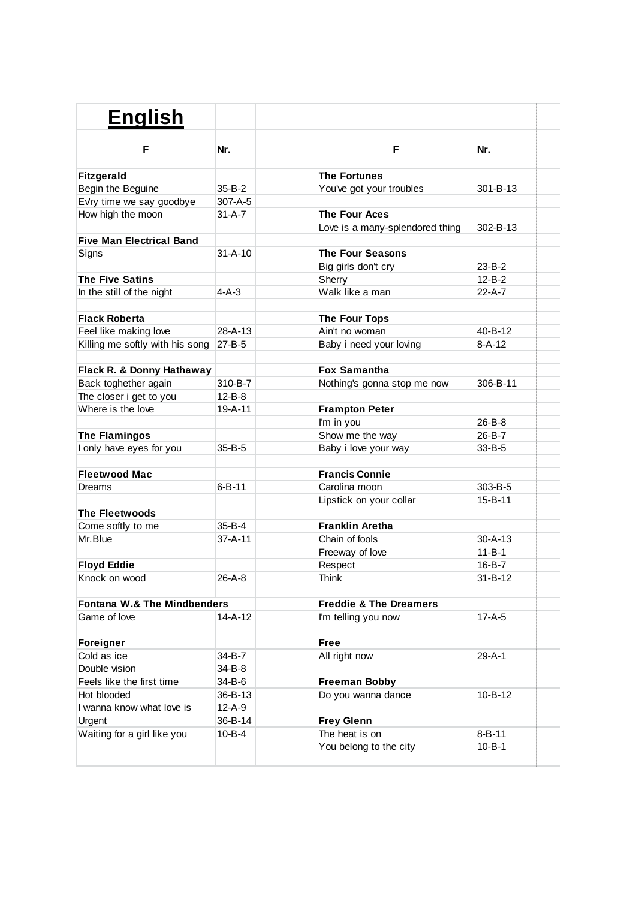| <b>English</b>                         |               |                                   |               |  |
|----------------------------------------|---------------|-----------------------------------|---------------|--|
| F                                      | Nr.           | F                                 | Nr.           |  |
|                                        |               |                                   |               |  |
| <b>Fitzgerald</b>                      |               | <b>The Fortunes</b>               |               |  |
| Begin the Beguine                      | $35 - B - 2$  | You've got your troubles          | 301-B-13      |  |
| Evry time we say goodbye               | 307-A-5       |                                   |               |  |
| How high the moon                      | $31 - A - 7$  | <b>The Four Aces</b>              |               |  |
|                                        |               | Love is a many-splendored thing   | 302-B-13      |  |
| <b>Five Man Electrical Band</b>        |               |                                   |               |  |
| Signs                                  | $31 - A - 10$ | <b>The Four Seasons</b>           |               |  |
|                                        |               | Big girls don't cry               | 23-B-2        |  |
| <b>The Five Satins</b>                 |               | Sherry                            | $12 - B - 2$  |  |
| In the still of the night              | $4-A-3$       | Walk like a man                   | 22-A-7        |  |
| <b>Flack Roberta</b>                   |               | <b>The Four Tops</b>              |               |  |
| Feel like making love                  | 28-A-13       | Ain't no woman                    | 40-B-12       |  |
| Killing me softly with his song        | $27 - B - 5$  | Baby i need your loving           | $8 - A - 12$  |  |
|                                        |               |                                   |               |  |
| Flack R. & Donny Hathaway              |               | <b>Fox Samantha</b>               |               |  |
| Back toghether again                   | 310-B-7       | Nothing's gonna stop me now       | 306-B-11      |  |
| The closer i get to you                | $12 - B - 8$  |                                   |               |  |
| Where is the love                      | $19 - A - 11$ | <b>Frampton Peter</b>             |               |  |
|                                        |               | I'm in you                        | 26-B-8        |  |
| <b>The Flamingos</b>                   |               | Show me the way                   | 26-B-7        |  |
| I only have eyes for you               | 35-B-5        | Baby i love your way              | 33-B-5        |  |
|                                        |               |                                   |               |  |
| <b>Fleetwood Mac</b>                   |               | <b>Francis Connie</b>             |               |  |
| <b>Dreams</b>                          | $6 - B - 11$  | Carolina moon                     | $303 - B - 5$ |  |
|                                        |               | Lipstick on your collar           | 15-B-11       |  |
| <b>The Fleetwoods</b>                  |               |                                   |               |  |
| Come softly to me                      | 35-B-4        | <b>Franklin Aretha</b>            |               |  |
| Mr.Blue                                | $37 - A - 11$ | Chain of fools                    | $30 - A - 13$ |  |
|                                        |               | Freeway of love                   | $11 - B - 1$  |  |
| <b>Floyd Eddie</b>                     |               | Respect                           | 16-B-7        |  |
| Knock on wood                          | 26-A-8        | Think                             | $31 - B - 12$ |  |
|                                        |               |                                   |               |  |
| <b>Fontana W.&amp; The Mindbenders</b> |               | <b>Freddie &amp; The Dreamers</b> |               |  |
| Game of love                           | $14 - A - 12$ | I'm telling you now               | $17-A-5$      |  |
| Foreigner                              |               | Free                              |               |  |
| Cold as ice                            | 34-B-7        | All right now                     | $29 - A - 1$  |  |
| Double vision                          | 34-B-8        |                                   |               |  |
| Feels like the first time              | 34-B-6        | <b>Freeman Bobby</b>              |               |  |
| Hot blooded                            | 36-B-13       | Do you wanna dance                | 10-B-12       |  |
| I wanna know what love is              | $12 - A - 9$  |                                   |               |  |
| Urgent                                 | 36-B-14       | <b>Frey Glenn</b>                 |               |  |
| Waiting for a girl like you            | $10 - B - 4$  | The heat is on                    | $8 - B - 11$  |  |
|                                        |               | You belong to the city            | $10 - B - 1$  |  |
|                                        |               |                                   |               |  |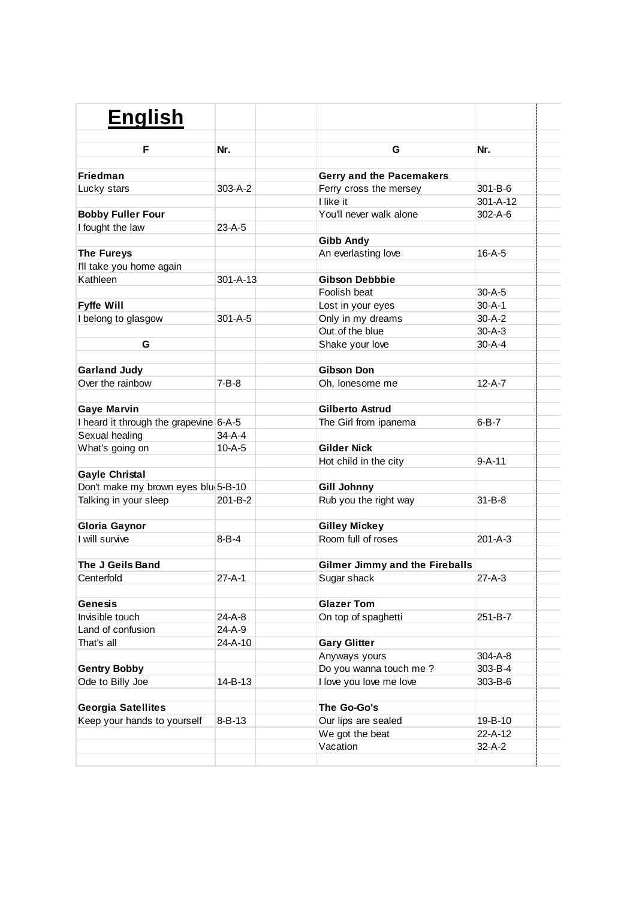| <b>English</b>                               |                |                                         |                |
|----------------------------------------------|----------------|-----------------------------------------|----------------|
|                                              |                |                                         |                |
| F                                            | Nr.            | G                                       | Nr.            |
| Friedman                                     |                |                                         |                |
|                                              | $303 - A - 2$  | Gerry and the Pacemakers                | $301 - B - 6$  |
| Lucky stars                                  |                | Ferry cross the mersey<br>I like it     | $301 - A - 12$ |
|                                              |                | You'll never walk alone                 | $302 - A - 6$  |
| <b>Bobby Fuller Four</b><br>I fought the law | $23-A-5$       |                                         |                |
|                                              |                |                                         |                |
| <b>The Fureys</b>                            |                | <b>Gibb Andy</b><br>An everlasting love | $16 - A - 5$   |
|                                              |                |                                         |                |
| I'll take you home again<br>Kathleen         | $301 - A - 13$ | Gibson Debbbie                          |                |
|                                              |                | Foolish beat                            | $30 - A - 5$   |
|                                              |                |                                         | $30 - A - 1$   |
| <b>Fyffe Will</b>                            | $301 - A - 5$  | Lost in your eyes                       | $30 - A - 2$   |
| I belong to glasgow                          |                | Only in my dreams<br>Out of the blue    | $30 - A - 3$   |
|                                              |                |                                         | $30 - A - 4$   |
| G                                            |                | Shake your love                         |                |
|                                              |                | <b>Gibson Don</b>                       |                |
| <b>Garland Judy</b>                          |                |                                         | $12-A-7$       |
| Over the rainbow                             | $7 - B - 8$    | Oh, lonesome me                         |                |
| <b>Gaye Marvin</b>                           |                | <b>Gilberto Astrud</b>                  |                |
| I heard it through the grapevine 6-A-5       |                | The Girl from ipanema                   | $6 - B - 7$    |
| Sexual healing                               | $34 - A - 4$   |                                         |                |
| What's going on                              | $10 - A - 5$   | <b>Gilder Nick</b>                      |                |
|                                              |                | Hot child in the city                   | $9 - A - 11$   |
| <b>Gayle Christal</b>                        |                |                                         |                |
| Don't make my brown eyes blu(5-B-10          |                | <b>Gill Johnny</b>                      |                |
| Talking in your sleep                        | 201-B-2        | Rub you the right way                   | $31 - B - 8$   |
|                                              |                |                                         |                |
| <b>Gloria Gaynor</b>                         |                | <b>Gilley Mickey</b>                    |                |
| I will survive                               | $8 - B - 4$    | Room full of roses                      | $201 - A - 3$  |
| The J Geils Band                             |                | <b>Gilmer Jimmy and the Fireballs</b>   |                |
| Centerfold                                   | $27 - A - 1$   | Sugar shack                             | $27 - A - 3$   |
|                                              |                |                                         |                |
| <b>Genesis</b>                               |                | <b>Glazer Tom</b>                       |                |
| Invisible touch                              | 24-A-8         | On top of spaghetti                     | 251-B-7        |
| Land of confusion                            | 24-A-9         |                                         |                |
| That's all                                   | 24-A-10        | <b>Gary Glitter</b>                     |                |
|                                              |                | Anyways yours                           | 304-A-8        |
| <b>Gentry Bobby</b>                          |                | Do you wanna touch me ?                 | 303-B-4        |
| Ode to Billy Joe                             | 14-B-13        | I love you love me love                 | 303-B-6        |
|                                              |                |                                         |                |
| <b>Georgia Satellites</b>                    |                | The Go-Go's                             |                |
| Keep your hands to yourself                  | $8 - B - 13$   | Our lips are sealed                     | 19-B-10        |
|                                              |                | We got the beat                         | 22-A-12        |
|                                              |                | Vacation                                | $32-A-2$       |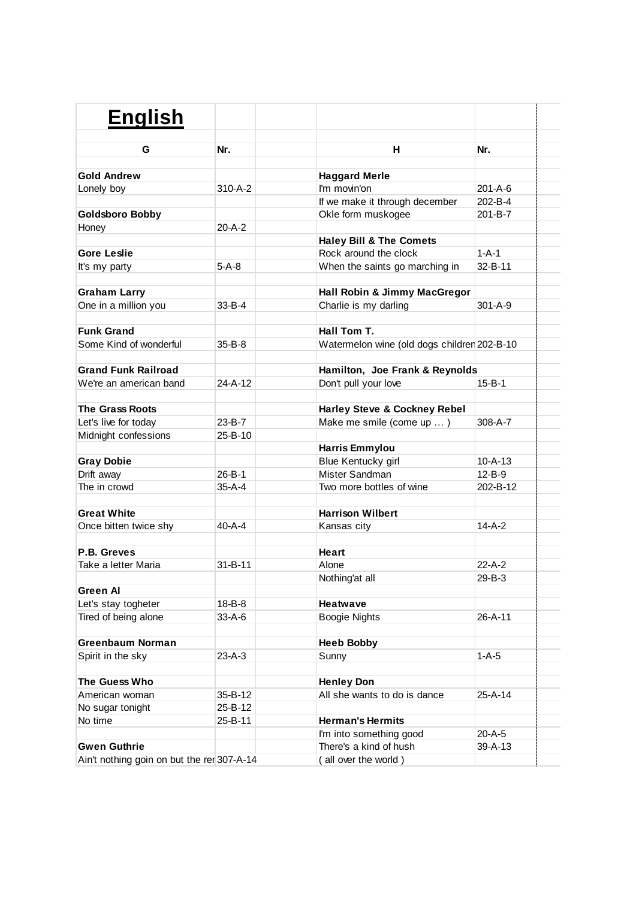| <b>English</b>                             |               |                                             |               |
|--------------------------------------------|---------------|---------------------------------------------|---------------|
|                                            |               |                                             |               |
| G                                          | Nr.           | н                                           | Nr.           |
| <b>Gold Andrew</b>                         |               | <b>Haggard Merle</b>                        |               |
| Lonely boy                                 | $310 - A - 2$ | I'm movin'on                                | 201-A-6       |
|                                            |               | If we make it through december              | 202-B-4       |
| <b>Goldsboro Bobby</b>                     |               | Okle form muskogee                          | 201-B-7       |
| Honey                                      | $20 - A - 2$  |                                             |               |
|                                            |               | <b>Haley Bill &amp; The Comets</b>          |               |
| <b>Gore Leslie</b>                         |               | Rock around the clock                       | $1 - A - 1$   |
| It's my party                              | $5-A-8$       | When the saints go marching in              | 32-B-11       |
|                                            |               |                                             |               |
| <b>Graham Larry</b>                        |               | Hall Robin & Jimmy MacGregor                |               |
| One in a million you                       | $33 - B - 4$  | Charlie is my darling                       | $301 - A - 9$ |
|                                            |               |                                             |               |
| <b>Funk Grand</b>                          |               | Hall Tom T.                                 |               |
| Some Kind of wonderful                     | $35 - B - 8$  | Watermelon wine (old dogs children 202-B-10 |               |
|                                            |               |                                             |               |
| <b>Grand Funk Railroad</b>                 |               | Hamilton, Joe Frank & Reynolds              |               |
| We're an american band                     | $24 - A - 12$ | Don't pull your love                        | $15 - B - 1$  |
|                                            |               |                                             |               |
| <b>The Grass Roots</b>                     |               | <b>Harley Steve &amp; Cockney Rebel</b>     |               |
| Let's live for today                       | 23-B-7        | Make me smile (come up )                    | $308 - A - 7$ |
| Midnight confessions                       | $25 - B - 10$ |                                             |               |
|                                            |               | <b>Harris Emmylou</b>                       |               |
| <b>Gray Dobie</b>                          |               | Blue Kentucky girl                          | $10 - A - 13$ |
| Drift away                                 | $26 - B - 1$  | Mister Sandman                              | $12 - B - 9$  |
| The in crowd                               | $35-A-4$      | Two more bottles of wine                    | 202-B-12      |
|                                            |               |                                             |               |
| <b>Great White</b>                         |               | <b>Harrison Wilbert</b>                     |               |
| Once bitten twice shy                      | $40 - A - 4$  | Kansas city                                 | $14-A-2$      |
|                                            |               |                                             |               |
| P.B. Greves                                |               | Heart                                       |               |
| Take a letter Maria                        | $31 - B - 11$ | Alone                                       | $22-A-2$      |
|                                            |               | Nothing'at all                              | 29-B-3        |
| <b>Green Al</b>                            |               |                                             |               |
| Let's stay togheter                        | 18-B-8        | <b>Heatwave</b>                             |               |
| Tired of being alone                       | 33-A-6        | Boogie Nights                               | 26-A-11       |
| <b>Greenbaum Norman</b>                    |               | <b>Heeb Bobby</b>                           |               |
| Spirit in the sky                          | $23-A-3$      | Sunny                                       | $1 - A - 5$   |
|                                            |               |                                             |               |
| The Guess Who                              |               | <b>Henley Don</b>                           |               |
| American woman                             | 35-B-12       | All she wants to do is dance                | $25-A-14$     |
| No sugar tonight                           | 25-B-12       |                                             |               |
| No time                                    | 25-B-11       | <b>Herman's Hermits</b>                     |               |
|                                            |               | I'm into something good                     | 20-A-5        |
| <b>Gwen Guthrie</b>                        |               | There's a kind of hush                      | 39-A-13       |
| Ain't nothing goin on but the rer 307-A-14 |               | (all over the world)                        |               |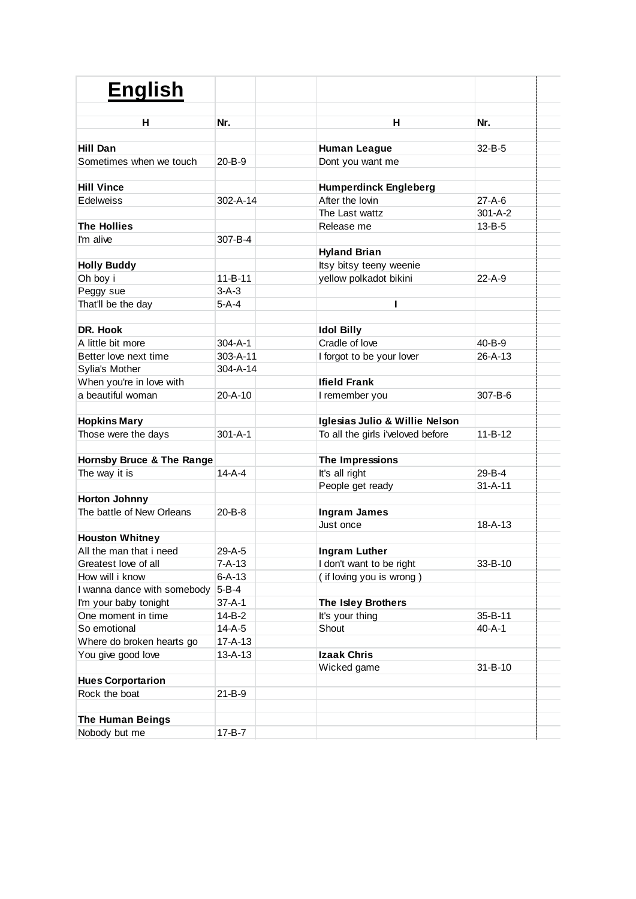| <b>English</b>                            |                |                                   |               |  |
|-------------------------------------------|----------------|-----------------------------------|---------------|--|
| н                                         | Nr.            | н                                 | Nr.           |  |
|                                           |                |                                   |               |  |
| Hill Dan                                  |                | <b>Human League</b>               | $32 - B - 5$  |  |
| Sometimes when we touch                   | 20-B-9         | Dont you want me                  |               |  |
|                                           |                |                                   |               |  |
| <b>Hill Vince</b>                         |                | <b>Humperdinck Engleberg</b>      |               |  |
| Edelweiss                                 | 302-A-14       | After the lovin                   | $27-A-6$      |  |
|                                           |                | The Last wattz                    | $301 - A - 2$ |  |
| <b>The Hollies</b>                        |                | Release me                        | $13 - B - 5$  |  |
| I'm alive                                 | 307-B-4        |                                   |               |  |
|                                           |                | <b>Hyland Brian</b>               |               |  |
| <b>Holly Buddy</b>                        |                | Itsy bitsy teeny weenie           |               |  |
| Oh boy i                                  | $11 - B - 11$  | yellow polkadot bikini            | 22-A-9        |  |
| Peggy sue                                 | $3-A-3$        |                                   |               |  |
| That'll be the day                        | $5-A-4$        | ı                                 |               |  |
| DR. Hook                                  |                | <b>Idol Billy</b>                 |               |  |
| A little bit more                         | $304 - A - 1$  | Cradle of love                    | 40-B-9        |  |
| Better love next time                     | $303 - A - 11$ | I forgot to be your lover         | $26 - A - 13$ |  |
| Sylia's Mother                            | $304 - A - 14$ |                                   |               |  |
| When you're in love with                  |                | <b>Ifield Frank</b>               |               |  |
| a beautiful woman                         | $20 - A - 10$  | I remember you                    | $307 - B - 6$ |  |
|                                           |                |                                   |               |  |
| <b>Hopkins Mary</b>                       |                | Iglesias Julio & Willie Nelson    |               |  |
| Those were the days                       | $301 - A - 1$  | To all the girls i'veloved before | $11 - B - 12$ |  |
|                                           |                |                                   |               |  |
| Hornsby Bruce & The Range                 |                | The Impressions                   |               |  |
| The way it is                             | $14-A-4$       | It's all right                    | 29-B-4        |  |
|                                           |                | People get ready                  | $31 - A - 11$ |  |
| <b>Horton Johnny</b>                      |                |                                   |               |  |
| The battle of New Orleans                 | 20-B-8         | <b>Ingram James</b>               |               |  |
|                                           |                | Just once                         | $18 - A - 13$ |  |
| <b>Houston Whitney</b>                    |                |                                   |               |  |
| All the man that i need                   | $29-A-5$       | Ingram Luther                     |               |  |
| Greatest love of all                      | 7-A-13         | I don't want to be right          | 33-B-10       |  |
| How will i know                           | $6 - A - 13$   | (if loving you is wrong)          |               |  |
| I wanna dance with somebody               | $5 - B - 4$    |                                   |               |  |
| I'm your baby tonight                     | $37 - A - 1$   | The Isley Brothers                |               |  |
| One moment in time                        | $14 - B - 2$   | It's your thing                   | 35-B-11       |  |
| So emotional                              | $14 - A - 5$   | Shout                             | $40 - A - 1$  |  |
| Where do broken hearts go                 | $17 - A - 13$  |                                   |               |  |
| You give good love                        | $13 - A - 13$  | <b>Izaak Chris</b>                |               |  |
|                                           |                | Wicked game                       | $31 - B - 10$ |  |
| <b>Hues Corportarion</b><br>Rock the boat | $21 - B - 9$   |                                   |               |  |
|                                           |                |                                   |               |  |
| <b>The Human Beings</b>                   |                |                                   |               |  |
| Nobody but me                             | $17 - B - 7$   |                                   |               |  |
|                                           |                |                                   |               |  |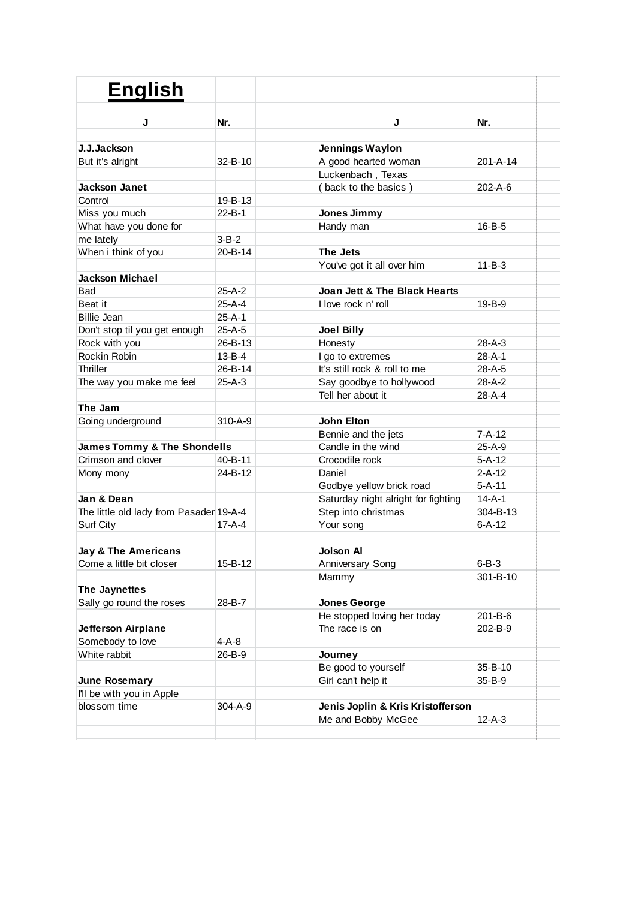| <b>English</b>                          |               |                                     |                |
|-----------------------------------------|---------------|-------------------------------------|----------------|
|                                         |               |                                     |                |
| J                                       | Nr.           | J                                   | Nr.            |
| J.J.Jackson                             |               | <b>Jennings Waylon</b>              |                |
| But it's alright                        | $32 - B - 10$ | A good hearted woman                | $201 - A - 14$ |
|                                         |               | Luckenbach, Texas                   |                |
| <b>Jackson Janet</b>                    |               | (back to the basics)                | $202 - A - 6$  |
| Control                                 | 19-B-13       |                                     |                |
| Miss you much                           | $22 - B - 1$  | Jones Jimmy                         |                |
| What have you done for                  |               | Handy man                           | $16 - B - 5$   |
| me lately                               | $3 - B - 2$   |                                     |                |
| When i think of you                     | $20 - B - 14$ | The Jets                            |                |
|                                         |               | You've got it all over him          | $11 - B - 3$   |
| <b>Jackson Michael</b>                  |               |                                     |                |
| <b>Bad</b>                              | $25-A-2$      | Joan Jett & The Black Hearts        |                |
| Beat it                                 | $25-A-4$      | I love rock n' roll                 | 19-B-9         |
| <b>Billie Jean</b>                      | $25-A-1$      |                                     |                |
| Don't stop til you get enough           | $25-A-5$      | <b>Joel Billy</b>                   |                |
| Rock with you                           | 26-B-13       | Honesty                             | $28 - A - 3$   |
| Rockin Robin                            | $13 - B - 4$  | I go to extremes                    | $28 - A - 1$   |
| Thriller                                | 26-B-14       | It's still rock & roll to me        | $28-A-5$       |
| The way you make me feel                | $25-A-3$      | Say goodbye to hollywood            | $28-A-2$       |
|                                         |               | Tell her about it                   | 28-A-4         |
| The Jam                                 |               |                                     |                |
| Going underground                       | 310-A-9       | <b>John Elton</b>                   |                |
|                                         |               | Bennie and the jets                 | $7 - A - 12$   |
| <b>James Tommy &amp; The Shondells</b>  |               | Candle in the wind                  | $25-A-9$       |
| Crimson and clover                      | $40 - B - 11$ | Crocodile rock                      | $5 - A - 12$   |
| Mony mony                               | 24-B-12       | Daniel                              | $2 - A - 12$   |
|                                         |               | Godbye yellow brick road            | $5 - A - 11$   |
| Jan & Dean                              |               | Saturday night alright for fighting | $14 - A - 1$   |
| The little old lady from Pasader 19-A-4 |               | Step into christmas                 | 304-B-13       |
| Surf City                               | $17 - A - 4$  | Your song                           | $6 - A - 12$   |
| <b>Jay &amp; The Americans</b>          |               | <b>Jolson Al</b>                    |                |
| Come a little bit closer                | 15-B-12       | <b>Anniversary Song</b>             | $6 - B - 3$    |
|                                         |               | Mammy                               | 301-B-10       |
| The Jaynettes                           |               |                                     |                |
| Sally go round the roses                | 28-B-7        | <b>Jones George</b>                 |                |
|                                         |               | He stopped loving her today         | 201-B-6        |
| Jefferson Airplane                      |               | The race is on                      | 202-B-9        |
| Somebody to love                        | 4-A-8         |                                     |                |
| White rabbit                            | 26-B-9        | Journey                             |                |
|                                         |               | Be good to yourself                 | 35-B-10        |
| June Rosemary                           |               | Girl can't help it                  | $35 - B - 9$   |
| I'll be with you in Apple               |               |                                     |                |
| blossom time                            | 304-A-9       | Jenis Joplin & Kris Kristofferson   |                |
|                                         |               | Me and Bobby McGee                  | $12 - A - 3$   |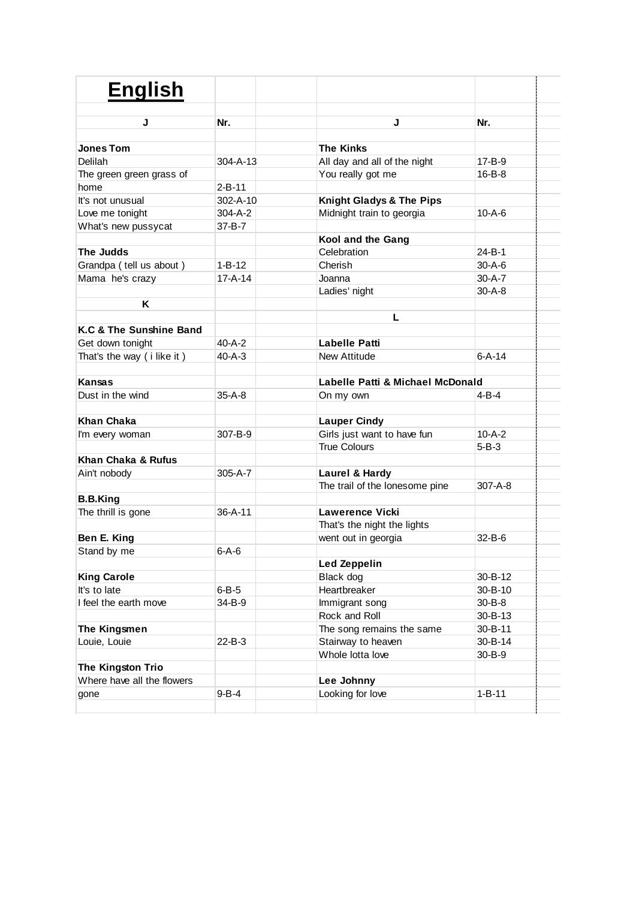| <b>English</b>                                  |                |                                  |               |  |
|-------------------------------------------------|----------------|----------------------------------|---------------|--|
| J                                               | Nr.            | J                                | Nr.           |  |
|                                                 |                |                                  |               |  |
| <b>Jones Tom</b>                                |                | <b>The Kinks</b>                 |               |  |
| Delilah                                         | $304 - A - 13$ | All day and all of the night     | 17-B-9        |  |
| The green green grass of                        |                | You really got me                | $16 - B - 8$  |  |
| home                                            | $2 - B - 11$   |                                  |               |  |
| It's not unusual                                | 302-A-10       | Knight Gladys & The Pips         |               |  |
| Love me tonight                                 | $304 - A - 2$  | Midnight train to georgia        | $10 - A - 6$  |  |
| What's new pussycat                             | $37 - B - 7$   |                                  |               |  |
|                                                 |                | Kool and the Gang                |               |  |
| The Judds                                       |                | Celebration                      | $24 - B - 1$  |  |
| Grandpa (tell us about)                         | $1 - B - 12$   | Cherish                          | $30 - A - 6$  |  |
| Mama he's crazy                                 | $17 - A - 14$  | Joanna                           | $30 - A - 7$  |  |
|                                                 |                | Ladies' night                    | $30 - A - 8$  |  |
| Κ                                               |                |                                  |               |  |
|                                                 |                | L                                |               |  |
| K.C & The Sunshine Band                         |                |                                  |               |  |
| Get down tonight                                | 40-A-2         | Labelle Patti                    |               |  |
| That's the way (i like it)                      | $40 - A - 3$   | New Attitude                     | $6 - A - 14$  |  |
|                                                 |                |                                  |               |  |
| <b>Kansas</b>                                   |                | Labelle Patti & Michael McDonald |               |  |
| Dust in the wind                                | $35-A-8$       | On my own                        | 4-B-4         |  |
|                                                 |                |                                  |               |  |
| <b>Khan Chaka</b>                               |                | <b>Lauper Cindy</b>              |               |  |
| I'm every woman                                 | 307-B-9        | Girls just want to have fun      | $10 - A - 2$  |  |
|                                                 |                | <b>True Colours</b>              | $5 - B - 3$   |  |
| Khan Chaka & Rufus                              |                |                                  |               |  |
| Ain't nobody                                    | $305 - A - 7$  | Laurel & Hardy                   |               |  |
|                                                 |                | The trail of the lonesome pine   | $307 - A - 8$ |  |
| <b>B.B.King</b>                                 |                |                                  |               |  |
| The thrill is gone                              | $36 - A - 11$  | <b>Lawerence Vicki</b>           |               |  |
|                                                 |                | That's the night the lights      |               |  |
| Ben E. King                                     |                | went out in georgia              | 32-B-6        |  |
| Stand by me                                     | $6-A-6$        |                                  |               |  |
|                                                 |                | Led Zeppelin                     |               |  |
| <b>King Carole</b>                              |                | Black dog                        | 30-B-12       |  |
| It's to late                                    | $6 - B - 5$    | Heartbreaker                     | 30-B-10       |  |
| I feel the earth move                           | 34-B-9         | Immigrant song                   | $30 - B - 8$  |  |
|                                                 |                | Rock and Roll                    | 30-B-13       |  |
| The Kingsmen                                    |                | The song remains the same        | 30-B-11       |  |
| Louie, Louie                                    | $22 - B - 3$   | Stairway to heaven               | 30-B-14       |  |
|                                                 |                | Whole lotta love                 | 30-B-9        |  |
|                                                 |                |                                  |               |  |
| The Kingston Trio<br>Where have all the flowers |                |                                  |               |  |
|                                                 |                | Lee Johnny                       |               |  |
| gone                                            | $9 - B - 4$    | Looking for love                 | $1 - B - 11$  |  |
|                                                 |                |                                  |               |  |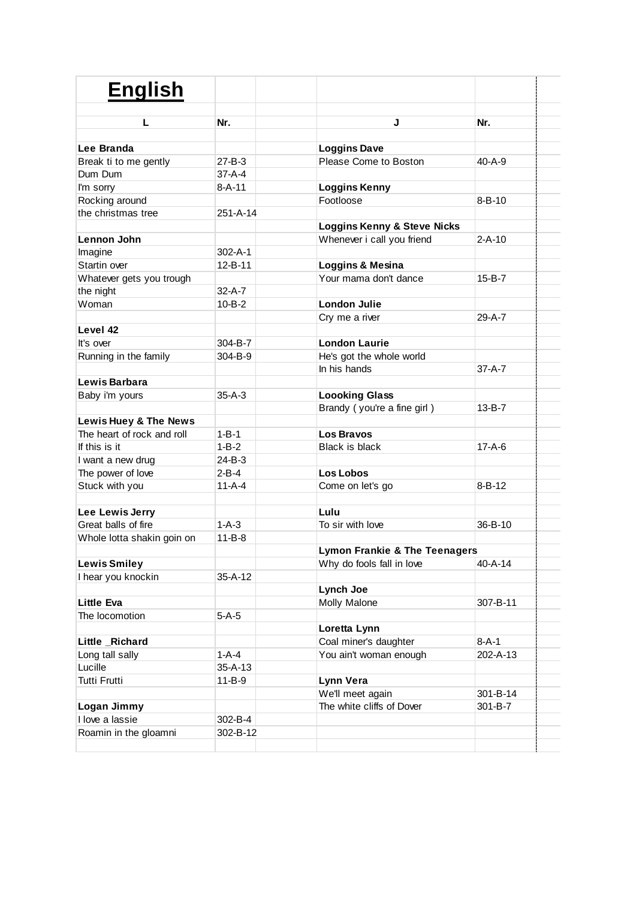| <b>English</b>             |               |                                          |               |
|----------------------------|---------------|------------------------------------------|---------------|
|                            |               |                                          |               |
| L                          | Nr.           | J                                        | Nr.           |
| Lee Branda                 |               | <b>Loggins Dave</b>                      |               |
| Break ti to me gently      | 27-B-3        | Please Come to Boston                    | $40 - A - 9$  |
| Dum Dum                    | 37-A-4        |                                          |               |
| I'm sorry                  | $8 - A - 11$  | <b>Loggins Kenny</b>                     |               |
| Rocking around             |               | Footloose                                | $8 - B - 10$  |
| the christmas tree         | 251-A-14      |                                          |               |
|                            |               | Loggins Kenny & Steve Nicks              |               |
| Lennon John                |               | Whenever i call you friend               | $2 - A - 10$  |
| Imagine                    | 302-A-1       |                                          |               |
| Startin over               | 12-B-11       | Loggins & Mesina                         |               |
| Whatever gets you trough   |               | Your mama don't dance                    | $15 - B - 7$  |
| the night                  | $32 - A - 7$  |                                          |               |
| Woman                      | $10 - B - 2$  | <b>London Julie</b>                      |               |
|                            |               | Cry me a river                           | 29-A-7        |
| Level 42                   |               |                                          |               |
| It's over                  | 304-B-7       | <b>London Laurie</b>                     |               |
| Running in the family      | 304-B-9       | He's got the whole world                 |               |
|                            |               | In his hands                             | $37 - A - 7$  |
| Lewis Barbara              |               |                                          |               |
| Baby i'm yours             | $35-A-3$      | <b>Loooking Glass</b>                    |               |
|                            |               | Brandy (you're a fine girl)              | $13 - B - 7$  |
| Lewis Huey & The News      |               |                                          |               |
| The heart of rock and roll | $1 - B - 1$   | <b>Los Bravos</b>                        |               |
| If this is it              | $1 - B - 2$   | <b>Black is black</b>                    | $17 - A - 6$  |
| I want a new drug          | 24-B-3        |                                          |               |
| The power of love          | $2 - B - 4$   | <b>Los Lobos</b>                         |               |
| Stuck with you             | $11 - A - 4$  | Come on let's go                         | $8 - B - 12$  |
|                            |               |                                          |               |
| Lee Lewis Jerry            |               | Lulu                                     |               |
| Great balls of fire        | $1 - A - 3$   | To sir with love                         | $36 - B - 10$ |
| Whole lotta shakin goin on | $11 - B - 8$  |                                          |               |
|                            |               | <b>Lymon Frankie &amp; The Teenagers</b> |               |
| <b>Lewis Smiley</b>        |               | Why do fools fall in love                | 40-A-14       |
| I hear you knockin         | 35-A-12       |                                          |               |
|                            |               | Lynch Joe                                |               |
| <b>Little Eva</b>          |               | Molly Malone                             | 307-B-11      |
| The locomotion             | 5-A-5         |                                          |               |
|                            |               | Loretta Lynn                             |               |
| Little Richard             |               | Coal miner's daughter                    | $8 - A - 1$   |
| Long tall sally            | $1 - A - 4$   | You ain't woman enough                   | 202-A-13      |
| Lucille                    | $35 - A - 13$ |                                          |               |
| <b>Tutti Frutti</b>        | $11 - B - 9$  | Lynn Vera                                |               |
|                            |               | We'll meet again                         | 301-B-14      |
| Logan Jimmy                |               | The white cliffs of Dover                | 301-B-7       |
| I love a lassie            | 302-B-4       |                                          |               |
| Roamin in the gloamni      | 302-B-12      |                                          |               |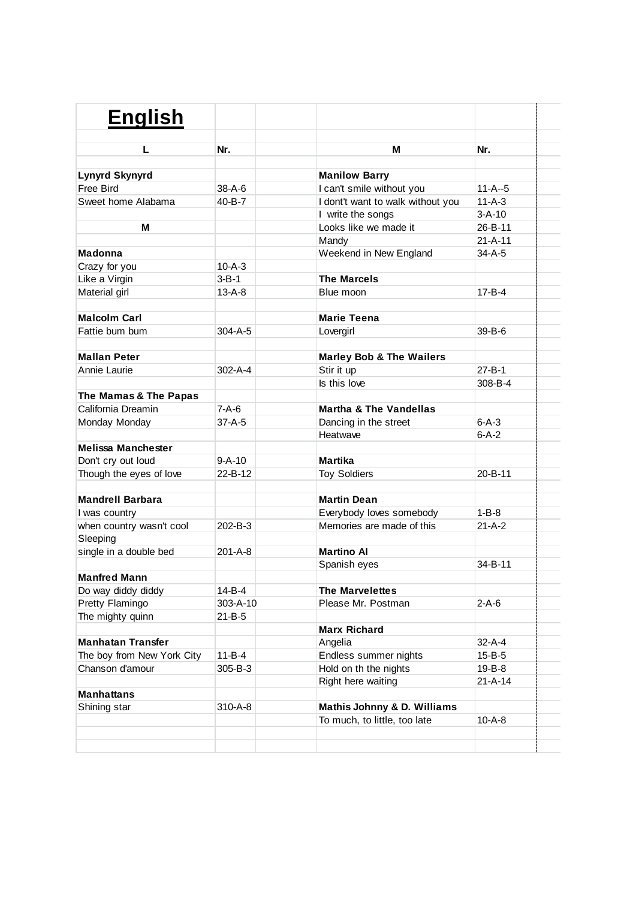| <b>English</b>             |               |                                     |               |
|----------------------------|---------------|-------------------------------------|---------------|
|                            |               |                                     |               |
| L                          | Nr.           | м                                   | Nr.           |
| <b>Lynyrd Skynyrd</b>      |               | <b>Manilow Barry</b>                |               |
| Free Bird                  | $38 - A - 6$  | I can't smile without you           | $11-A-5$      |
| Sweet home Alabama         | 40-B-7        | I dont't want to walk without you   | $11 - A - 3$  |
|                            |               | I write the songs                   | $3 - A - 10$  |
| м                          |               | Looks like we made it               | 26-B-11       |
|                            |               |                                     | $21 - A - 11$ |
|                            |               | Mandy                               |               |
| <b>Madonna</b>             |               | Weekend in New England              | 34-A-5        |
| Crazy for you              | $10 - A - 3$  |                                     |               |
| Like a Virgin              | $3 - B - 1$   | <b>The Marcels</b>                  |               |
| Material girl              | $13 - A - 8$  | Blue moon                           | 17-B-4        |
| <b>Malcolm Carl</b>        |               | <b>Marie Teena</b>                  |               |
| Fattie bum bum             | 304-A-5       | Lovergirl                           | $39 - B - 6$  |
|                            |               |                                     |               |
| <b>Mallan Peter</b>        |               | <b>Marley Bob &amp; The Wailers</b> |               |
| Annie Laurie               | $302 - A - 4$ | Stir it up                          | $27 - B - 1$  |
|                            |               | Is this love                        | $308 - B - 4$ |
| The Mamas & The Papas      |               |                                     |               |
| California Dreamin         | 7-A-6         | <b>Martha &amp; The Vandellas</b>   |               |
| Monday Monday              | $37 - A - 5$  | Dancing in the street               | $6 - A - 3$   |
|                            |               | Heatwave                            | $6 - A - 2$   |
| <b>Melissa Manchester</b>  |               |                                     |               |
| Don't cry out loud         | 9-A-10        | Martika                             |               |
| Though the eyes of love    | 22-B-12       | <b>Toy Soldiers</b>                 | 20-B-11       |
|                            |               |                                     |               |
| <b>Mandrell Barbara</b>    |               | <b>Martin Dean</b>                  |               |
| I was country              |               | Everybody loves somebody            | $1 - B - 8$   |
| when country wasn't cool   | 202-B-3       | Memories are made of this           | $21 - A - 2$  |
| Sleeping                   |               |                                     |               |
| single in a double bed     | 201-A-8       | <b>Martino Al</b>                   |               |
|                            |               | Spanish eyes                        | 34-B-11       |
| <b>Manfred Mann</b>        |               |                                     |               |
| Do way diddy diddy         | 14-B-4        | <b>The Marvelettes</b>              |               |
| Pretty Flamingo            | 303-A-10      | Please Mr. Postman                  | $2-A-6$       |
| The mighty quinn           | 21-B-5        |                                     |               |
|                            |               | <b>Marx Richard</b>                 |               |
| <b>Manhatan Transfer</b>   |               | Angelia                             | 32-A-4        |
| The boy from New York City | $11 - B - 4$  | Endless summer nights               | 15-B-5        |
| Chanson d'amour            | 305-B-3       | Hold on th the nights               | 19-B-8        |
|                            |               | Right here waiting                  | 21-A-14       |
| <b>Manhattans</b>          |               |                                     |               |
| Shining star               | 310-A-8       | Mathis Johnny & D. Williams         |               |
|                            |               | To much, to little, too late        | 10-A-8        |
|                            |               |                                     |               |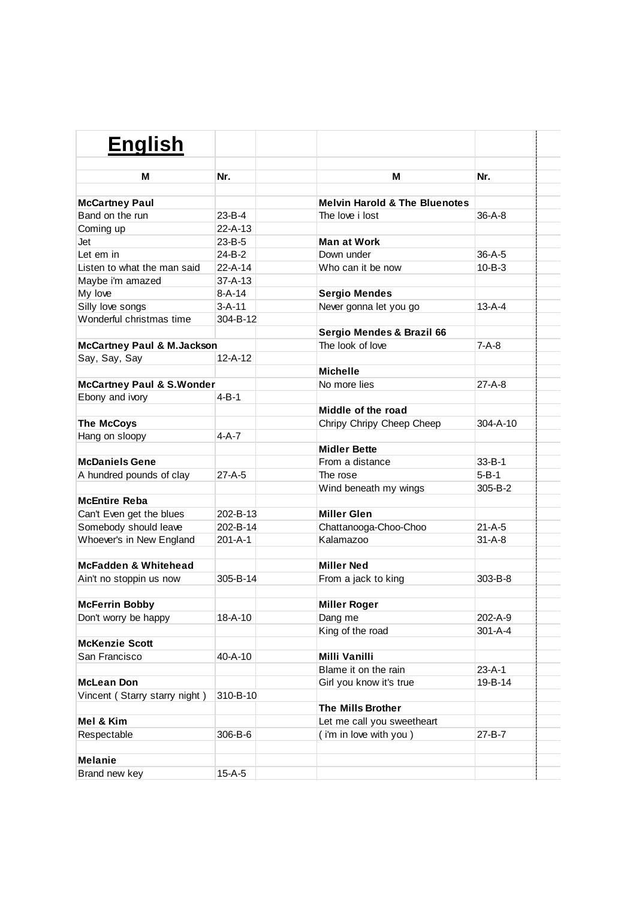| <b>English</b>                        |               |                                          |                |
|---------------------------------------|---------------|------------------------------------------|----------------|
|                                       |               |                                          |                |
| м                                     | Nr.           | м                                        | Nr.            |
| <b>McCartney Paul</b>                 |               | <b>Melvin Harold &amp; The Bluenotes</b> |                |
| Band on the run                       | $23 - B - 4$  | The love i lost                          | $36 - A - 8$   |
| Coming up                             | $22 - A - 13$ |                                          |                |
| Jet                                   | $23 - B - 5$  | Man at Work                              |                |
| Let em in                             | 24-B-2        | Down under                               | $36-A-5$       |
| Listen to what the man said           | $22 - A - 14$ | Who can it be now                        | $10 - B - 3$   |
| Maybe i'm amazed                      | $37 - A - 13$ |                                          |                |
| My love                               | 8-A-14        | <b>Sergio Mendes</b>                     |                |
| Silly love songs                      | $3 - A - 11$  | Never gonna let you go                   | $13 - A - 4$   |
| Wonderful christmas time              | 304-B-12      |                                          |                |
|                                       |               | Sergio Mendes & Brazil 66                |                |
| <b>McCartney Paul &amp; M.Jackson</b> |               | The look of love                         | 7-A-8          |
| Say, Say, Say                         | $12 - A - 12$ |                                          |                |
|                                       |               | Michelle                                 |                |
| <b>McCartney Paul &amp; S. Wonder</b> |               | No more lies                             | $27 - A - 8$   |
| Ebony and ivory                       | 4-B-1         |                                          |                |
|                                       |               | Middle of the road                       |                |
| <b>The McCoys</b>                     |               | Chripy Chripy Cheep Cheep                | $304 - A - 10$ |
| Hang on sloopy                        | 4-A-7         |                                          |                |
|                                       |               | <b>Midler Bette</b>                      |                |
| <b>McDaniels Gene</b>                 |               | From a distance                          | $33 - B - 1$   |
| A hundred pounds of clay              | $27-A-5$      | The rose                                 | $5 - B - 1$    |
|                                       |               | Wind beneath my wings                    | 305-B-2        |
| <b>McEntire Reba</b>                  |               |                                          |                |
| Can't Even get the blues              | 202-B-13      | <b>Miller Glen</b>                       |                |
| Somebody should leave                 | 202-B-14      | Chattanooga-Choo-Choo                    | $21-A-5$       |
| Whoever's in New England              | 201-A-1       | Kalamazoo                                | $31 - A - 8$   |
|                                       |               |                                          |                |
| McFadden & Whitehead                  |               | <b>Miller Ned</b>                        |                |
| Ain't no stoppin us now               | 305-B-14      | From a jack to king                      | 303-B-8        |
|                                       |               |                                          |                |
| <b>McFerrin Bobby</b>                 |               | <b>Miller Roger</b>                      |                |
| Don't worry be happy                  | $18 - A - 10$ | Dang me                                  | 202-A-9        |
|                                       |               | King of the road                         | $301 - A - 4$  |
| <b>McKenzie Scott</b>                 |               |                                          |                |
| San Francisco                         | 40-A-10       | Milli Vanilli                            |                |
|                                       |               | Blame it on the rain                     | $23 - A - 1$   |
| <b>McLean Don</b>                     |               | Girl you know it's true                  | 19-B-14        |
| Vincent (Starry starry night)         | 310-B-10      |                                          |                |
|                                       |               | The Mills Brother                        |                |
| Mel & Kim                             |               | Let me call you sweetheart               |                |
| Respectable                           | 306-B-6       | (i'm in love with you)                   | 27-B-7         |
|                                       |               |                                          |                |
| <b>Melanie</b>                        |               |                                          |                |
| Brand new key                         | $15-A-5$      |                                          |                |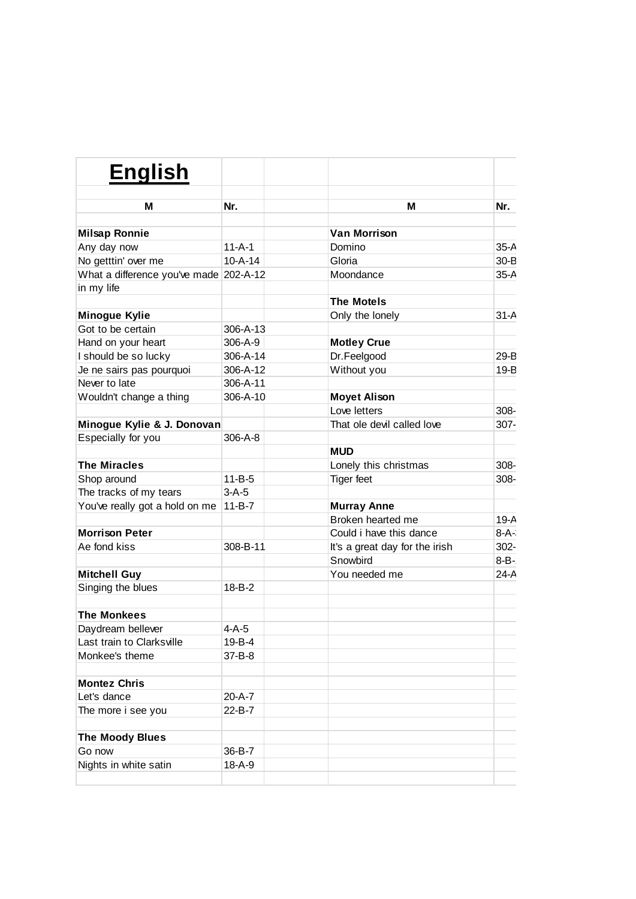| <b>English</b>                            |                               |                                     |                    |
|-------------------------------------------|-------------------------------|-------------------------------------|--------------------|
| м                                         | Nr.                           | м                                   | Nr.                |
|                                           |                               |                                     |                    |
| <b>Milsap Ronnie</b>                      |                               | <b>Van Morrison</b>                 |                    |
| Any day now                               | $11 - A - 1$<br>$10 - A - 14$ | Domino                              | $35-A$             |
| No getttin' over me                       |                               | Gloria                              | $30 - B$           |
| What a difference you've made 202-A-12    |                               | Moondance                           | $35-A$             |
| in my life                                |                               | <b>The Motels</b>                   |                    |
|                                           |                               |                                     | $31-A$             |
| <b>Minogue Kylie</b><br>Got to be certain |                               | Only the lonely                     |                    |
|                                           | 306-A-13                      |                                     |                    |
| Hand on your heart                        | 306-A-9                       | <b>Motley Crue</b>                  |                    |
| I should be so lucky                      | 306-A-14<br>306-A-12          | Dr.Feelgood                         | $29 - B$<br>$19-B$ |
| Je ne sairs pas pourquoi<br>Never to late | 306-A-11                      | Without you                         |                    |
|                                           |                               |                                     |                    |
| Wouldn't change a thing                   | 306-A-10                      | <b>Moyet Alison</b><br>Love letters | $308 -$            |
|                                           |                               | That ole devil called love          |                    |
| Minogue Kylie & J. Donovan                |                               |                                     | 307-               |
| Especially for you                        | 306-A-8                       |                                     |                    |
| <b>The Miracles</b>                       |                               | <b>MUD</b>                          |                    |
|                                           |                               | Lonely this christmas               | 308-               |
| Shop around                               | $11 - B - 5$                  | <b>Tiger</b> feet                   | $308 -$            |
| The tracks of my tears                    | $3-A-5$                       |                                     |                    |
| You've really got a hold on me            | $11 - B - 7$                  | <b>Murray Anne</b>                  |                    |
|                                           |                               | Broken hearted me                   | $19-A$             |
| <b>Morrison Peter</b>                     |                               | Could i have this dance             | $8-A-$             |
| Ae fond kiss                              | 308-B-11                      | It's a great day for the irish      | 302-               |
|                                           |                               | Snowbird                            | $8 - B -$          |
| <b>Mitchell Guy</b>                       |                               | You needed me                       | $24-A$             |
| Singing the blues                         | $18 - B - 2$                  |                                     |                    |
| <b>The Monkees</b>                        |                               |                                     |                    |
| Davdream bellever                         | $4-A-5$                       |                                     |                    |
| Last train to Clarksville                 | 19-B-4                        |                                     |                    |
| Monkee's theme                            | 37-B-8                        |                                     |                    |
|                                           |                               |                                     |                    |
| <b>Montez Chris</b>                       |                               |                                     |                    |
| Let's dance                               | 20-A-7                        |                                     |                    |
| The more i see you                        | 22-B-7                        |                                     |                    |
|                                           |                               |                                     |                    |
| <b>The Moody Blues</b>                    |                               |                                     |                    |
| Go now                                    | 36-B-7                        |                                     |                    |
| Nights in white satin                     | $18 - A - 9$                  |                                     |                    |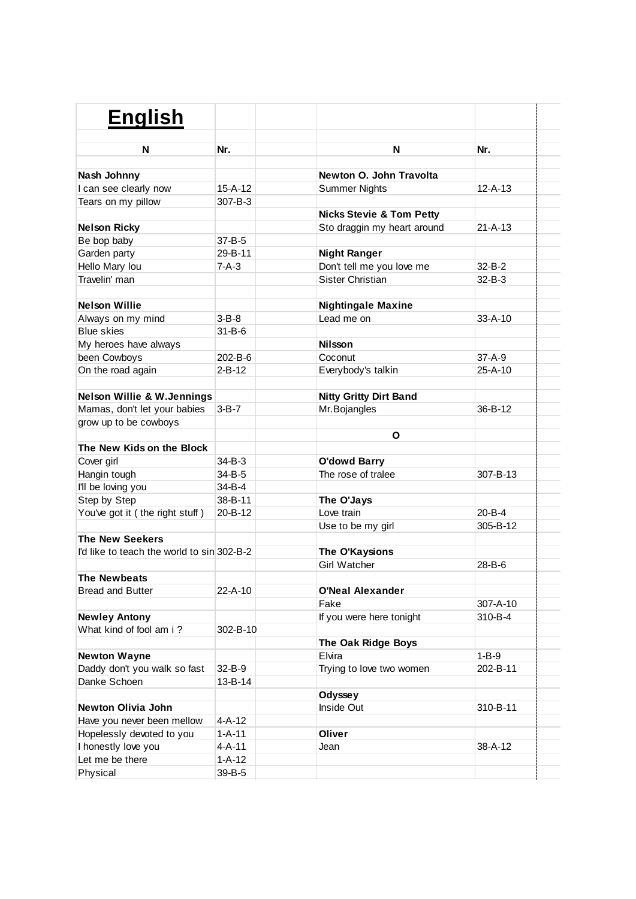| <b>English</b>                             |               |                                     |               |
|--------------------------------------------|---------------|-------------------------------------|---------------|
|                                            |               |                                     |               |
| N                                          | Nr.           | N                                   | Nr.           |
| Nash Johnny                                |               | Newton O. John Travolta             |               |
| I can see clearly now                      | $15 - A - 12$ | <b>Summer Nights</b>                | $12 - A - 13$ |
| Tears on my pillow                         | $307 - B - 3$ |                                     |               |
|                                            |               | <b>Nicks Stevie &amp; Tom Petty</b> |               |
| <b>Nelson Ricky</b>                        |               | Sto draggin my heart around         | 21-A-13       |
| Be bop baby                                | $37 - B - 5$  |                                     |               |
| Garden party                               | 29-B-11       | <b>Night Ranger</b>                 |               |
| Hello Mary lou                             | $7-A-3$       | Don't tell me you love me           | $32 - B - 2$  |
| Travelin' man                              |               | <b>Sister Christian</b>             | $32 - B - 3$  |
|                                            |               |                                     |               |
| <b>Nelson Willie</b>                       |               | <b>Nightingale Maxine</b>           |               |
| Always on my mind                          | $3 - B - 8$   | Lead me on                          | $33 - A - 10$ |
| <b>Blue skies</b>                          | $31 - B - 6$  |                                     |               |
| My heroes have always                      |               | <b>Nilsson</b>                      |               |
| been Cowboys                               | 202-B-6       | Coconut                             | $37 - A - 9$  |
| On the road again                          | $2 - B - 12$  | Everybody's talkin                  | 25-A-10       |
|                                            |               |                                     |               |
| <b>Nelson Willie &amp; W.Jennings</b>      |               | <b>Nitty Gritty Dirt Band</b>       |               |
| Mamas, don't let your babies               | $3 - B - 7$   | Mr.Bojangles                        | 36-B-12       |
| grow up to be cowboys                      |               |                                     |               |
|                                            |               | O                                   |               |
| The New Kids on the Block                  |               |                                     |               |
| Cover girl                                 | 34-B-3        | <b>O'dowd Barry</b>                 |               |
| Hangin tough                               | 34-B-5        | The rose of tralee                  | 307-B-13      |
| I'll be loving you                         | 34-B-4        |                                     |               |
| Step by Step                               | 38-B-11       | The O'Jays                          |               |
| You've got it (the right stuff)            | $20 - B - 12$ | Love train                          | $20 - B - 4$  |
|                                            |               | Use to be my girl                   | 305-B-12      |
| <b>The New Seekers</b>                     |               |                                     |               |
| I'd like to teach the world to sin 302-B-2 |               | The O'Kaysions                      |               |
|                                            |               | <b>Girl Watcher</b>                 | $28 - B - 6$  |
| <b>The Newbeats</b>                        |               |                                     |               |
| <b>Bread and Butter</b>                    | 22-A-10       | <b>O'Neal Alexander</b>             |               |
|                                            |               | Fake                                | 307-A-10      |
| <b>Newley Antony</b>                       |               | If you were here tonight            | 310-B-4       |
| What kind of fool am i?                    | 302-B-10      |                                     |               |
|                                            |               | The Oak Ridge Boys                  |               |
| <b>Newton Wayne</b>                        |               | Elvira                              | $1 - B - 9$   |
| Daddy don't you walk so fast               | 32-B-9        | Trying to love two women            | 202-B-11      |
| Danke Schoen                               | 13-B-14       |                                     |               |
|                                            |               | <b>Odyssey</b>                      |               |
| <b>Newton Olivia John</b>                  |               | Inside Out                          | 310-B-11      |
| Have you never been mellow                 | $4 - A - 12$  |                                     |               |
| Hopelessly devoted to you                  | $1 - A - 11$  | Oliver                              |               |
| I honestly love you                        | $4 - A - 11$  | Jean                                | 38-A-12       |
| Let me be there                            | $1 - A - 12$  |                                     |               |
| Physical                                   | 39-B-5        |                                     |               |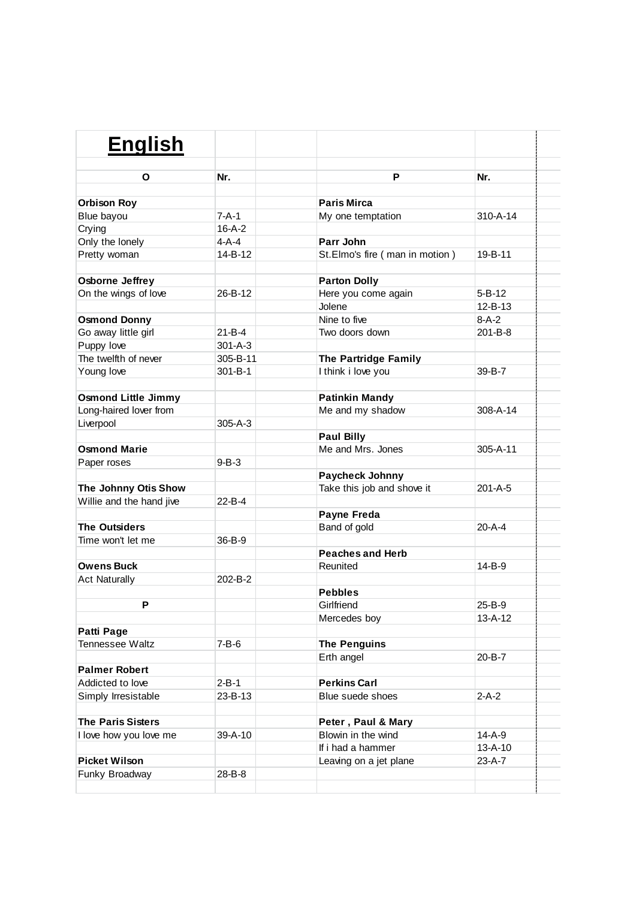| <b>English</b>             |               |                                |               |  |
|----------------------------|---------------|--------------------------------|---------------|--|
| O                          | Nr.           | P                              | Nr.           |  |
| <b>Orbison Roy</b>         |               | <b>Paris Mirca</b>             |               |  |
| Blue bayou                 | $7 - A - 1$   | My one temptation              | 310-A-14      |  |
| Crying                     | $16 - A - 2$  |                                |               |  |
| Only the lonely            | $4-A-4$       | Parr John                      |               |  |
| Pretty woman               | 14-B-12       | St.Elmo's fire (man in motion) | 19-B-11       |  |
| Osborne Jeffrey            |               | <b>Parton Dolly</b>            |               |  |
| On the wings of love       | $26 - B - 12$ | Here you come again            | $5 - B - 12$  |  |
|                            |               | Jolene                         | $12 - B - 13$ |  |
| <b>Osmond Donny</b>        |               | Nine to five                   | $8 - A - 2$   |  |
| Go away little girl        | $21 - B - 4$  | Two doors down                 | $201 - B - 8$ |  |
| Puppy love                 | $301 - A - 3$ |                                |               |  |
| The twelfth of never       | 305-B-11      | The Partridge Family           |               |  |
| Young love                 | $301 - B - 1$ | I think i love you             | 39-B-7        |  |
| <b>Osmond Little Jimmy</b> |               | <b>Patinkin Mandy</b>          |               |  |
| Long-haired lover from     |               | Me and my shadow               | 308-A-14      |  |
| Liverpool                  | $305 - A - 3$ |                                |               |  |
|                            |               | <b>Paul Billy</b>              |               |  |
| <b>Osmond Marie</b>        |               | Me and Mrs. Jones              | 305-A-11      |  |
| Paper roses                | $9 - B - 3$   |                                |               |  |
|                            |               | Paycheck Johnny                |               |  |
| The Johnny Otis Show       |               | Take this job and shove it     | 201-A-5       |  |
| Willie and the hand jive   | $22 - B - 4$  |                                |               |  |
|                            |               | Payne Freda                    |               |  |
| <b>The Outsiders</b>       |               | Band of gold                   | $20 - A - 4$  |  |
| Time won't let me          | 36-B-9        |                                |               |  |
|                            |               | <b>Peaches and Herb</b>        |               |  |
| <b>Owens Buck</b>          |               | Reunited                       | 14-B-9        |  |
| <b>Act Naturally</b>       | 202-B-2       |                                |               |  |
| D                          |               | <b>Pebbles</b>                 |               |  |
|                            |               | Girlfriend                     | 25-B-9        |  |
|                            |               | Mercedes boy                   | $13 - A - 12$ |  |
| Patti Page                 |               |                                |               |  |
| Tennessee Waltz            | $7 - B - 6$   | <b>The Penguins</b>            | 20-B-7        |  |
| <b>Palmer Robert</b>       |               | Erth angel                     |               |  |
| Addicted to love           | $2 - B - 1$   | <b>Perkins Carl</b>            |               |  |
| Simply Irresistable        | 23-B-13       | Blue suede shoes               | $2-A-2$       |  |
|                            |               |                                |               |  |
| <b>The Paris Sisters</b>   |               | Peter, Paul & Mary             |               |  |
| I love how you love me     | 39-A-10       | Blowin in the wind             | $14-A-9$      |  |
|                            |               | If i had a hammer              | 13-A-10       |  |
| <b>Picket Wilson</b>       |               | Leaving on a jet plane         | 23-A-7        |  |
| Funky Broadway             | 28-B-8        |                                |               |  |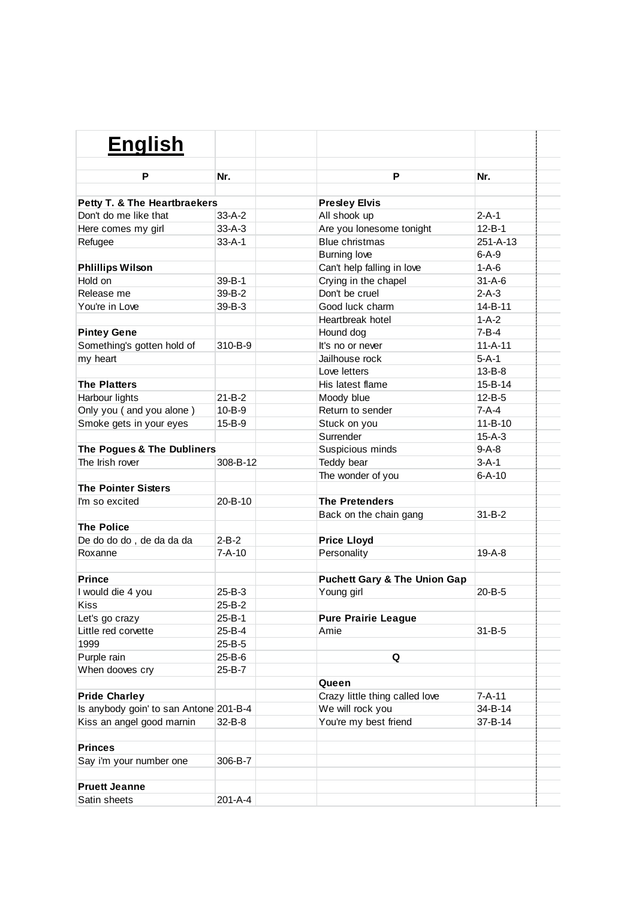| <b>English</b>                         |               |                                         |               |  |
|----------------------------------------|---------------|-----------------------------------------|---------------|--|
| P                                      | Nr.           | P                                       | Nr.           |  |
|                                        |               |                                         |               |  |
| Petty T. & The Heartbraekers           |               | <b>Presley Elvis</b>                    |               |  |
| Don't do me like that                  | $33-A-2$      | All shook up                            | $2 - A - 1$   |  |
| Here comes my girl                     | $33 - A - 3$  | Are you lonesome tonight                | $12 - B - 1$  |  |
| Refugee                                | $33 - A - 1$  | <b>Blue christmas</b>                   | 251-A-13      |  |
|                                        |               | <b>Burning love</b>                     | $6 - A - 9$   |  |
| <b>Phlillips Wilson</b>                |               | Can't help falling in love              | $1 - A - 6$   |  |
| Hold on                                | $39 - B - 1$  | Crying in the chapel                    | $31 - A - 6$  |  |
| Release me                             | 39-B-2        | Don't be cruel                          | $2-A-3$       |  |
| You're in Love                         | $39 - B - 3$  | Good luck charm                         | 14-B-11       |  |
|                                        |               | Heartbreak hotel                        | $1 - A - 2$   |  |
| <b>Pintey Gene</b>                     |               | Hound dog                               | $7 - B - 4$   |  |
| Something's gotten hold of             | 310-B-9       | It's no or never                        | $11 - A - 11$ |  |
| my heart                               |               | Jailhouse rock                          | $5 - A - 1$   |  |
|                                        |               | Love letters                            | $13 - B - 8$  |  |
| <b>The Platters</b>                    |               | His latest flame                        | 15-B-14       |  |
| Harbour lights                         | $21 - B - 2$  | Moody blue                              | $12 - B - 5$  |  |
| Only you (and you alone)               | $10 - B - 9$  | Return to sender                        | $7-A-4$       |  |
| Smoke gets in your eyes                | $15 - B - 9$  | Stuck on you                            | $11 - B - 10$ |  |
|                                        |               | Surrender                               | $15 - A - 3$  |  |
| The Pogues & The Dubliners             |               | Suspicious minds                        | $9-A-8$       |  |
| The Irish rover                        | 308-B-12      | Teddy bear                              | $3 - A - 1$   |  |
|                                        |               | The wonder of you                       | $6 - A - 10$  |  |
| <b>The Pointer Sisters</b>             |               |                                         |               |  |
| I'm so excited                         | $20 - B - 10$ | <b>The Pretenders</b>                   |               |  |
|                                        |               | Back on the chain gang                  | $31 - B - 2$  |  |
| <b>The Police</b>                      |               |                                         |               |  |
| De do do do, de da da da               | $2 - B - 2$   | <b>Price Lloyd</b>                      |               |  |
| Roxanne                                | $7 - A - 10$  | Personality                             | $19-A-8$      |  |
|                                        |               |                                         |               |  |
| <b>Prince</b>                          |               | <b>Puchett Gary &amp; The Union Gap</b> |               |  |
| I would die 4 you                      | $25 - B - 3$  | Young girl                              | $20 - B - 5$  |  |
| Kiss                                   | 25-B-2        |                                         |               |  |
| Let's go crazy                         | 25-B-1        | <b>Pure Prairie League</b>              |               |  |
| Little red corvette                    | 25-B-4        | Amie                                    | $31 - B - 5$  |  |
| 1999                                   | 25-B-5        |                                         |               |  |
| Purple rain                            | 25-B-6        | Q                                       |               |  |
| When dooves cry                        | 25-B-7        |                                         |               |  |
|                                        |               | Queen                                   |               |  |
| <b>Pride Charley</b>                   |               | Crazy little thing called love          | $7 - A - 11$  |  |
| Is anybody goin' to san Antone 201-B-4 |               | We will rock you                        | 34-B-14       |  |
| Kiss an angel good marnin              | 32-B-8        | You're my best friend                   | 37-B-14       |  |
|                                        |               |                                         |               |  |
| <b>Princes</b>                         |               |                                         |               |  |
| Say i'm your number one                | 306-B-7       |                                         |               |  |
|                                        |               |                                         |               |  |
| <b>Pruett Jeanne</b>                   |               |                                         |               |  |
| Satin sheets                           | 201-A-4       |                                         |               |  |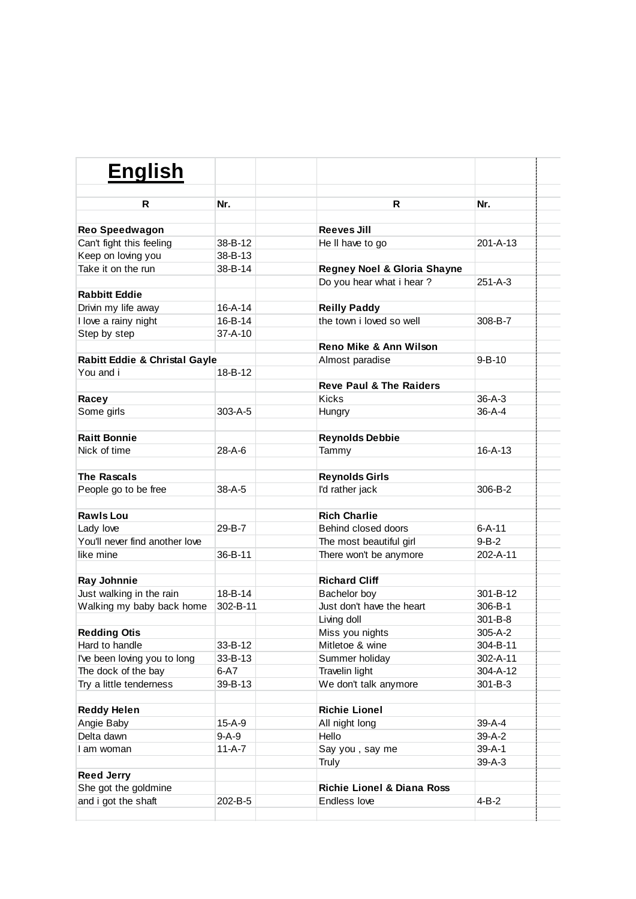| <b>English</b>                                 |               |                                       |                |  |
|------------------------------------------------|---------------|---------------------------------------|----------------|--|
| R                                              | Nr.           | R                                     | Nr.            |  |
|                                                |               |                                       |                |  |
| <b>Reo Speedwagon</b>                          | 38-B-12       | Reeves Jill                           | $201 - A - 13$ |  |
| Can't fight this feeling<br>Keep on loving you | 38-B-13       | He II have to go                      |                |  |
| Take it on the run                             | 38-B-14       | Regney Noel & Gloria Shayne           |                |  |
|                                                |               | Do you hear what i hear?              | $251 - A - 3$  |  |
| <b>Rabbitt Eddie</b>                           |               |                                       |                |  |
| Drivin my life away                            | $16 - A - 14$ | <b>Reilly Paddy</b>                   |                |  |
| I love a rainy night                           | 16-B-14       | the town i loved so well              | 308-B-7        |  |
| Step by step                                   | $37 - A - 10$ |                                       |                |  |
|                                                |               | Reno Mike & Ann Wilson                |                |  |
| Rabitt Eddie & Christal Gayle                  |               | Almost paradise                       | $9 - B - 10$   |  |
| You and i                                      | 18-B-12       |                                       |                |  |
|                                                |               | <b>Reve Paul &amp; The Raiders</b>    |                |  |
| Racey                                          |               | <b>Kicks</b>                          | $36 - A - 3$   |  |
| Some girls                                     | $303 - A - 5$ | Hungry                                | $36 - A - 4$   |  |
|                                                |               |                                       |                |  |
| <b>Raitt Bonnie</b>                            |               | <b>Reynolds Debbie</b>                |                |  |
| Nick of time                                   | $28 - A - 6$  | Tammy                                 | $16 - A - 13$  |  |
| <b>The Rascals</b>                             |               | <b>Reynolds Girls</b>                 |                |  |
| People go to be free                           | $38 - A - 5$  | I'd rather jack                       | 306-B-2        |  |
| <b>Rawls Lou</b>                               |               | <b>Rich Charlie</b>                   |                |  |
| Lady love                                      | 29-B-7        | Behind closed doors                   | $6 - A - 11$   |  |
| You'll never find another love                 |               | The most beautiful girl               | $9 - B - 2$    |  |
| like mine                                      | 36-B-11       | There won't be anymore                | 202-A-11       |  |
|                                                |               |                                       |                |  |
| Ray Johnnie                                    |               | <b>Richard Cliff</b>                  |                |  |
| Just walking in the rain                       | 18-B-14       | Bachelor boy                          | 301-B-12       |  |
| Walking my baby back home                      | 302-B-11      | Just don't have the heart             | $306 - B - 1$  |  |
|                                                |               | Living doll                           | $301 - B - 8$  |  |
| <b>Redding Otis</b>                            |               | Miss you nights                       | 305-A-2        |  |
| Hard to handle                                 | 33-B-12       | Mitletoe & wine                       | 304-B-11       |  |
| I've been loving you to long                   | 33-B-13       | Summer holiday                        | 302-A-11       |  |
| The dock of the bay                            | $6-A7$        | Travelin light                        | 304-A-12       |  |
| Try a little tenderness                        | 39-B-13       | We don't talk anymore                 | 301-B-3        |  |
| <b>Reddy Helen</b>                             |               | <b>Richie Lionel</b>                  |                |  |
| Angie Baby                                     | 15-A-9        | All night long                        | 39-A-4         |  |
| Delta dawn                                     | $9 - A - 9$   | Hello                                 | 39-A-2         |  |
| I am woman                                     | $11-A-7$      | Say you, say me                       | $39 - A - 1$   |  |
|                                                |               | Truly                                 | $39-A-3$       |  |
| <b>Reed Jerry</b>                              |               |                                       |                |  |
| She got the goldmine                           |               | <b>Richie Lionel &amp; Diana Ross</b> |                |  |
| and i got the shaft                            | 202-B-5       | Endless love                          | $4 - B - 2$    |  |
|                                                |               |                                       |                |  |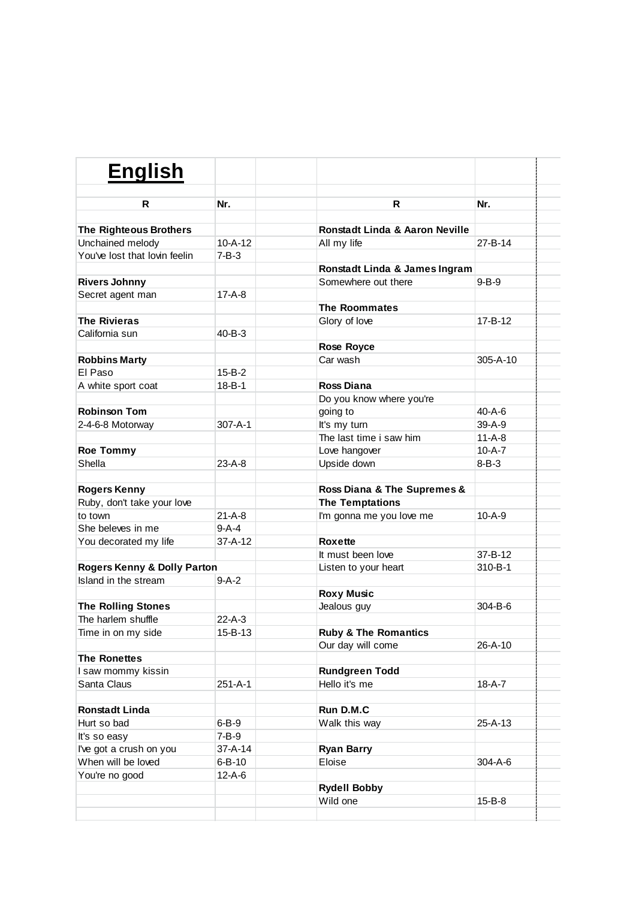| <b>English</b>                |               |                                 |              |  |
|-------------------------------|---------------|---------------------------------|--------------|--|
| R                             | Nr.           | R                               | Nr.          |  |
|                               |               |                                 |              |  |
| <b>The Righteous Brothers</b> |               | Ronstadt Linda & Aaron Neville  |              |  |
| Unchained melody              | $10 - A - 12$ | All my life                     | 27-B-14      |  |
| You've lost that lovin feelin | $7 - B - 3$   |                                 |              |  |
|                               |               | Ronstadt Linda & James Ingram   |              |  |
| <b>Rivers Johnny</b>          |               | Somewhere out there             | $9 - B - 9$  |  |
| Secret agent man              | $17 - A - 8$  |                                 |              |  |
|                               |               | <b>The Roommates</b>            |              |  |
| <b>The Rivieras</b>           |               | Glory of love                   | 17-B-12      |  |
| California sun                | 40-B-3        |                                 |              |  |
|                               |               | <b>Rose Royce</b>               |              |  |
| <b>Robbins Marty</b>          |               | Car wash                        | 305-A-10     |  |
| El Paso                       | $15 - B - 2$  |                                 |              |  |
| A white sport coat            | $18 - B - 1$  | Ross Diana                      |              |  |
|                               |               | Do you know where you're        |              |  |
| <b>Robinson Tom</b>           |               | going to                        | 40-A-6       |  |
| 2-4-6-8 Motorway              | $307 - A - 1$ | It's my turn                    | 39-A-9       |  |
|                               |               | The last time i saw him         | $11-A-8$     |  |
| <b>Roe Tommy</b>              |               | Love hangover                   | $10 - A - 7$ |  |
| Shella                        | $23-A-8$      | Upside down                     | $8 - B - 3$  |  |
|                               |               |                                 |              |  |
| <b>Rogers Kenny</b>           |               | Ross Diana & The Supremes &     |              |  |
| Ruby, don't take your love    |               | <b>The Temptations</b>          |              |  |
| to town                       | $21 - A - 8$  | I'm gonna me you love me        | $10 - A - 9$ |  |
| She beleves in me             | $9-A-4$       |                                 |              |  |
| You decorated my life         | $37 - A - 12$ | Roxette                         |              |  |
|                               |               | It must been love               | 37-B-12      |  |
| Rogers Kenny & Dolly Parton   |               | Listen to your heart            | 310-B-1      |  |
| Island in the stream          | $9-A-2$       |                                 |              |  |
|                               |               | <b>Roxy Music</b>               |              |  |
| <b>The Rolling Stones</b>     |               | Jealous guy                     | 304-B-6      |  |
| The harlem shuffle            | $22-A-3$      |                                 |              |  |
| Time in on my side            | 15-B-13       | <b>Ruby &amp; The Romantics</b> |              |  |
|                               |               | Our day will come               | 26-A-10      |  |
| <b>The Ronettes</b>           |               |                                 |              |  |
| I saw mommy kissin            |               | <b>Rundgreen Todd</b>           |              |  |
| Santa Claus                   | 251-A-1       | Hello it's me                   | 18-A-7       |  |
|                               |               |                                 |              |  |
| <b>Ronstadt Linda</b>         |               | Run D.M.C                       |              |  |
| Hurt so bad                   | $6 - B - 9$   | Walk this way                   | 25-A-13      |  |
| It's so easy                  | $7 - B - 9$   |                                 |              |  |
| I've got a crush on you       | 37-A-14       | <b>Ryan Barry</b>               |              |  |
| When will be loved            | 6-B-10        | Eloise                          | 304-A-6      |  |
| You're no good                | 12-A-6        |                                 |              |  |
|                               |               | <b>Rydell Bobby</b>             |              |  |
|                               |               | Wild one                        | 15-B-8       |  |
|                               |               |                                 |              |  |
|                               |               |                                 |              |  |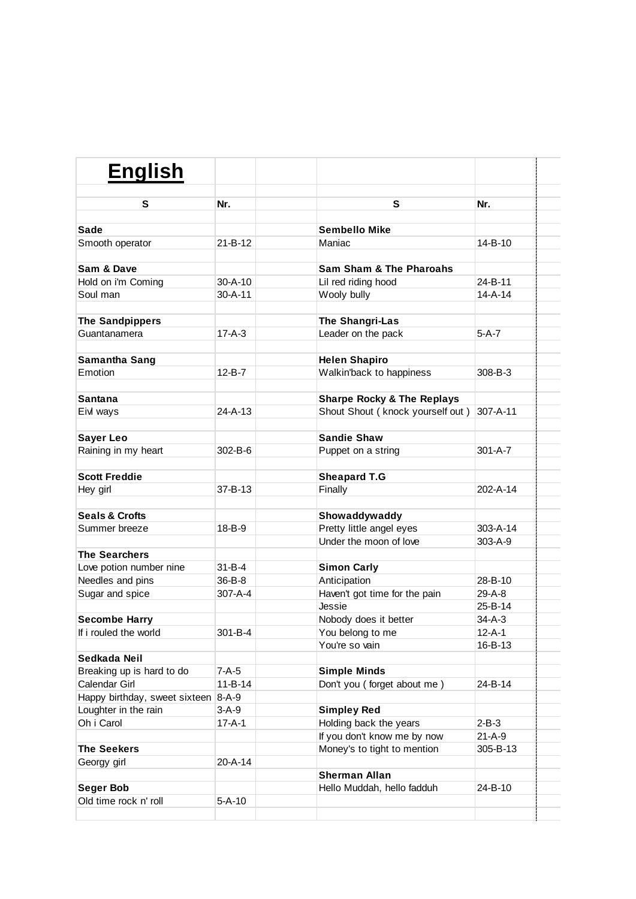| <b>English</b>                |               |                                           |               |  |
|-------------------------------|---------------|-------------------------------------------|---------------|--|
| S                             | Nr.           | S                                         | Nr.           |  |
|                               |               |                                           |               |  |
| <b>Sade</b>                   |               | <b>Sembello Mike</b>                      |               |  |
| Smooth operator               | $21 - B - 12$ | Maniac                                    | 14-B-10       |  |
| Sam & Dave                    |               | <b>Sam Sham &amp; The Pharoahs</b>        |               |  |
| Hold on i'm Coming            | $30 - A - 10$ | Lil red riding hood                       | 24-B-11       |  |
| Soul man                      | $30 - A - 11$ | Wooly bully                               | $14 - A - 14$ |  |
| <b>The Sandpippers</b>        |               | The Shangri-Las                           |               |  |
| Guantanamera                  | $17 - A - 3$  | Leader on the pack                        | $5-A-7$       |  |
|                               |               |                                           |               |  |
| Samantha Sang                 |               | <b>Helen Shapiro</b>                      |               |  |
| Emotion                       | $12 - B - 7$  | Walkin'back to happiness                  | 308-B-3       |  |
| Santana                       |               | <b>Sharpe Rocky &amp; The Replays</b>     |               |  |
| Eivl ways                     | $24 - A - 13$ | Shout Shout (knock yourself out)          | 307-A-11      |  |
|                               |               |                                           |               |  |
| <b>Sayer Leo</b>              |               | <b>Sandie Shaw</b>                        |               |  |
| Raining in my heart           | 302-B-6       | Puppet on a string                        | $301 - A - 7$ |  |
| <b>Scott Freddie</b>          |               | <b>Sheapard T.G</b>                       |               |  |
| Hey girl                      | 37-B-13       | Finally                                   | 202-A-14      |  |
| <b>Seals &amp; Crofts</b>     |               |                                           |               |  |
| Summer breeze                 | 18-B-9        | Showaddywaddy<br>Pretty little angel eyes | 303-A-14      |  |
|                               |               | Under the moon of love                    | 303-A-9       |  |
| <b>The Searchers</b>          |               |                                           |               |  |
| Love potion number nine       | $31 - B - 4$  | <b>Simon Carly</b>                        |               |  |
| Needles and pins              | 36-B-8        | Anticipation                              | 28-B-10       |  |
| Sugar and spice               | 307-A-4       | Haven't got time for the pain             | 29-A-8        |  |
|                               |               | Jessie                                    | 25-B-14       |  |
| <b>Secombe Harry</b>          |               | Nobody does it better                     | $34-A-3$      |  |
| If i rouled the world         | 301-B-4       | You belong to me                          | $12 - A - 1$  |  |
|                               |               | You're so vain                            | 16-B-13       |  |
| Sedkada Neil                  |               |                                           |               |  |
| Breaking up is hard to do     | $7-A-5$       | <b>Simple Minds</b>                       |               |  |
| Calendar Girl                 | $11 - B - 14$ | Don't you (forget about me)               | 24-B-14       |  |
| Happy birthday, sweet sixteen | $8 - A - 9$   |                                           |               |  |
| Loughter in the rain          | $3-A-9$       | <b>Simpley Red</b>                        |               |  |
| Oh i Carol                    | $17 - A - 1$  | Holding back the years                    | $2 - B - 3$   |  |
|                               |               | If you don't know me by now               | $21 - A - 9$  |  |
| <b>The Seekers</b>            |               | Money's to tight to mention               | 305-B-13      |  |
| Georgy girl                   | 20-A-14       |                                           |               |  |
|                               |               | <b>Sherman Allan</b>                      |               |  |
| <b>Seger Bob</b>              |               | Hello Muddah, hello fadduh                | 24-B-10       |  |
| Old time rock n' roll         | $5 - A - 10$  |                                           |               |  |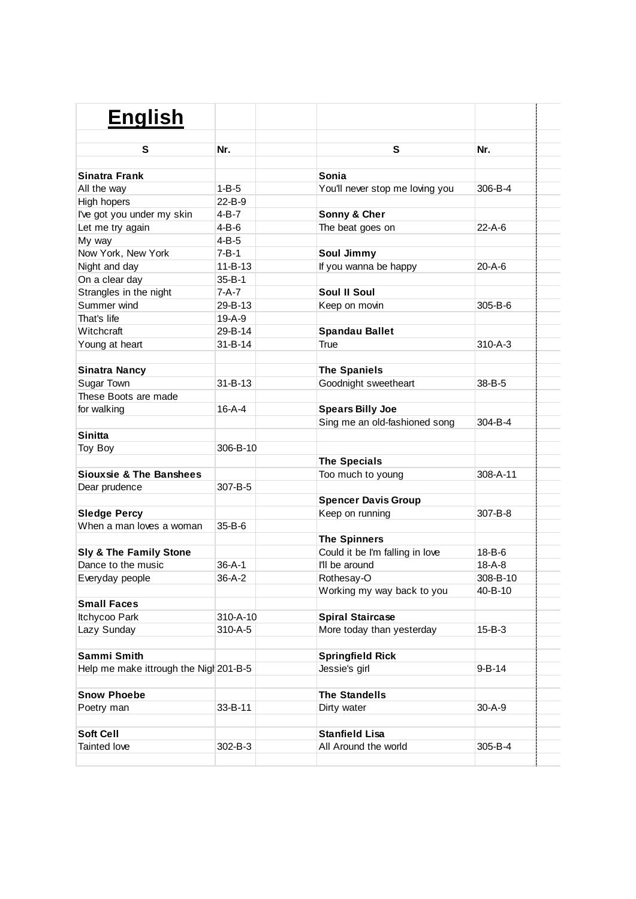| <b>English</b>                         |               |                                 |               |
|----------------------------------------|---------------|---------------------------------|---------------|
|                                        |               |                                 |               |
| S                                      | Nr.           | S                               | Nr.           |
| Sinatra Frank                          |               | Sonia                           |               |
| All the way                            | $1 - B - 5$   | You'll never stop me loving you | 306-B-4       |
| High hopers                            | 22-B-9        |                                 |               |
| I've got you under my skin             | 4-B-7         | Sonny & Cher                    |               |
| Let me try again                       | $4 - B - 6$   | The beat goes on                | 22-A-6        |
| My way                                 | $4-B-5$       |                                 |               |
| Now York, New York                     | 7-B-1         | Soul Jimmy                      |               |
| Night and day                          | $11 - B - 13$ | If you wanna be happy           | 20-A-6        |
| On a clear day                         | $35 - B - 1$  |                                 |               |
|                                        | 7-A-7         | <b>Soul II Soul</b>             |               |
| Strangles in the night<br>Summer wind  | 29-B-13       |                                 | 305-B-6       |
| That's life                            | $19-A-9$      | Keep on movin                   |               |
| Witchcraft                             | 29-B-14       |                                 |               |
|                                        | $31 - B - 14$ | <b>Spandau Ballet</b><br>True   | $310 - A - 3$ |
| Young at heart                         |               |                                 |               |
| <b>Sinatra Nancy</b>                   |               | <b>The Spaniels</b>             |               |
| Sugar Town                             | $31 - B - 13$ | Goodnight sweetheart            | 38-B-5        |
| These Boots are made                   |               |                                 |               |
| for walking                            | $16 - A - 4$  | <b>Spears Billy Joe</b>         |               |
|                                        |               | Sing me an old-fashioned song   | 304-B-4       |
| Sinitta                                |               |                                 |               |
| Toy Boy                                | 306-B-10      |                                 |               |
|                                        |               | <b>The Specials</b>             |               |
| Siouxsie & The Banshees                |               | Too much to young               | 308-A-11      |
| Dear prudence                          | 307-B-5       |                                 |               |
|                                        |               | <b>Spencer Davis Group</b>      |               |
| <b>Sledge Percy</b>                    |               | Keep on running                 | 307-B-8       |
| When a man loves a woman               | $35 - B - 6$  |                                 |               |
|                                        |               | <b>The Spinners</b>             |               |
| Sly & The Family Stone                 |               | Could it be I'm falling in love | $18 - B - 6$  |
| Dance to the music                     | $36 - A - 1$  | I'll be around                  | $18 - A - 8$  |
| Everyday people                        | $36-A-2$      | Rothesay-O                      | 308-B-10      |
|                                        |               | Working my way back to you      | 40-B-10       |
| <b>Small Faces</b>                     |               |                                 |               |
| Itchycoo Park                          | 310-A-10      | <b>Spiral Staircase</b>         |               |
| Lazy Sunday                            | 310-A-5       | More today than yesterday       | $15 - B - 3$  |
|                                        |               |                                 |               |
| Sammi Smith                            |               | <b>Springfield Rick</b>         |               |
| Help me make ittrough the Nigh 201-B-5 |               | Jessie's girl                   | 9-B-14        |
|                                        |               |                                 |               |
| <b>Snow Phoebe</b>                     |               | <b>The Standells</b>            |               |
| Poetry man                             | 33-B-11       | Dirty water                     | $30 - A - 9$  |
|                                        |               |                                 |               |
| <b>Soft Cell</b>                       |               | <b>Stanfield Lisa</b>           |               |
| Tainted love                           | 302-B-3       | All Around the world            | 305-B-4       |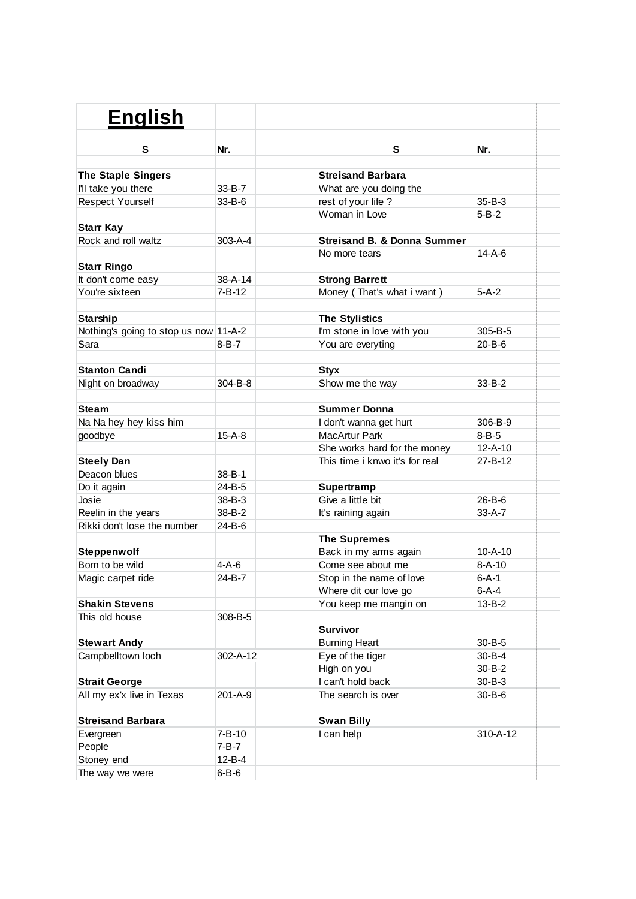| <b>English</b>                        |                       |                                |               |
|---------------------------------------|-----------------------|--------------------------------|---------------|
|                                       |                       |                                |               |
| S                                     | Nr.                   | S                              | Nr.           |
|                                       |                       |                                |               |
| <b>The Staple Singers</b>             |                       | <b>Streisand Barbara</b>       |               |
| I'll take you there                   | $33 - B - 7$          | What are you doing the         |               |
| <b>Respect Yourself</b>               | $33 - B - 6$          | rest of your life?             | $35 - B - 3$  |
|                                       |                       | Woman in Love                  | $5 - B - 2$   |
| <b>Starr Kay</b>                      |                       |                                |               |
| Rock and roll waltz                   | $303 - A - 4$         | Streisand B. & Donna Summer    |               |
|                                       |                       | No more tears                  | $14 - A - 6$  |
| <b>Starr Ringo</b>                    |                       |                                |               |
| It don't come easy                    | $38 - A - 14$         | <b>Strong Barrett</b>          |               |
| You're sixteen                        | $7 - B - 12$          | Money (That's what i want)     | $5-A-2$       |
|                                       |                       |                                |               |
| Starship                              |                       | <b>The Stylistics</b>          |               |
| Nothing's going to stop us now 11-A-2 |                       | I'm stone in love with you     | 305-B-5       |
| Sara                                  | 8-B-7                 | You are everyting              | $20 - B - 6$  |
|                                       |                       |                                |               |
| <b>Stanton Candi</b>                  |                       | <b>Styx</b>                    |               |
| Night on broadway                     | $304 - B - 8$         | Show me the way                | $33 - B - 2$  |
|                                       |                       |                                |               |
| <b>Steam</b>                          |                       | <b>Summer Donna</b>            |               |
| Na Na hey hey kiss him                |                       | I don't wanna get hurt         | 306-B-9       |
| goodbye                               | $15-A-8$              | MacArtur Park                  | $8 - B - 5$   |
|                                       |                       | She works hard for the money   | $12 - A - 10$ |
| <b>Steely Dan</b>                     |                       | This time i knwo it's for real | 27-B-12       |
| Deacon blues                          | 38-B-1                |                                |               |
| Do it again                           | 24-B-5                | Supertramp                     |               |
| Josie                                 | 38-B-3                | Give a little bit              | 26-B-6        |
| Reelin in the years                   | 38-B-2                | It's raining again             | $33 - A - 7$  |
| Rikki don't lose the number           | 24-B-6                |                                |               |
|                                       |                       | <b>The Supremes</b>            |               |
| Steppenwolf                           |                       | Back in my arms again          | $10 - A - 10$ |
| Born to be wild                       | 4-A-6                 | Come see about me              | $8 - A - 10$  |
| Magic carpet ride                     | 24-B-7                | Stop in the name of love       | $6 - A - 1$   |
|                                       |                       | Where dit our love go          | $6-A-4$       |
| <b>Shakin Stevens</b>                 |                       | You keep me mangin on          | $13 - B - 2$  |
| This old house                        | 308-B-5               |                                |               |
|                                       |                       | <b>Survivor</b>                |               |
| <b>Stewart Andy</b>                   |                       | <b>Burning Heart</b>           | $30 - B - 5$  |
| Campbelltown loch                     | 302-A-12              | Eye of the tiger               | $30 - B - 4$  |
|                                       |                       | High on you                    | $30 - B - 2$  |
| <b>Strait George</b>                  |                       | I can't hold back              | $30 - B - 3$  |
| All my ex'x live in Texas             | 201-A-9               | The search is over             | $30 - B - 6$  |
|                                       |                       |                                |               |
| <b>Streisand Barbara</b>              |                       | <b>Swan Billy</b>              |               |
| Evergreen                             | 7-B-10                | I can help                     | 310-A-12      |
| People                                | 7-B-7                 |                                |               |
| Stoney end                            | 12-B-4<br>$6 - B - 6$ |                                |               |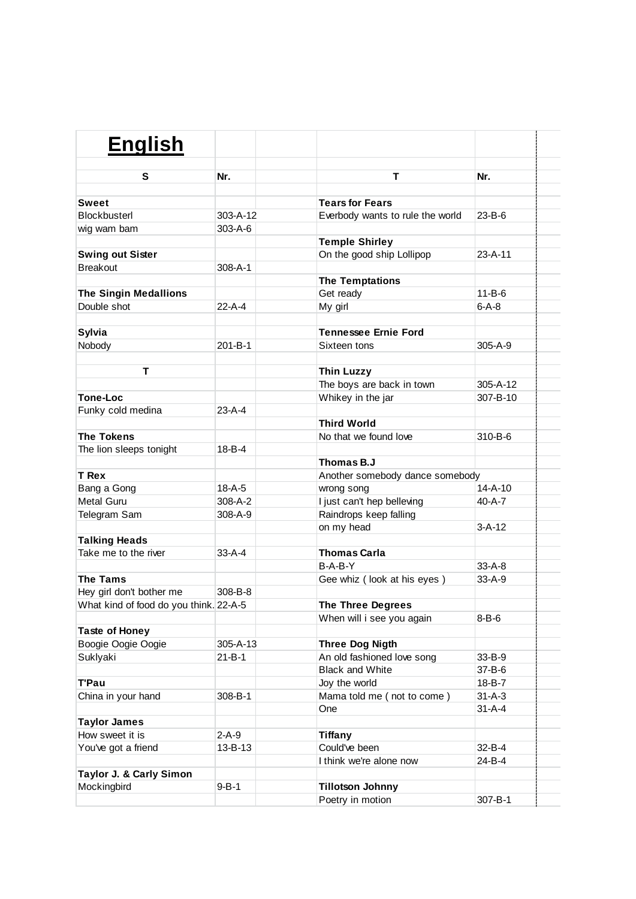| <b>English</b>                         |               |                                             |                  |  |
|----------------------------------------|---------------|---------------------------------------------|------------------|--|
| s                                      | Nr.           | т                                           | Nr.              |  |
|                                        |               |                                             |                  |  |
| <b>Sweet</b><br>Blockbusterl           | 303-A-12      | <b>Tears for Fears</b>                      | $23 - B - 6$     |  |
|                                        | $303 - A - 6$ | Everbody wants to rule the world            |                  |  |
| wig wam bam                            |               | <b>Temple Shirley</b>                       |                  |  |
| <b>Swing out Sister</b>                |               | On the good ship Lollipop                   | $23 - A - 11$    |  |
| <b>Breakout</b>                        | $308 - A - 1$ |                                             |                  |  |
|                                        |               | <b>The Temptations</b>                      |                  |  |
| <b>The Singin Medallions</b>           |               | Get ready                                   | $11 - B - 6$     |  |
| Double shot                            | $22 - A - 4$  | My girl                                     | $6 - A - 8$      |  |
|                                        |               |                                             |                  |  |
| Sylvia                                 |               | <b>Tennessee Ernie Ford</b>                 |                  |  |
| Nobody                                 | 201-B-1       | Sixteen tons                                | $305 - A - 9$    |  |
|                                        |               |                                             |                  |  |
| т                                      |               | <b>Thin Luzzy</b>                           |                  |  |
|                                        |               | The boys are back in town                   | 305-A-12         |  |
| <b>Tone-Loc</b>                        |               | Whikey in the jar                           | 307-B-10         |  |
| Funky cold medina                      | $23-A-4$      |                                             |                  |  |
|                                        |               | <b>Third World</b>                          |                  |  |
| <b>The Tokens</b>                      |               | No that we found love                       | 310-B-6          |  |
| The lion sleeps tonight                | 18-B-4        |                                             |                  |  |
|                                        |               | Thomas B.J                                  |                  |  |
| <b>T</b> Rex                           |               | Another somebody dance somebody             |                  |  |
| Bang a Gong                            | $18 - A - 5$  | wrong song                                  | $14 - A - 10$    |  |
| <b>Metal Guru</b>                      | 308-A-2       | I just can't hep belleving                  | $40 - A - 7$     |  |
| Telegram Sam                           | $308 - A - 9$ | Raindrops keep falling                      |                  |  |
|                                        |               | on my head                                  | $3-A-12$         |  |
| <b>Talking Heads</b>                   |               |                                             |                  |  |
| Take me to the river                   | $33-A-4$      | <b>Thomas Carla</b>                         |                  |  |
|                                        |               | $B-A-B-Y$                                   | $33 - A - 8$     |  |
| <b>The Tams</b>                        |               | Gee whiz (look at his eyes)                 | $33 - A - 9$     |  |
| Hey girl don't bother me               | 308-B-8       |                                             |                  |  |
| What kind of food do you think. 22-A-5 |               | <b>The Three Degrees</b>                    |                  |  |
|                                        |               | When will i see you again                   | $8 - B - 6$      |  |
| <b>Taste of Honey</b>                  |               |                                             |                  |  |
| Boogie Oogie Oogie                     | 305-A-13      | <b>Three Dog Nigth</b>                      | 33-B-9           |  |
| Suklyaki                               | $21 - B - 1$  | An old fashioned love song                  |                  |  |
|                                        |               | <b>Black and White</b>                      | 37-B-6<br>18-B-7 |  |
| <b>T'Pau</b>                           | 308-B-1       | Joy the world<br>Mama told me (not to come) | $31 - A - 3$     |  |
| China in your hand                     |               |                                             | $31 - A - 4$     |  |
| <b>Taylor James</b>                    |               | <b>One</b>                                  |                  |  |
| How sweet it is                        | $2-A-9$       | <b>Tiffany</b>                              |                  |  |
| You've got a friend                    | 13-B-13       | Could've been                               | $32 - B - 4$     |  |
|                                        |               | I think we're alone now                     | 24-B-4           |  |
| Taylor J. & Carly Simon                |               |                                             |                  |  |
| Mockingbird                            | $9 - B - 1$   | <b>Tillotson Johnny</b>                     |                  |  |
|                                        |               | Poetry in motion                            | 307-B-1          |  |
|                                        |               |                                             |                  |  |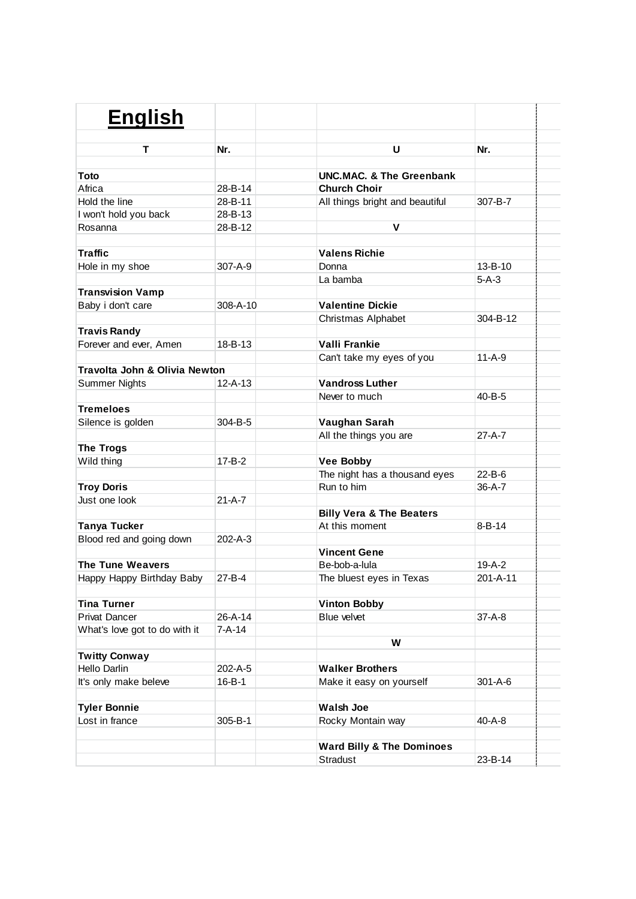| <b>English</b>                           |                |                                             |               |
|------------------------------------------|----------------|---------------------------------------------|---------------|
|                                          |                |                                             |               |
| т                                        | Nr.            | U                                           | Nr.           |
|                                          |                |                                             |               |
| Toto                                     |                | UNC.MAC. & The Greenbank                    |               |
| Africa                                   | 28-B-14        | <b>Church Choir</b>                         |               |
| Hold the line                            | 28-B-11        | All things bright and beautiful             | 307-B-7       |
| I won't hold you back                    | 28-B-13        |                                             |               |
| Rosanna                                  | 28-B-12        | V                                           |               |
| <b>Traffic</b>                           |                | <b>Valens Richie</b>                        |               |
| Hole in my shoe                          | $307 - A - 9$  | Donna                                       | $13 - B - 10$ |
|                                          |                | La bamba                                    | $5-A-3$       |
| <b>Transvision Vamp</b>                  |                |                                             |               |
| Baby i don't care                        | $308 - A - 10$ | <b>Valentine Dickie</b>                     |               |
|                                          |                | Christmas Alphabet                          | 304-B-12      |
| <b>Travis Randy</b>                      |                |                                             |               |
| Forever and ever, Amen                   | $18 - B - 13$  | Valli Frankie                               |               |
|                                          |                | Can't take my eyes of you                   | $11-A-9$      |
| <b>Travolta John &amp; Olivia Newton</b> |                |                                             |               |
| <b>Summer Nights</b>                     | $12 - A - 13$  | <b>Vandross Luther</b>                      |               |
|                                          |                | Never to much                               | 40-B-5        |
| <b>Tremeloes</b>                         |                |                                             |               |
| Silence is golden                        | $304 - B - 5$  | Vaughan Sarah                               |               |
|                                          |                | All the things you are                      | $27 - A - 7$  |
|                                          |                |                                             |               |
| <b>The Trogs</b><br>Wild thing           | $17 - B - 2$   | <b>Vee Bobby</b>                            |               |
|                                          |                |                                             | $22 - B - 6$  |
|                                          |                | The night has a thousand eyes<br>Run to him | $36-A-7$      |
| <b>Troy Doris</b><br>Just one look       | $21 - A - 7$   |                                             |               |
|                                          |                |                                             |               |
|                                          |                | <b>Billy Vera &amp; The Beaters</b>         |               |
| <b>Tanya Tucker</b>                      |                | At this moment                              | $8 - B - 14$  |
| Blood red and going down                 | 202-A-3        |                                             |               |
|                                          |                | <b>Vincent Gene</b>                         |               |
| <b>The Tune Weavers</b>                  |                | Be-bob-a-lula                               | $19-A-2$      |
| Happy Happy Birthday Baby                | 27-B-4         | The bluest eyes in Texas                    | 201-A-11      |
| <b>Tina Turner</b>                       |                | <b>Vinton Bobby</b>                         |               |
| <b>Privat Dancer</b>                     | 26-A-14        | Blue velvet                                 | $37 - A - 8$  |
|                                          |                |                                             |               |
| What's love got to do with it            | $7 - A - 14$   | W                                           |               |
| <b>Twitty Conway</b>                     |                |                                             |               |
| Hello Darlin                             | 202-A-5        | <b>Walker Brothers</b>                      |               |
|                                          |                |                                             |               |
| It's only make beleve                    | $16 - B - 1$   | Make it easy on yourself                    | 301-A-6       |
| <b>Tyler Bonnie</b>                      |                | <b>Walsh Joe</b>                            |               |
| Lost in france                           | 305-B-1        | Rocky Montain way                           | 40-A-8        |
|                                          |                |                                             |               |
|                                          |                | <b>Ward Billy &amp; The Dominoes</b>        |               |
|                                          |                | <b>Stradust</b>                             | 23-B-14       |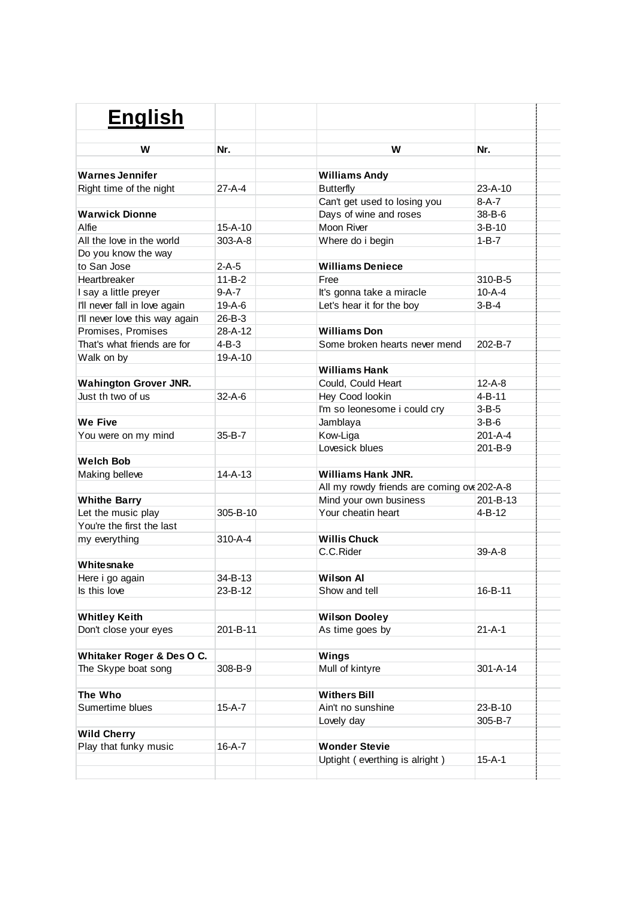| <b>English</b>                 |               |                                             |                |
|--------------------------------|---------------|---------------------------------------------|----------------|
|                                |               |                                             |                |
| W                              | Nr.           | W                                           | Nr.            |
| <b>Warnes Jennifer</b>         |               | <b>Williams Andy</b>                        |                |
| Right time of the night        | 27-A-4        | <b>Butterfly</b>                            | $23 - A - 10$  |
|                                |               | Can't get used to losing you                | $8-A-7$        |
| <b>Warwick Dionne</b>          |               | Days of wine and roses                      | $38 - B - 6$   |
| Alfie                          | $15 - A - 10$ | Moon River                                  | $3 - B - 10$   |
| All the love in the world      | $303 - A - 8$ | Where do i begin                            | $1 - B - 7$    |
| Do you know the way            |               |                                             |                |
| to San Jose                    | $2-A-5$       | <b>Williams Deniece</b>                     |                |
| Heartbreaker                   | $11 - B - 2$  | Free                                        | 310-B-5        |
| I say a little preyer          | $9-A-7$       | It's gonna take a miracle                   | $10-A-4$       |
| I'll never fall in love again  | $19-A-6$      | Let's hear it for the boy                   | 3-B-4          |
| I'll never love this way again | $26 - B - 3$  |                                             |                |
| Promises, Promises             | 28-A-12       | <b>Williams Don</b>                         |                |
| That's what friends are for    | 4-B-3         | Some broken hearts never mend               | 202-B-7        |
| Walk on by                     | $19 - A - 10$ |                                             |                |
|                                |               | <b>Williams Hank</b>                        |                |
| <b>Wahington Grover JNR.</b>   |               | Could, Could Heart                          | $12 - A - 8$   |
| Just th two of us              | $32 - A - 6$  | Hey Cood lookin                             | $4 - B - 11$   |
|                                |               | I'm so leonesome i could cry                | $3 - B - 5$    |
| We Five                        |               | Jamblaya                                    | $3-B-6$        |
| You were on my mind            | $35 - B - 7$  | Kow-Liga                                    | $201 - A - 4$  |
|                                |               | Lovesick blues                              | $201 - B - 9$  |
| <b>Welch Bob</b>               |               |                                             |                |
| Making belleve                 | $14 - A - 13$ | <b>Williams Hank JNR.</b>                   |                |
|                                |               | All my rowdy friends are coming ove 202-A-8 |                |
| <b>Whithe Barry</b>            |               | Mind your own business                      | 201-B-13       |
| Let the music play             | 305-B-10      | Your cheatin heart                          | $4 - B - 12$   |
| You're the first the last      |               |                                             |                |
| my everything                  | 310-A-4       | <b>Willis Chuck</b>                         |                |
|                                |               | C.C.Rider                                   | $39-A-8$       |
| Whitesnake                     |               |                                             |                |
| Here i go again                | 34-B-13       | <b>Wilson Al</b>                            |                |
| Is this love                   | 23-B-12       | Show and tell                               | 16-B-11        |
|                                |               | <b>Wilson Dooley</b>                        |                |
| <b>Whitley Keith</b>           | 201-B-11      | As time goes by                             | $21 - A - 1$   |
| Don't close your eyes          |               |                                             |                |
| Whitaker Roger & Des O C.      |               | <b>Wings</b>                                |                |
| The Skype boat song            | 308-B-9       | Mull of kintyre                             | $301 - A - 14$ |
|                                |               |                                             |                |
| The Who                        |               | <b>Withers Bill</b>                         |                |
| Sumertime blues                | 15-A-7        | Ain't no sunshine                           | 23-B-10        |
|                                |               | Lovely day                                  | 305-B-7        |
| <b>Wild Cherry</b>             |               |                                             |                |
| Play that funky music          | 16-A-7        | <b>Wonder Stevie</b>                        |                |
|                                |               | Uptight (everthing is alright)              | $15 - A - 1$   |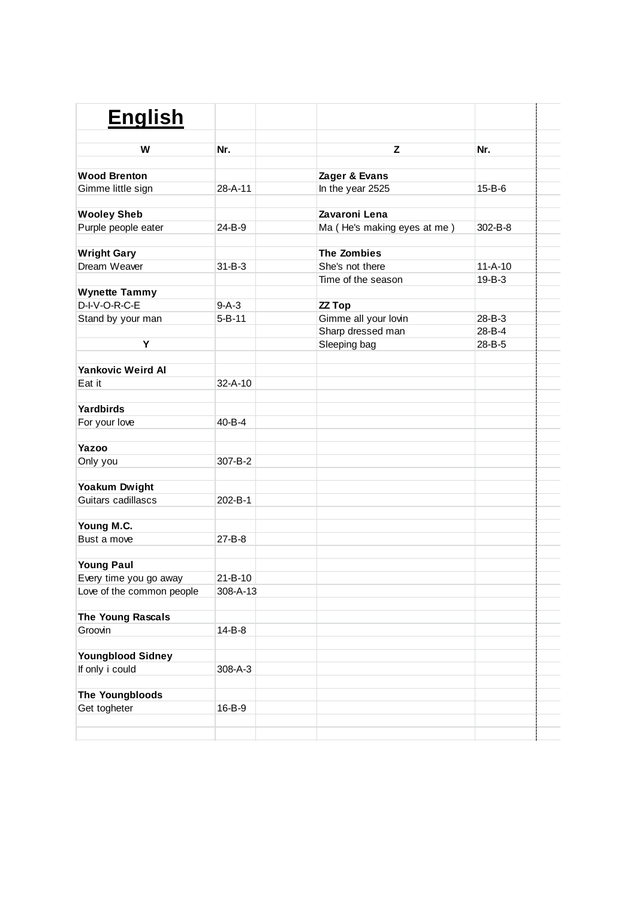| <b>English</b>            |               |                             |               |  |
|---------------------------|---------------|-----------------------------|---------------|--|
| W                         | Nr.           | Z                           | Nr.           |  |
| <b>Wood Brenton</b>       |               | Zager & Evans               |               |  |
| Gimme little sign         | 28-A-11       | In the year 2525            | $15 - B - 6$  |  |
| <b>Wooley Sheb</b>        |               | Zavaroni Lena               |               |  |
| Purple people eater       | 24-B-9        | Ma (He's making eyes at me) | 302-B-8       |  |
| <b>Wright Gary</b>        |               | <b>The Zombies</b>          |               |  |
| Dream Weaver              | $31 - B - 3$  | She's not there             | $11 - A - 10$ |  |
|                           |               | Time of the season          | $19 - B - 3$  |  |
| <b>Wynette Tammy</b>      |               |                             |               |  |
| D-I-V-O-R-C-E             | $9-A-3$       | <b>ZZ Top</b>               |               |  |
| Stand by your man         | $5 - B - 11$  | Gimme all your lovin        | 28-B-3        |  |
|                           |               | Sharp dressed man           | 28-B-4        |  |
| Υ                         |               | Sleeping bag                | 28-B-5        |  |
|                           |               |                             |               |  |
| <b>Yankovic Weird Al</b>  |               |                             |               |  |
| Eat it                    | $32 - A - 10$ |                             |               |  |
| Yardbirds                 |               |                             |               |  |
| For your love             | 40-B-4        |                             |               |  |
| Yazoo                     |               |                             |               |  |
| Only you                  | 307-B-2       |                             |               |  |
| Yoakum Dwight             |               |                             |               |  |
| Guitars cadillascs        | 202-B-1       |                             |               |  |
| Young M.C.                |               |                             |               |  |
| Bust a move               | 27-B-8        |                             |               |  |
| <b>Young Paul</b>         |               |                             |               |  |
| Every time you go away    | $21 - B - 10$ |                             |               |  |
| Love of the common people | 308-A-13      |                             |               |  |
| The Young Rascals         |               |                             |               |  |
| Groovin                   | $14 - B - 8$  |                             |               |  |
| <b>Youngblood Sidney</b>  |               |                             |               |  |
| If only i could           | 308-A-3       |                             |               |  |
|                           |               |                             |               |  |
| The Youngbloods           |               |                             |               |  |
| Get togheter              | 16-B-9        |                             |               |  |
|                           |               |                             |               |  |
|                           |               |                             |               |  |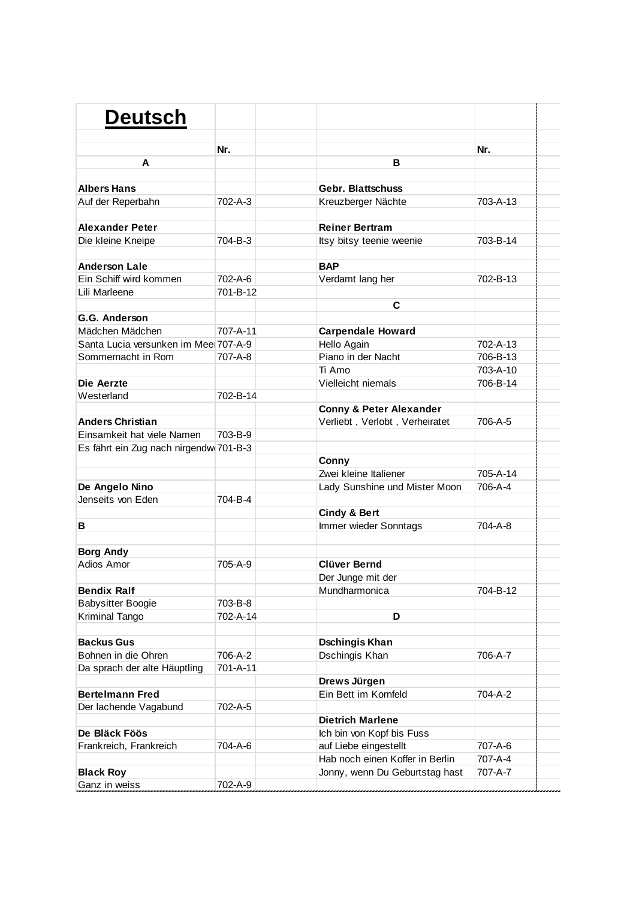| <b>Deutsch</b>                         |                |                                    |          |  |
|----------------------------------------|----------------|------------------------------------|----------|--|
|                                        |                |                                    |          |  |
| A                                      | Nr.            | в                                  | Nr.      |  |
|                                        |                |                                    |          |  |
| <b>Albers Hans</b>                     |                | <b>Gebr. Blattschuss</b>           |          |  |
| Auf der Reperbahn                      | $702 - A - 3$  | Kreuzberger Nächte                 | 703-A-13 |  |
|                                        |                |                                    |          |  |
| <b>Alexander Peter</b>                 |                | <b>Reiner Bertram</b>              |          |  |
| Die kleine Kneipe                      | 704-B-3        | Itsy bitsy teenie weenie           | 703-B-14 |  |
|                                        |                |                                    |          |  |
| <b>Anderson Lale</b>                   |                | <b>BAP</b>                         |          |  |
| Ein Schiff wird kommen                 | 702-A-6        | Verdamt lang her                   | 702-B-13 |  |
| Lili Marleene                          | 701-B-12       |                                    |          |  |
|                                        |                | C                                  |          |  |
| G.G. Anderson                          |                |                                    |          |  |
| Mädchen Mädchen                        | $707 - A - 11$ | <b>Carpendale Howard</b>           |          |  |
| Santa Lucia versunken im Mee 707-A-9   |                | Hello Again                        | 702-A-13 |  |
| Sommernacht in Rom                     | 707-A-8        | Piano in der Nacht                 | 706-B-13 |  |
|                                        |                | Ti Amo                             | 703-A-10 |  |
| Die Aerzte                             |                | Vielleicht niemals                 | 706-B-14 |  |
| Westerland                             | 702-B-14       |                                    |          |  |
|                                        |                | <b>Conny &amp; Peter Alexander</b> |          |  |
| <b>Anders Christian</b>                |                | Verliebt, Verlobt, Verheiratet     | 706-A-5  |  |
| Einsamkeit hat viele Namen             | 703-B-9        |                                    |          |  |
| Es fährt ein Zug nach nirgendw 701-B-3 |                |                                    |          |  |
|                                        |                | Conny                              |          |  |
|                                        |                | Zwei kleine Italiener              | 705-A-14 |  |
| De Angelo Nino                         |                | Lady Sunshine und Mister Moon      | 706-A-4  |  |
| Jenseits von Eden                      | 704-B-4        |                                    |          |  |
|                                        |                | <b>Cindy &amp; Bert</b>            |          |  |
| В                                      |                | Immer wieder Sonntags              | 704-A-8  |  |
|                                        |                |                                    |          |  |
| <b>Borg Andy</b>                       |                |                                    |          |  |
| Adios Amor                             | 705-A-9        | <b>Clüver Bernd</b>                |          |  |
|                                        |                | Der Junge mit der                  |          |  |
| <b>Bendix Ralf</b>                     |                | Mundharmonica                      | 704-B-12 |  |
| <b>Babysitter Boogie</b>               | 703-B-8        |                                    |          |  |
| Kriminal Tango                         | 702-A-14       | D                                  |          |  |
| <b>Backus Gus</b>                      |                | <b>Dschingis Khan</b>              |          |  |
| Bohnen in die Ohren                    | 706-A-2        | Dschingis Khan                     | 706-A-7  |  |
| Da sprach der alte Häuptling           | 701-A-11       |                                    |          |  |
|                                        |                | Drews Jürgen                       |          |  |
| <b>Bertelmann Fred</b>                 |                | Ein Bett im Kornfeld               | 704-A-2  |  |
| Der lachende Vagabund                  | 702-A-5        |                                    |          |  |
|                                        |                | <b>Dietrich Marlene</b>            |          |  |
| De Bläck Föös                          |                | Ich bin von Kopf bis Fuss          |          |  |
| Frankreich, Frankreich                 | 704-A-6        | auf Liebe eingestellt              | 707-A-6  |  |
|                                        |                | Hab noch einen Koffer in Berlin    | 707-A-4  |  |
| <b>Black Roy</b>                       |                | Jonny, wenn Du Geburtstag hast     | 707-A-7  |  |
| Ganz in weiss                          | 702-A-9        |                                    |          |  |
|                                        |                |                                    |          |  |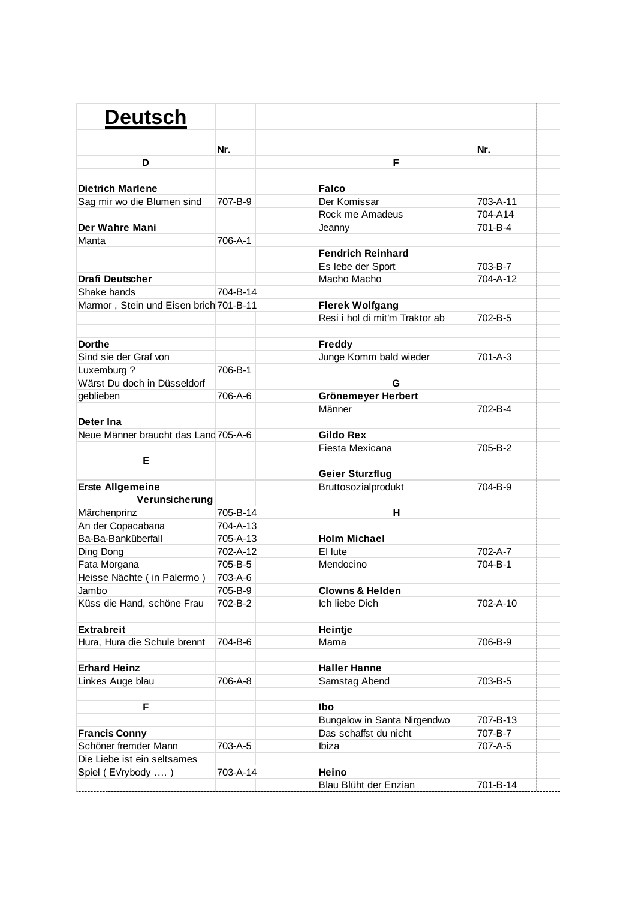| <b>Deutsch</b>                         |          |                                |          |  |
|----------------------------------------|----------|--------------------------------|----------|--|
|                                        | Nr.      |                                | Nr.      |  |
| D                                      |          | F                              |          |  |
|                                        |          |                                |          |  |
| <b>Dietrich Marlene</b>                |          | <b>Falco</b>                   |          |  |
| Sag mir wo die Blumen sind             | 707-B-9  | Der Komissar                   | 703-A-11 |  |
|                                        |          | Rock me Amadeus                | 704-A14  |  |
| Der Wahre Mani                         |          | Jeanny                         | 701-B-4  |  |
| Manta                                  | 706-A-1  |                                |          |  |
|                                        |          | <b>Fendrich Reinhard</b>       |          |  |
|                                        |          | Es lebe der Sport              | 703-B-7  |  |
| <b>Drafi Deutscher</b>                 |          | Macho Macho                    | 704-A-12 |  |
| Shake hands                            | 704-B-14 |                                |          |  |
| Marmor, Stein und Eisen brich 701-B-11 |          | <b>Flerek Wolfgang</b>         |          |  |
|                                        |          | Resi i hol di mit'm Traktor ab | 702-B-5  |  |
|                                        |          |                                |          |  |
| <b>Dorthe</b>                          |          | Freddy                         |          |  |
| Sind sie der Graf von                  |          | Junge Komm bald wieder         | 701-A-3  |  |
| Luxemburg ?                            | 706-B-1  |                                |          |  |
| Wärst Du doch in Düsseldorf            |          | G                              |          |  |
| geblieben                              | 706-A-6  | Grönemeyer Herbert             |          |  |
|                                        |          | Männer                         | 702-B-4  |  |
| Deter Ina                              |          |                                |          |  |
| Neue Männer braucht das Land 705-A-6   |          | <b>Gildo Rex</b>               |          |  |
|                                        |          | Fiesta Mexicana                | 705-B-2  |  |
| Е                                      |          |                                |          |  |
|                                        |          | <b>Geier Sturzflug</b>         |          |  |
| <b>Erste Allgemeine</b>                |          | Bruttosozialprodukt            | 704-B-9  |  |
| Verunsicherung                         |          |                                |          |  |
| Märchenprinz                           | 705-B-14 | н                              |          |  |
| An der Copacabana                      | 704-A-13 |                                |          |  |
| Ba-Ba-Banküberfall                     | 705-A-13 | <b>Holm Michael</b>            |          |  |
| Ding Dong                              | 702-A-12 | El lute                        | 702-A-7  |  |
| Fata Morgana                           | 705-B-5  | Mendocino                      | 704-B-1  |  |
| Heisse Nächte (in Palermo)             | 703-A-6  |                                |          |  |
| Jambo                                  | 705-B-9  | <b>Clowns &amp; Helden</b>     |          |  |
| Küss die Hand, schöne Frau             | 702-B-2  | Ich liebe Dich                 | 702-A-10 |  |
|                                        |          |                                |          |  |
| <b>Extrabreit</b>                      |          | Heintje                        |          |  |
| Hura, Hura die Schule brennt           | 704-B-6  | Mama                           | 706-B-9  |  |
|                                        |          |                                |          |  |
| <b>Erhard Heinz</b>                    |          | <b>Haller Hanne</b>            |          |  |
| Linkes Auge blau                       | 706-A-8  | Samstag Abend                  | 703-B-5  |  |
|                                        |          |                                |          |  |
| F                                      |          | Ibo                            |          |  |
|                                        |          | Bungalow in Santa Nirgendwo    | 707-B-13 |  |
| <b>Francis Conny</b>                   |          | Das schaffst du nicht          | 707-B-7  |  |
| Schöner fremder Mann                   | 703-A-5  | Ibiza                          | 707-A-5  |  |
| Die Liebe ist ein seltsames            |          |                                |          |  |
| Spiel (Evrybody )                      | 703-A-14 | Heino                          |          |  |
|                                        |          | Blau Blüht der Enzian          | 701-B-14 |  |
|                                        |          |                                |          |  |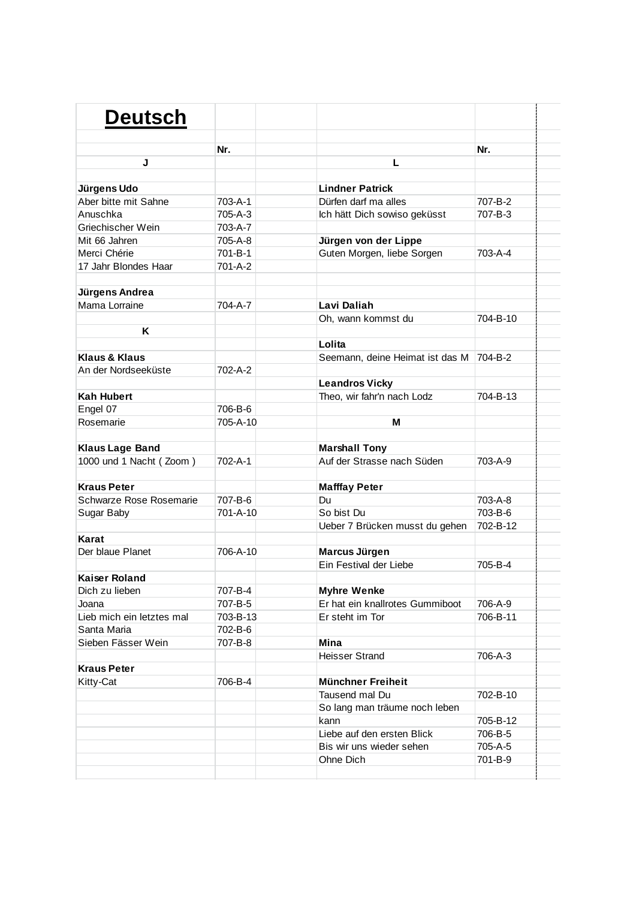| <b>Deutsch</b>            |               |                                 |               |
|---------------------------|---------------|---------------------------------|---------------|
|                           |               |                                 |               |
|                           | Nr.           |                                 | Nr.           |
| J                         |               | L                               |               |
|                           |               |                                 |               |
| Jürgens Udo               |               | <b>Lindner Patrick</b>          |               |
| Aber bitte mit Sahne      | $703 - A - 1$ | Dürfen darf ma alles            | 707-B-2       |
| Anuschka                  | $705 - A - 3$ | Ich hätt Dich sowiso geküsst    | 707-B-3       |
| Griechischer Wein         | 703-A-7       |                                 |               |
| Mit 66 Jahren             | 705-A-8       | Jürgen von der Lippe            |               |
| Merci Chérie              | 701-B-1       | Guten Morgen, liebe Sorgen      | $703 - A - 4$ |
| 17 Jahr Blondes Haar      | 701-A-2       |                                 |               |
|                           |               |                                 |               |
| Jürgens Andrea            |               |                                 |               |
| Mama Lorraine             | 704-A-7       | Lavi Daliah                     |               |
|                           |               | Oh, wann kommst du              | 704-B-10      |
| Κ                         |               |                                 |               |
|                           |               | Lolita                          |               |
| <b>Klaus &amp; Klaus</b>  |               | Seemann, deine Heimat ist das M | 704-B-2       |
| An der Nordseeküste       | 702-A-2       |                                 |               |
|                           |               | <b>Leandros Vicky</b>           |               |
| <b>Kah Hubert</b>         |               | Theo, wir fahr'n nach Lodz      | 704-B-13      |
| Engel 07                  | 706-B-6       |                                 |               |
| Rosemarie                 | 705-A-10      | м                               |               |
|                           |               |                                 |               |
| <b>Klaus Lage Band</b>    |               | <b>Marshall Tony</b>            |               |
| 1000 und 1 Nacht (Zoom)   | 702-A-1       | Auf der Strasse nach Süden      | 703-A-9       |
|                           |               |                                 |               |
| <b>Kraus Peter</b>        |               | <b>Mafffay Peter</b>            |               |
| Schwarze Rose Rosemarie   | 707-B-6       | Du                              | 703-A-8       |
| Sugar Baby                | 701-A-10      | So bist Du                      | 703-B-6       |
|                           |               | Ueber 7 Brücken musst du gehen  | 702-B-12      |
| Karat                     |               |                                 |               |
| Der blaue Planet          | 706-A-10      | Marcus Jürgen                   |               |
|                           |               | Ein Festival der Liebe          | 705-B-4       |
| <b>Kaiser Roland</b>      |               |                                 |               |
| Dich zu lieben            | 707-B-4       | <b>Myhre Wenke</b>              |               |
| Joana                     | 707-B-5       | Er hat ein knallrotes Gummiboot | 706-A-9       |
| Lieb mich ein letztes mal | 703-B-13      | Er steht im Tor                 | 706-B-11      |
| Santa Maria               | 702-B-6       |                                 |               |
| Sieben Fässer Wein        | 707-B-8       | Mina                            |               |
|                           |               | <b>Heisser Strand</b>           | 706-A-3       |
| <b>Kraus Peter</b>        |               |                                 |               |
| Kitty-Cat                 | 706-B-4       | <b>Münchner Freiheit</b>        |               |
|                           |               | Tausend mal Du                  | 702-B-10      |
|                           |               | So lang man träume noch leben   |               |
|                           |               | kann                            | 705-B-12      |
|                           |               | Liebe auf den ersten Blick      | 706-B-5       |
|                           |               | Bis wir uns wieder sehen        | 705-A-5       |
|                           |               |                                 |               |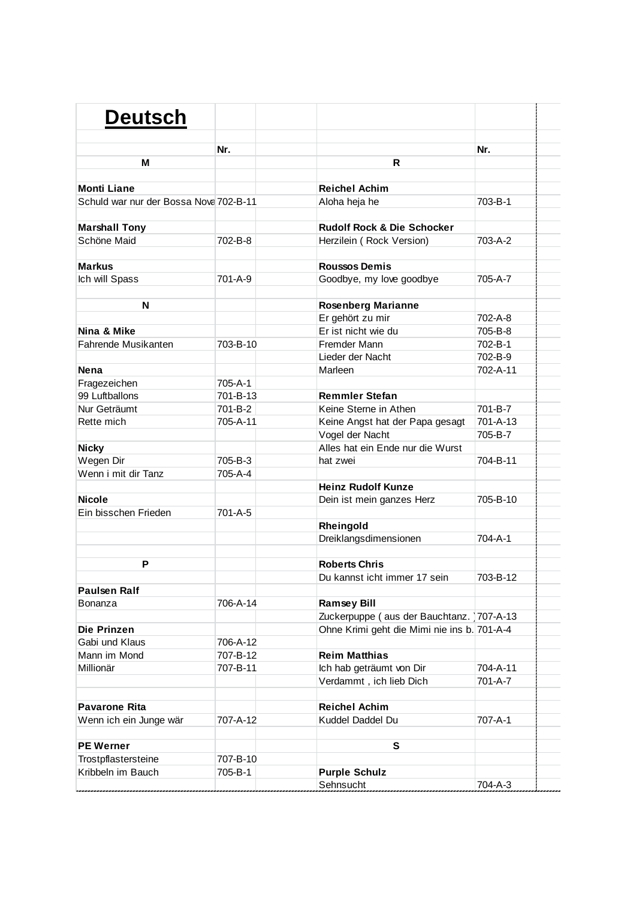| <b>Deutsch</b>                         |          |                                             |          |  |
|----------------------------------------|----------|---------------------------------------------|----------|--|
|                                        | Nr.      |                                             | Nr.      |  |
| M                                      |          | R                                           |          |  |
|                                        |          |                                             |          |  |
| <b>Monti Liane</b>                     |          | <b>Reichel Achim</b>                        |          |  |
| Schuld war nur der Bossa Nova 702-B-11 |          | Aloha heja he                               | 703-B-1  |  |
|                                        |          |                                             |          |  |
| <b>Marshall Tony</b>                   |          | <b>Rudolf Rock &amp; Die Schocker</b>       |          |  |
| Schöne Maid                            | 702-B-8  | Herzilein (Rock Version)                    | 703-A-2  |  |
|                                        |          |                                             |          |  |
| <b>Markus</b>                          |          | <b>Roussos Demis</b>                        |          |  |
| Ich will Spass                         | 701-A-9  | Goodbye, my love goodbye                    | 705-A-7  |  |
|                                        |          |                                             |          |  |
| N                                      |          | <b>Rosenberg Marianne</b>                   |          |  |
|                                        |          | Er gehört zu mir                            | 702-A-8  |  |
| Nina & Mike                            |          | Er ist nicht wie du                         | 705-B-8  |  |
| Fahrende Musikanten                    | 703-B-10 | Fremder Mann                                | 702-B-1  |  |
|                                        |          | Lieder der Nacht                            | 702-B-9  |  |
| <b>Nena</b>                            |          | Marleen                                     | 702-A-11 |  |
| Fragezeichen                           | 705-A-1  |                                             |          |  |
| 99 Luftballons                         | 701-B-13 | <b>Remmler Stefan</b>                       |          |  |
| Nur Geträumt                           | 701-B-2  | Keine Sterne in Athen                       | 701-B-7  |  |
| Rette mich                             | 705-A-11 | Keine Angst hat der Papa gesagt             | 701-A-13 |  |
|                                        |          | Vogel der Nacht                             | 705-B-7  |  |
| <b>Nicky</b>                           |          | Alles hat ein Ende nur die Wurst            |          |  |
| Wegen Dir                              | 705-B-3  | hat zwei                                    | 704-B-11 |  |
| Wenn i mit dir Tanz                    | 705-A-4  |                                             |          |  |
|                                        |          | <b>Heinz Rudolf Kunze</b>                   |          |  |
| <b>Nicole</b>                          |          | Dein ist mein ganzes Herz                   | 705-B-10 |  |
| Ein bisschen Frieden                   | 701-A-5  |                                             |          |  |
|                                        |          | Rheingold                                   |          |  |
|                                        |          | Dreiklangsdimensionen                       | 704-A-1  |  |
|                                        |          |                                             |          |  |
| P                                      |          | <b>Roberts Chris</b>                        |          |  |
|                                        |          | Du kannst icht immer 17 sein                | 703-B-12 |  |
| <b>Paulsen Ralf</b>                    |          |                                             |          |  |
| <b>Bonanza</b>                         | 706-A-14 | <b>Ramsey Bill</b>                          |          |  |
|                                        |          | Zuckerpuppe (aus der Bauchtanz. 707-A-13    |          |  |
| Die Prinzen<br>Gabi und Klaus          | 706-A-12 | Ohne Krimi geht die Mimi nie ins b. 701-A-4 |          |  |
| Mann im Mond                           | 707-B-12 | <b>Reim Matthias</b>                        |          |  |
| Millionär                              | 707-B-11 | Ich hab geträumt von Dir                    | 704-A-11 |  |
|                                        |          | Verdammt, ich lieb Dich                     | 701-A-7  |  |
|                                        |          |                                             |          |  |
| <b>Pavarone Rita</b>                   |          | <b>Reichel Achim</b>                        |          |  |
| Wenn ich ein Junge wär                 | 707-A-12 | Kuddel Daddel Du                            | 707-A-1  |  |
|                                        |          |                                             |          |  |
| <b>PE Werner</b>                       |          | S                                           |          |  |
| Trostpflastersteine                    | 707-B-10 |                                             |          |  |
| Kribbeln im Bauch                      | 705-B-1  | <b>Purple Schulz</b>                        |          |  |
|                                        |          | Sehnsucht                                   | 704-A-3  |  |
|                                        |          |                                             |          |  |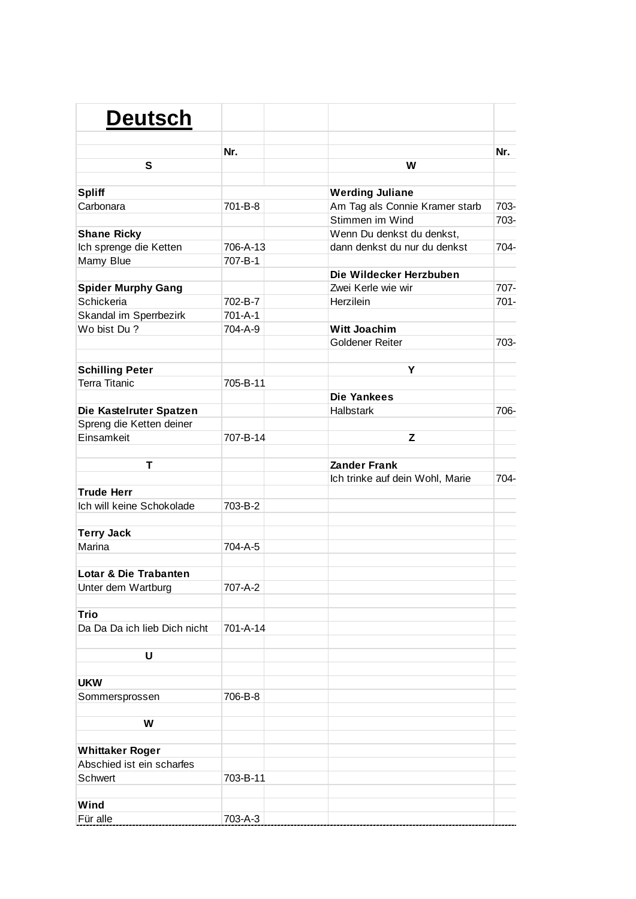| <b>Deutsch</b>               |          |                                 |         |
|------------------------------|----------|---------------------------------|---------|
|                              | Nr.      |                                 | Nr.     |
| S                            |          | W                               |         |
|                              |          |                                 |         |
| <b>Spliff</b>                |          | <b>Werding Juliane</b>          |         |
| Carbonara                    | 701-B-8  | Am Tag als Connie Kramer starb  | 703-    |
|                              |          | Stimmen im Wind                 | 703-    |
| <b>Shane Ricky</b>           |          | Wenn Du denkst du denkst,       |         |
| Ich sprenge die Ketten       | 706-A-13 | dann denkst du nur du denkst    | 704-    |
| Mamy Blue                    | 707-B-1  |                                 |         |
|                              |          | Die Wildecker Herzbuben         |         |
| <b>Spider Murphy Gang</b>    |          | Zwei Kerle wie wir              | 707-    |
| Schickeria                   | 702-B-7  | Herzilein                       | $701 -$ |
| Skandal im Sperrbezirk       | 701-A-1  |                                 |         |
| Wo bist Du?                  | 704-A-9  | <b>Witt Joachim</b>             |         |
|                              |          | Goldener Reiter                 | 703-    |
|                              |          |                                 |         |
| <b>Schilling Peter</b>       |          | Y                               |         |
| <b>Terra Titanic</b>         | 705-B-11 |                                 |         |
|                              |          | <b>Die Yankees</b>              |         |
| Die Kastelruter Spatzen      |          | <b>Halbstark</b>                | 706-    |
| Spreng die Ketten deiner     |          |                                 |         |
| Einsamkeit                   | 707-B-14 | z                               |         |
|                              |          |                                 |         |
| Т                            |          | <b>Zander Frank</b>             |         |
|                              |          | Ich trinke auf dein Wohl, Marie | 704-    |
| <b>Trude Herr</b>            |          |                                 |         |
| Ich will keine Schokolade    | 703-B-2  |                                 |         |
|                              |          |                                 |         |
|                              |          |                                 |         |
| <b>Terry Jack</b><br>Marina  |          |                                 |         |
|                              | 704-A-5  |                                 |         |
|                              |          |                                 |         |
| Lotar & Die Trabanten        |          |                                 |         |
| Unter dem Wartburg           | 707-A-2  |                                 |         |
|                              |          |                                 |         |
| <b>Trio</b>                  |          |                                 |         |
| Da Da Da ich lieb Dich nicht | 701-A-14 |                                 |         |
|                              |          |                                 |         |
| U                            |          |                                 |         |
|                              |          |                                 |         |
| <b>UKW</b>                   |          |                                 |         |
| Sommersprossen               | 706-B-8  |                                 |         |
|                              |          |                                 |         |
| W                            |          |                                 |         |
|                              |          |                                 |         |
| <b>Whittaker Roger</b>       |          |                                 |         |
| Abschied ist ein scharfes    |          |                                 |         |
| Schwert                      | 703-B-11 |                                 |         |
|                              |          |                                 |         |
| Wind                         |          |                                 |         |
| Für alle                     | 703-A-3  |                                 |         |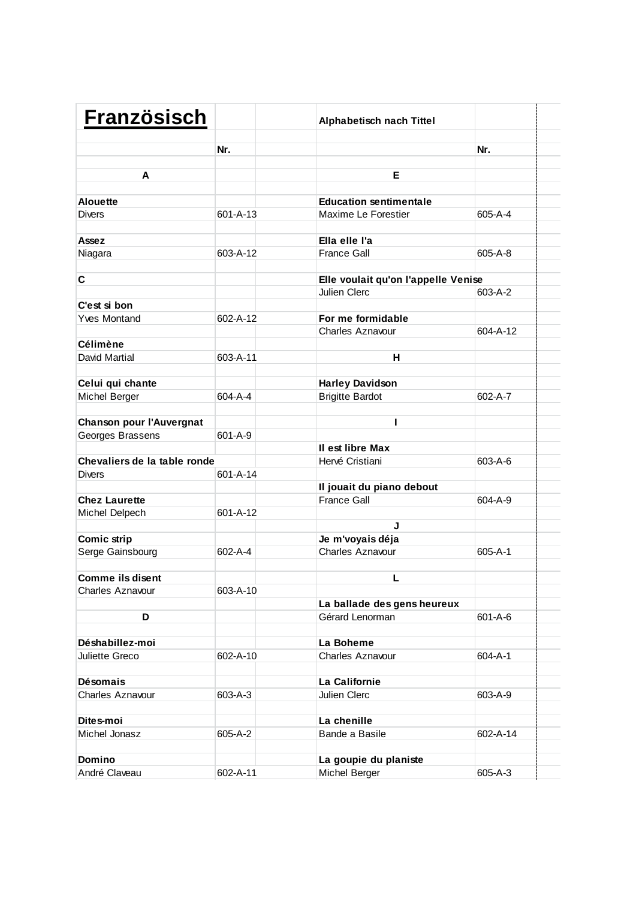| <b>Französisch</b>                            |               | <b>Alphabetisch nach Tittel</b>     |          |  |
|-----------------------------------------------|---------------|-------------------------------------|----------|--|
|                                               | Nr.           |                                     | Nr.      |  |
| A                                             |               | E.                                  |          |  |
|                                               |               |                                     |          |  |
| <b>Alouette</b>                               |               | <b>Education sentimentale</b>       |          |  |
| <b>Divers</b>                                 | 601-A-13      | Maxime Le Forestier                 | 605-A-4  |  |
|                                               |               |                                     |          |  |
| Assez                                         |               | Ella elle l'a                       |          |  |
| Niagara                                       | 603-A-12      | <b>France Gall</b>                  | 605-A-8  |  |
|                                               |               |                                     |          |  |
| C                                             |               | Elle voulait qu'on l'appelle Venise |          |  |
| C'est si bon                                  |               | Julien Clerc                        | 603-A-2  |  |
| <b>Yves Montand</b>                           | 602-A-12      | For me formidable                   |          |  |
|                                               |               | <b>Charles Aznavour</b>             | 604-A-12 |  |
| <b>Célimène</b>                               |               |                                     |          |  |
| David Martial                                 | 603-A-11      | н                                   |          |  |
|                                               |               |                                     |          |  |
| Celui qui chante                              |               | <b>Harley Davidson</b>              |          |  |
| Michel Berger                                 | 604-A-4       | <b>Brigitte Bardot</b>              | 602-A-7  |  |
|                                               |               |                                     |          |  |
| Chanson pour l'Auvergnat                      |               | ı                                   |          |  |
| Georges Brassens                              | 601-A-9       |                                     |          |  |
|                                               |               | Il est libre Max                    |          |  |
| Chevaliers de la table ronde<br><b>Divers</b> | 601-A-14      | Hervé Cristiani                     | 603-A-6  |  |
|                                               |               | Il jouait du piano debout           |          |  |
| <b>Chez Laurette</b>                          |               | <b>France Gall</b>                  | 604-A-9  |  |
| Michel Delpech                                | 601-A-12      |                                     |          |  |
|                                               |               | J                                   |          |  |
| Comic strip                                   |               | Je m'voyais déja                    |          |  |
| Serge Gainsbourg                              | $602 - A - 4$ | <b>Charles Aznavour</b>             | 605-A-1  |  |
|                                               |               |                                     |          |  |
| <b>Comme ils disent</b>                       |               | L                                   |          |  |
| Charles Aznavour                              | 603-A-10      |                                     |          |  |
|                                               |               | La ballade des gens heureux         |          |  |
| D                                             |               | Gérard Lenorman                     | 601-A-6  |  |
| Déshabillez-moi                               |               | La Boheme                           |          |  |
| Juliette Greco                                | 602-A-10      | Charles Aznavour                    | 604-A-1  |  |
|                                               |               |                                     |          |  |
| <b>Désomais</b>                               |               | La Californie                       |          |  |
| Charles Aznavour                              | 603-A-3       | Julien Clerc                        | 603-A-9  |  |
|                                               |               |                                     |          |  |
| Dites-moi                                     |               | La chenille                         |          |  |
| Michel Jonasz                                 | 605-A-2       | Bande a Basile                      | 602-A-14 |  |
|                                               |               |                                     |          |  |
| Domino                                        |               | La goupie du planiste               |          |  |
| André Claveau                                 | 602-A-11      | Michel Berger                       | 605-A-3  |  |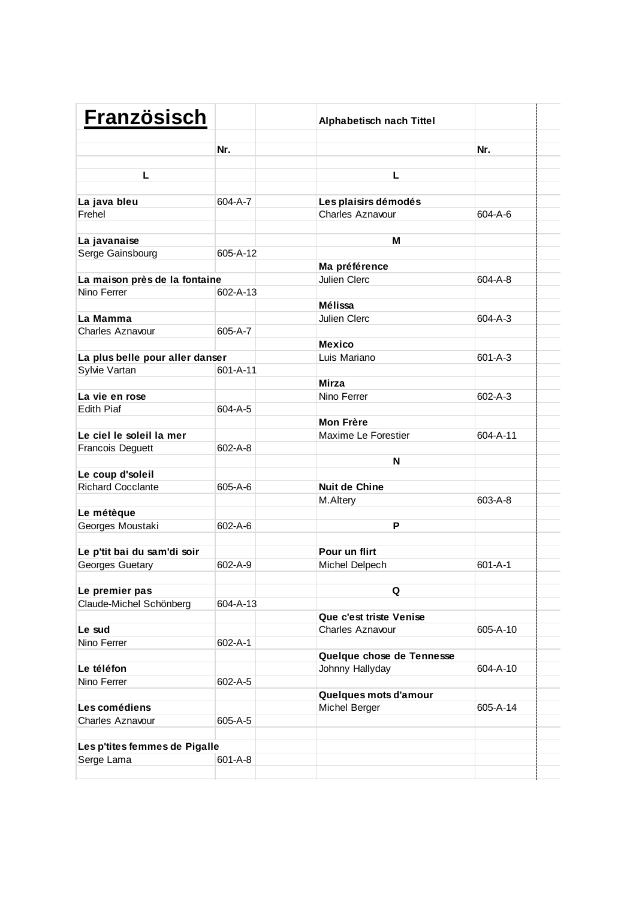| <b>Französisch</b>              |               | <b>Alphabetisch nach Tittel</b> |               |  |
|---------------------------------|---------------|---------------------------------|---------------|--|
|                                 | Nr.           |                                 | Nr.           |  |
| L                               |               | L                               |               |  |
|                                 |               |                                 |               |  |
| La java bleu                    | 604-A-7       | Les plaisirs démodés            |               |  |
| Frehel                          |               | Charles Aznavour                | 604-A-6       |  |
|                                 |               |                                 |               |  |
| La javanaise                    |               | м                               |               |  |
| Serge Gainsbourg                | 605-A-12      |                                 |               |  |
|                                 |               | Ma préférence                   |               |  |
| La maison près de la fontaine   |               | <b>Julien Clerc</b>             | 604-A-8       |  |
| Nino Ferrer                     | 602-A-13      |                                 |               |  |
|                                 |               | Mélissa                         |               |  |
| La Mamma                        |               | Julien Clerc                    | 604-A-3       |  |
| Charles Aznavour                | 605-A-7       |                                 |               |  |
|                                 |               | <b>Mexico</b>                   |               |  |
| La plus belle pour aller danser |               | Luis Mariano                    | $601 - A - 3$ |  |
| Sylvie Vartan                   | 601-A-11      |                                 |               |  |
|                                 |               | <b>Mirza</b>                    |               |  |
| La vie en rose                  |               | Nino Ferrer                     | 602-A-3       |  |
| <b>Edith Piaf</b>               | 604-A-5       |                                 |               |  |
|                                 |               | <b>Mon Frère</b>                |               |  |
| Le ciel le soleil la mer        |               | Maxime Le Forestier             | 604-A-11      |  |
| <b>Francois Deguett</b>         | 602-A-8       |                                 |               |  |
|                                 |               | N                               |               |  |
| Le coup d'soleil                |               |                                 |               |  |
| <b>Richard Cocclante</b>        | 605-A-6       | <b>Nuit de Chine</b>            |               |  |
|                                 |               | M.Altery                        | 603-A-8       |  |
| Le métèque                      | $602 - A - 6$ | P                               |               |  |
| Georges Moustaki                |               |                                 |               |  |
| Le p'tit bai du sam'di soir     |               | Pour un flirt                   |               |  |
| Georges Guetary                 | 602-A-9       | Michel Delpech                  | $601 - A - 1$ |  |
|                                 |               |                                 |               |  |
| Le premier pas                  |               | Q                               |               |  |
| Claude-Michel Schönberg         | 604-A-13      |                                 |               |  |
|                                 |               | Que c'est triste Venise         |               |  |
| Le sud                          |               | Charles Aznavour                | 605-A-10      |  |
| Nino Ferrer                     | 602-A-1       |                                 |               |  |
|                                 |               | Quelque chose de Tennesse       |               |  |
| Le téléfon                      |               | Johnny Hallyday                 | 604-A-10      |  |
| Nino Ferrer                     | 602-A-5       |                                 |               |  |
|                                 |               | Quelques mots d'amour           |               |  |
| Les comédiens                   |               | Michel Berger                   | 605-A-14      |  |
| <b>Charles Aznavour</b>         | 605-A-5       |                                 |               |  |
|                                 |               |                                 |               |  |
| Les p'tites femmes de Pigalle   |               |                                 |               |  |
| Serge Lama                      | 601-A-8       |                                 |               |  |
|                                 |               |                                 |               |  |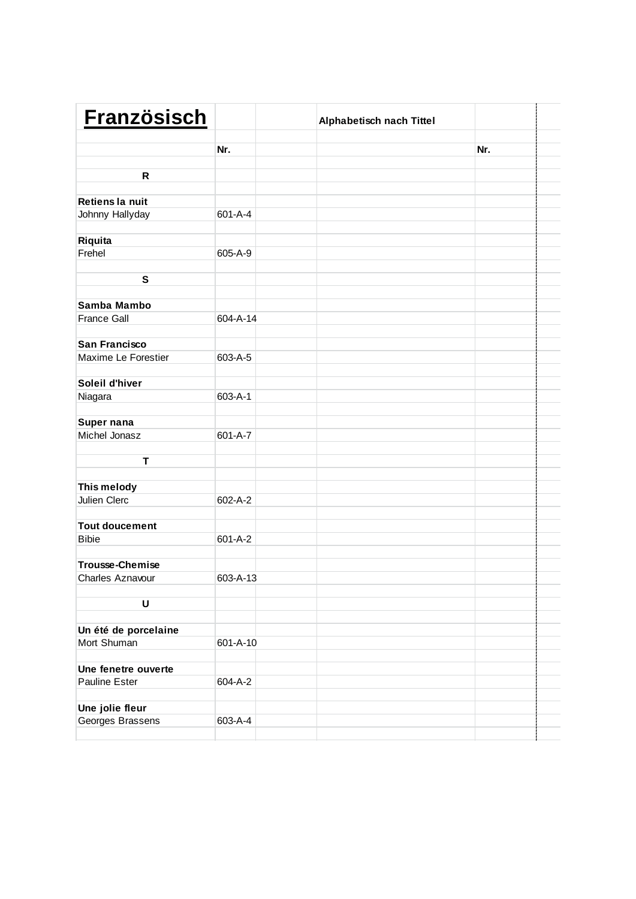| <b>Französisch</b>                  |               | Alphabetisch nach Tittel |     |  |
|-------------------------------------|---------------|--------------------------|-----|--|
|                                     | Nr.           |                          | Nr. |  |
|                                     |               |                          |     |  |
| R                                   |               |                          |     |  |
|                                     |               |                          |     |  |
| Retiens la nuit                     |               |                          |     |  |
| Johnny Hallyday                     | $601 - A - 4$ |                          |     |  |
|                                     |               |                          |     |  |
| Riquita<br>Frehel                   | 605-A-9       |                          |     |  |
|                                     |               |                          |     |  |
| ${\mathbf S}$                       |               |                          |     |  |
|                                     |               |                          |     |  |
| Samba Mambo                         |               |                          |     |  |
| <b>France Gall</b>                  | 604-A-14      |                          |     |  |
|                                     |               |                          |     |  |
| San Francisco                       |               |                          |     |  |
| Maxime Le Forestier                 | 603-A-5       |                          |     |  |
|                                     |               |                          |     |  |
| Soleil d'hiver                      |               |                          |     |  |
| Niagara                             | $603 - A - 1$ |                          |     |  |
|                                     |               |                          |     |  |
| Super nana                          |               |                          |     |  |
| Michel Jonasz                       | 601-A-7       |                          |     |  |
| T                                   |               |                          |     |  |
|                                     |               |                          |     |  |
| This melody                         |               |                          |     |  |
| Julien Clerc                        | 602-A-2       |                          |     |  |
|                                     |               |                          |     |  |
| <b>Tout doucement</b>               |               |                          |     |  |
| <b>Bibie</b>                        | $601 - A - 2$ |                          |     |  |
|                                     |               |                          |     |  |
| <b>Trousse-Chemise</b>              |               |                          |     |  |
| Charles Aznavour                    | 603-A-13      |                          |     |  |
|                                     |               |                          |     |  |
| U                                   |               |                          |     |  |
|                                     |               |                          |     |  |
| Un été de porcelaine<br>Mort Shuman | 601-A-10      |                          |     |  |
|                                     |               |                          |     |  |
| Une fenetre ouverte                 |               |                          |     |  |
| Pauline Ester                       | 604-A-2       |                          |     |  |
|                                     |               |                          |     |  |
| Une jolie fleur                     |               |                          |     |  |
| Georges Brassens                    | 603-A-4       |                          |     |  |
|                                     |               |                          |     |  |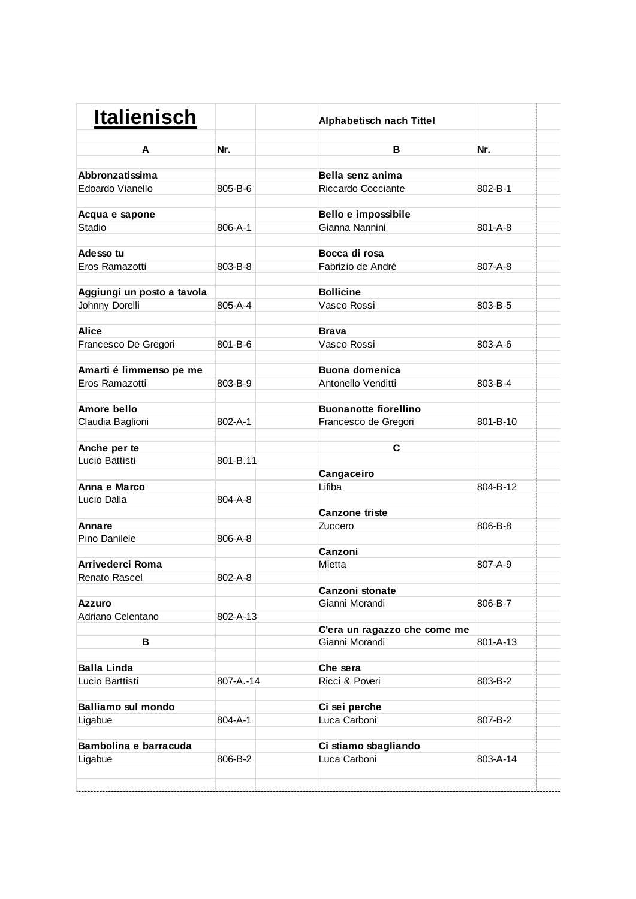| <b>Italienisch</b>          |               | Alphabetisch nach Tittel          |          |  |
|-----------------------------|---------------|-----------------------------------|----------|--|
| A                           | Nr.           | В                                 | Nr.      |  |
| Abbronzatissima             |               | Bella senz anima                  |          |  |
| Edoardo Vianello            | 805-B-6       | Riccardo Cocciante                | 802-B-1  |  |
|                             |               |                                   |          |  |
| Acqua e sapone              |               | Bello e impossibile               |          |  |
| Stadio                      | 806-A-1       | Gianna Nannini                    | 801-A-8  |  |
|                             |               |                                   |          |  |
| Adesso tu                   |               | Bocca di rosa                     |          |  |
| Eros Ramazotti              | 803-B-8       | Fabrizio de André                 | 807-A-8  |  |
|                             |               |                                   |          |  |
| Aggiungi un posto a tavola  |               | <b>Bollicine</b>                  |          |  |
| Johnny Dorelli              | 805-A-4       | Vasco Rossi                       | 803-B-5  |  |
|                             |               |                                   |          |  |
| <b>Alice</b>                |               | <b>Brava</b>                      |          |  |
| Francesco De Gregori        | 801-B-6       | Vasco Rossi                       | 803-A-6  |  |
| Amarti é limmenso pe me     |               | <b>Buona domenica</b>             |          |  |
| Eros Ramazotti              | 803-B-9       | Antonello Venditti                | 803-B-4  |  |
|                             |               |                                   |          |  |
| Amore bello                 |               | <b>Buonanotte fiorellino</b>      |          |  |
| Claudia Baglioni            | $802 - A - 1$ | Francesco de Gregori              | 801-B-10 |  |
|                             |               |                                   |          |  |
| Anche per te                |               | C                                 |          |  |
| Lucio Battisti              | 801-B.11      |                                   |          |  |
|                             |               | Cangaceiro                        |          |  |
| Anna e Marco                |               | Lifiba                            | 804-B-12 |  |
| Lucio Dalla                 | 804-A-8       |                                   |          |  |
|                             |               | <b>Canzone triste</b>             |          |  |
| <b>Annare</b>               |               | Zuccero                           | 806-B-8  |  |
| Pino Danilele               | 806-A-8       |                                   |          |  |
|                             |               | Canzoni                           |          |  |
| Arrivederci Roma            |               | Mietta                            | 807-A-9  |  |
| Renato Rascel               | 802-A-8       |                                   |          |  |
|                             |               | Canzoni stonate<br>Gianni Morandi |          |  |
| Azzuro<br>Adriano Celentano | 802-A-13      |                                   | 806-B-7  |  |
|                             |               | C'era un ragazzo che come me      |          |  |
| В                           |               | Gianni Morandi                    | 801-A-13 |  |
|                             |               |                                   |          |  |
| <b>Balla Linda</b>          |               | Che sera                          |          |  |
| Lucio Barttisti             | 807-A.-14     | Ricci & Poveri                    | 803-B-2  |  |
|                             |               |                                   |          |  |
| <b>Balliamo sul mondo</b>   |               | Ci sei perche                     |          |  |
| Ligabue                     | 804-A-1       | Luca Carboni                      | 807-B-2  |  |
|                             |               |                                   |          |  |
| Bambolina e barracuda       |               | Ci stiamo sbagliando              |          |  |
| Ligabue                     | 806-B-2       | Luca Carboni                      | 803-A-14 |  |
|                             |               |                                   |          |  |
|                             |               |                                   |          |  |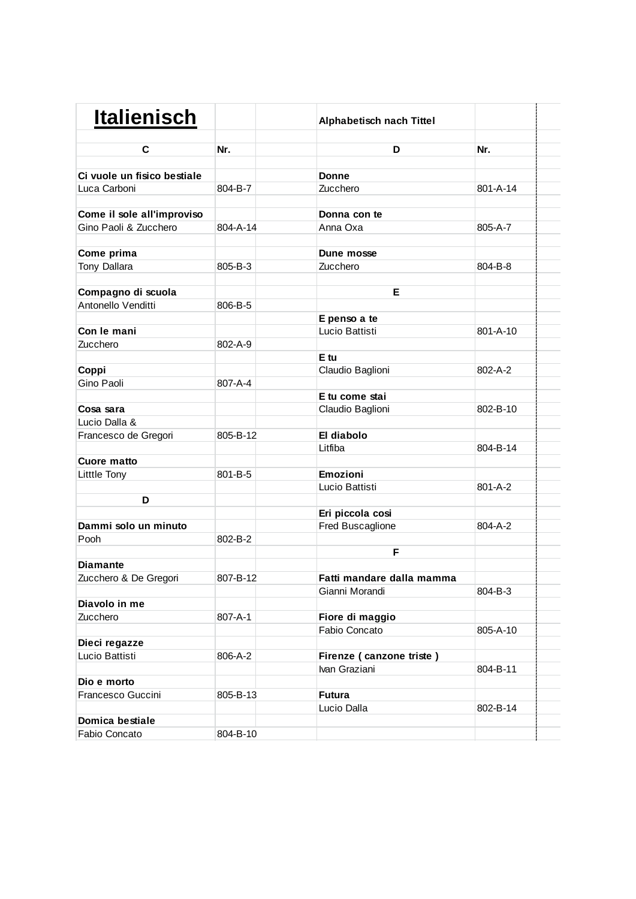| <b>Italienisch</b>          |          | <b>Alphabetisch nach Tittel</b> |          |  |
|-----------------------------|----------|---------------------------------|----------|--|
| C                           | Nr.      | D                               | Nr.      |  |
|                             |          |                                 |          |  |
| Ci vuole un fisico bestiale |          | Donne                           |          |  |
| Luca Carboni                | 804-B-7  | Zucchero                        | 801-A-14 |  |
| Come il sole all'improviso  |          | Donna con te                    |          |  |
| Gino Paoli & Zucchero       | 804-A-14 | Anna Oxa                        | 805-A-7  |  |
| Come prima                  |          | Dune mosse                      |          |  |
| Tony Dallara                | 805-B-3  | Zucchero                        | 804-B-8  |  |
| Compagno di scuola          |          | Е                               |          |  |
| Antonello Venditti          | 806-B-5  |                                 |          |  |
|                             |          | E penso a te                    |          |  |
| Con le mani                 |          | Lucio Battisti                  | 801-A-10 |  |
| Zucchero                    | 802-A-9  |                                 |          |  |
|                             |          | E tu                            |          |  |
| Coppi                       |          | Claudio Baglioni                | 802-A-2  |  |
| Gino Paoli                  | 807-A-4  |                                 |          |  |
|                             |          | E tu come stai                  |          |  |
| Cosa sara                   |          | Claudio Baglioni                | 802-B-10 |  |
| Lucio Dalla &               |          |                                 |          |  |
| Francesco de Gregori        | 805-B-12 | El diabolo                      |          |  |
|                             |          | Litfiba                         | 804-B-14 |  |
| <b>Cuore matto</b>          |          |                                 |          |  |
| Litttle Tony                | 801-B-5  | Emozioni                        |          |  |
|                             |          | Lucio Battisti                  | 801-A-2  |  |
| D                           |          |                                 |          |  |
|                             |          | Eri piccola cosi                |          |  |
| Dammi solo un minuto        |          | Fred Buscaglione                | 804-A-2  |  |
| Pooh                        | 802-B-2  |                                 |          |  |
|                             |          | F                               |          |  |
| <b>Diamante</b>             |          |                                 |          |  |
| Zucchero & De Gregori       | 807-B-12 | Fatti mandare dalla mamma       |          |  |
|                             |          | Gianni Morandi                  | 804-B-3  |  |
| Diavolo in me               |          |                                 |          |  |
| Zucchero                    | 807-A-1  | Fiore di maggio                 |          |  |
|                             |          | Fabio Concato                   | 805-A-10 |  |
| Dieci regazze               |          |                                 |          |  |
| Lucio Battisti              | 806-A-2  | Firenze (canzone triste)        |          |  |
|                             |          | Ivan Graziani                   | 804-B-11 |  |
| Dio e morto                 |          |                                 |          |  |
| Francesco Guccini           | 805-B-13 | <b>Futura</b>                   |          |  |
|                             |          | Lucio Dalla                     | 802-B-14 |  |
| Domica bestiale             |          |                                 |          |  |
| Fabio Concato               | 804-B-10 |                                 |          |  |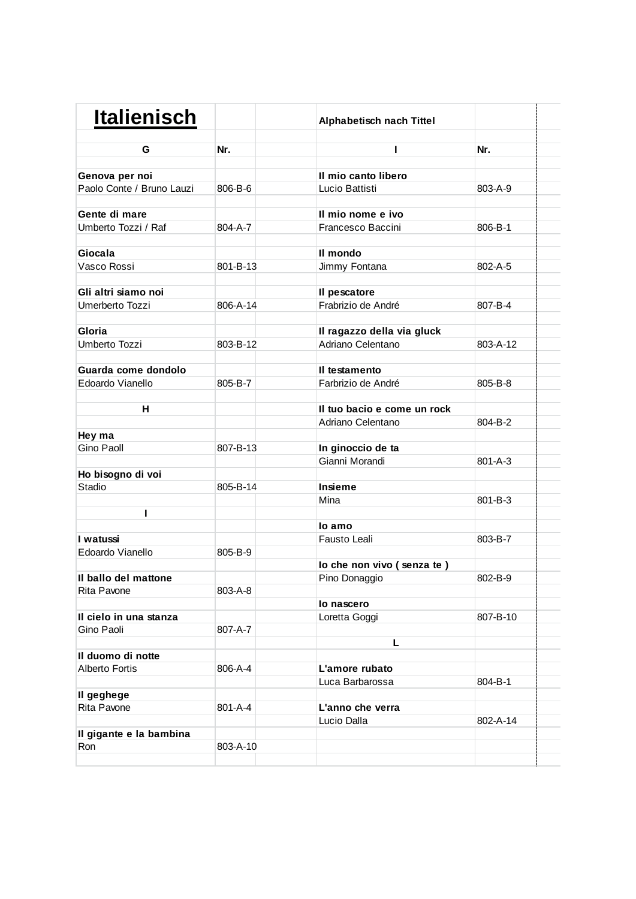| <b>Italienisch</b>        |          | Alphabetisch nach Tittel    |          |  |
|---------------------------|----------|-----------------------------|----------|--|
| G                         | Nr.      | ı                           | Nr.      |  |
| Genova per noi            |          | Il mio canto libero         |          |  |
| Paolo Conte / Bruno Lauzi | 806-B-6  | Lucio Battisti              | 803-A-9  |  |
|                           |          |                             |          |  |
| Gente di mare             |          | Il mio nome e ivo           |          |  |
| Umberto Tozzi / Raf       | 804-A-7  | Francesco Baccini           | 806-B-1  |  |
|                           |          |                             |          |  |
| Giocala                   |          | II mondo                    |          |  |
| Vasco Rossi               | 801-B-13 | Jimmy Fontana               | 802-A-5  |  |
|                           |          |                             |          |  |
| Gli altri siamo noi       |          | Il pescatore                |          |  |
| Umerberto Tozzi           | 806-A-14 | Frabrizio de André          | 807-B-4  |  |
| Gloria                    |          | Il ragazzo della via gluck  |          |  |
| Umberto Tozzi             | 803-B-12 | Adriano Celentano           | 803-A-12 |  |
|                           |          |                             |          |  |
| Guarda come dondolo       |          | Il testamento               |          |  |
| Edoardo Vianello          | 805-B-7  | Farbrizio de André          | 805-B-8  |  |
|                           |          |                             |          |  |
| н                         |          | Il tuo bacio e come un rock |          |  |
|                           |          | Adriano Celentano           | 804-B-2  |  |
| Hey ma                    |          |                             |          |  |
| Gino Paoll                | 807-B-13 | In ginoccio de ta           |          |  |
|                           |          | Gianni Morandi              | 801-A-3  |  |
| Ho bisogno di voi         |          |                             |          |  |
| Stadio                    | 805-B-14 | Insieme                     |          |  |
|                           |          | Mina                        | 801-B-3  |  |
|                           |          |                             |          |  |
|                           |          | lo amo                      |          |  |
| I watussi                 |          | Fausto Leali                | 803-B-7  |  |
| Edoardo Vianello          | 805-B-9  |                             |          |  |
|                           |          | lo che non vivo (senza te)  |          |  |
| Il ballo del mattone      |          | Pino Donaggio               | 802-B-9  |  |
| Rita Pavone               | 803-A-8  |                             |          |  |
| Il cielo in una stanza    |          | lo nascero                  | 807-B-10 |  |
| Gino Paoli                | 807-A-7  | Loretta Goggi               |          |  |
|                           |          | L                           |          |  |
| Il duomo di notte         |          |                             |          |  |
| <b>Alberto Fortis</b>     | 806-A-4  | L'amore rubato              |          |  |
|                           |          | Luca Barbarossa             | 804-B-1  |  |
| Il geghege                |          |                             |          |  |
| Rita Pavone               | 801-A-4  | L'anno che verra            |          |  |
|                           |          | Lucio Dalla                 | 802-A-14 |  |
| Il gigante e la bambina   |          |                             |          |  |
| Ron                       | 803-A-10 |                             |          |  |
|                           |          |                             |          |  |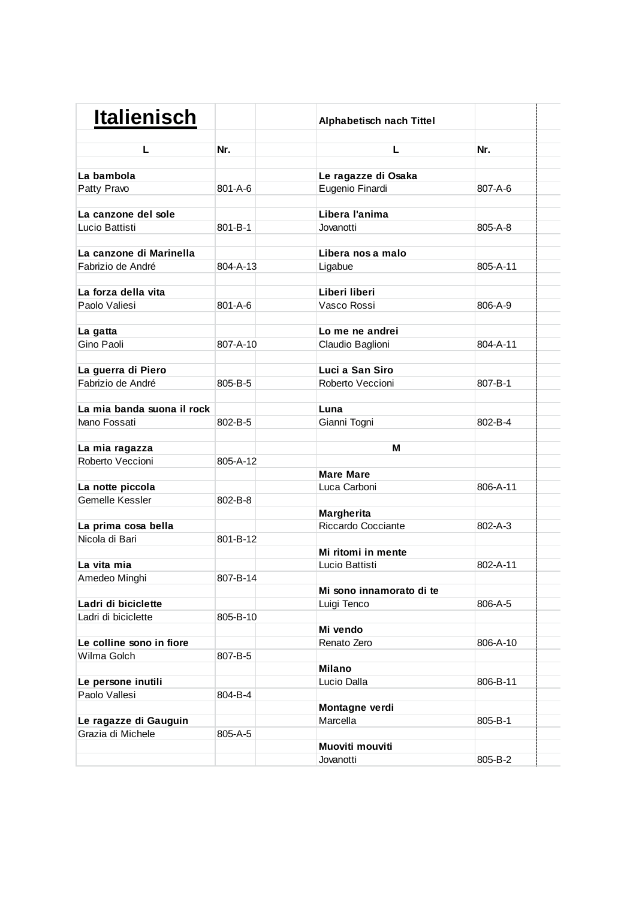| <b>Italienisch</b>         |               | Alphabetisch nach Tittel |          |  |
|----------------------------|---------------|--------------------------|----------|--|
| L                          | Nr.           | L.                       | Nr.      |  |
| La bambola                 |               | Le ragazze di Osaka      |          |  |
|                            | 801-A-6       |                          | 807-A-6  |  |
| Patty Pravo                |               | Eugenio Finardi          |          |  |
| La canzone del sole        |               | Libera l'anima           |          |  |
| Lucio Battisti             | $801 - B - 1$ | Jovanotti                | 805-A-8  |  |
|                            |               |                          |          |  |
| La canzone di Marinella    |               | Libera nos a malo        |          |  |
| Fabrizio de André          | 804-A-13      | Ligabue                  | 805-A-11 |  |
|                            |               |                          |          |  |
| La forza della vita        |               | Liberi liberi            |          |  |
| Paolo Valiesi              | 801-A-6       | Vasco Rossi              | 806-A-9  |  |
|                            |               |                          |          |  |
| La gatta                   |               | Lo me ne andrei          |          |  |
| Gino Paoli                 | 807-A-10      | Claudio Baglioni         | 804-A-11 |  |
|                            |               |                          |          |  |
| La guerra di Piero         |               | Luci a San Siro          |          |  |
| Fabrizio de André          | 805-B-5       | Roberto Veccioni         | 807-B-1  |  |
|                            |               |                          |          |  |
| La mia banda suona il rock |               | Luna                     |          |  |
| Ivano Fossati              | 802-B-5       | Gianni Togni             | 802-B-4  |  |
|                            |               |                          |          |  |
| La mia ragazza             |               | м                        |          |  |
| Roberto Veccioni           | 805-A-12      |                          |          |  |
|                            |               | <b>Mare Mare</b>         |          |  |
| La notte piccola           |               | Luca Carboni             | 806-A-11 |  |
| Gemelle Kessler            | 802-B-8       |                          |          |  |
|                            |               | Margherita               |          |  |
| La prima cosa bella        |               | Riccardo Cocciante       | 802-A-3  |  |
| Nicola di Bari             | 801-B-12      |                          |          |  |
|                            |               | Mi ritomi in mente       |          |  |
| La vita mia                |               | Lucio Battisti           | 802-A-11 |  |
| Amedeo Minghi              | 807-B-14      |                          |          |  |
|                            |               | Mi sono innamorato di te |          |  |
| Ladri di biciclette        |               | Luigi Tenco              | 806-A-5  |  |
| Ladri di biciclette        | 805-B-10      |                          |          |  |
|                            |               | Mi vendo                 |          |  |
| Le colline sono in fiore   |               | Renato Zero              | 806-A-10 |  |
| Wilma Golch                | 807-B-5       |                          |          |  |
|                            |               | <b>Milano</b>            |          |  |
| Le persone inutili         |               | Lucio Dalla              | 806-B-11 |  |
| Paolo Vallesi              | 804-B-4       |                          |          |  |
|                            |               | Montagne verdi           |          |  |
| Le ragazze di Gauguin      |               | Marcella                 | 805-B-1  |  |
| Grazia di Michele          | 805-A-5       |                          |          |  |
|                            |               | Muoviti mouviti          |          |  |
|                            |               | Jovanotti                | 805-B-2  |  |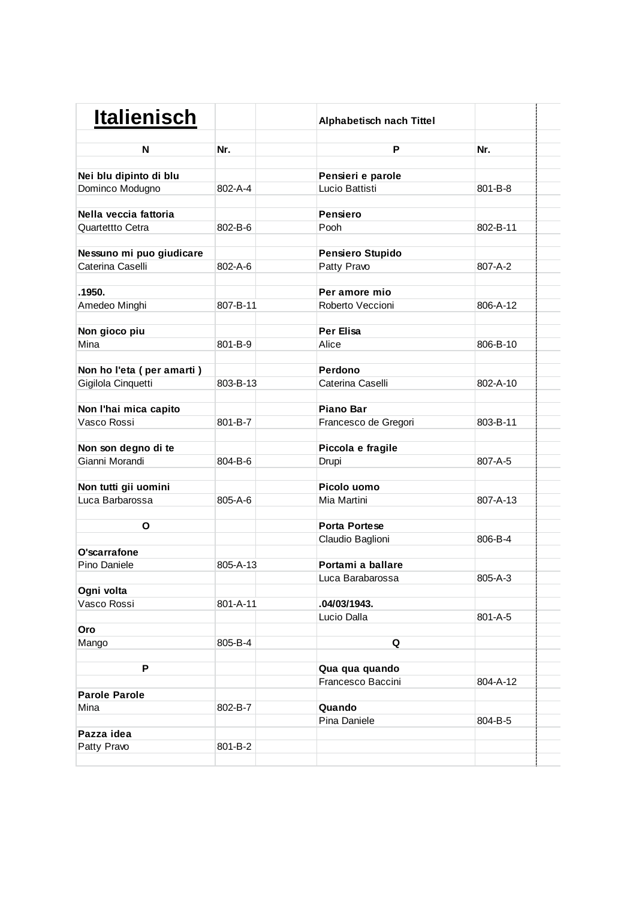| <b>Italienisch</b>        |               | <b>Alphabetisch nach Tittel</b> |          |  |
|---------------------------|---------------|---------------------------------|----------|--|
| N                         | Nr.           | P                               | Nr.      |  |
| Nei blu dipinto di blu    |               | Pensieri e parole               |          |  |
| Dominco Modugno           | 802-A-4       | Lucio Battisti                  | 801-B-8  |  |
|                           |               |                                 |          |  |
| Nella veccia fattoria     |               | <b>Pensiero</b>                 |          |  |
| Quartettto Cetra          | $802 - B - 6$ | Pooh                            | 802-B-11 |  |
|                           |               |                                 |          |  |
| Nessuno mi puo giudicare  |               | <b>Pensiero Stupido</b>         |          |  |
| Caterina Caselli          | 802-A-6       | Patty Pravo                     | 807-A-2  |  |
|                           |               |                                 |          |  |
| .1950.                    |               | Per amore mio                   |          |  |
| Amedeo Minghi             | 807-B-11      | Roberto Veccioni                | 806-A-12 |  |
| Non gioco piu             |               | Per Elisa                       |          |  |
| Mina                      | 801-B-9       | Alice                           | 806-B-10 |  |
|                           |               |                                 |          |  |
| Non ho l'eta (per amarti) |               | Perdono                         |          |  |
| Gigilola Cinquetti        | 803-B-13      | Caterina Caselli                | 802-A-10 |  |
|                           |               |                                 |          |  |
| Non l'hai mica capito     |               | <b>Piano Bar</b>                |          |  |
| Vasco Rossi               | 801-B-7       | Francesco de Gregori            | 803-B-11 |  |
| Non son degno di te       |               | Piccola e fragile               |          |  |
| Gianni Morandi            | 804-B-6       | Drupi                           | 807-A-5  |  |
|                           |               |                                 |          |  |
| Non tutti gii uomini      |               | Picolo uomo                     |          |  |
| Luca Barbarossa           | 805-A-6       | Mia Martini                     | 807-A-13 |  |
|                           |               |                                 |          |  |
| O                         |               | <b>Porta Portese</b>            |          |  |
|                           |               | Claudio Baglioni                | 806-B-4  |  |
| O'scarrafone              |               |                                 |          |  |
| Pino Daniele              | 805-A-13      | Portami a ballare               |          |  |
|                           |               | Luca Barabarossa                | 805-A-3  |  |
| Ogni volta                |               |                                 |          |  |
| Vasco Rossi               | 801-A-11      | .04/03/1943.                    |          |  |
|                           |               | Lucio Dalla                     | 801-A-5  |  |
| Oro<br>Mango              | 805-B-4       | Q                               |          |  |
|                           |               |                                 |          |  |
| P                         |               | Qua qua quando                  |          |  |
|                           |               | Francesco Baccini               | 804-A-12 |  |
| <b>Parole Parole</b>      |               |                                 |          |  |
| Mina                      | 802-B-7       | Quando                          |          |  |
|                           |               | Pina Daniele                    | 804-B-5  |  |
| Pazza idea                |               |                                 |          |  |
| Patty Pravo               | 801-B-2       |                                 |          |  |
|                           |               |                                 |          |  |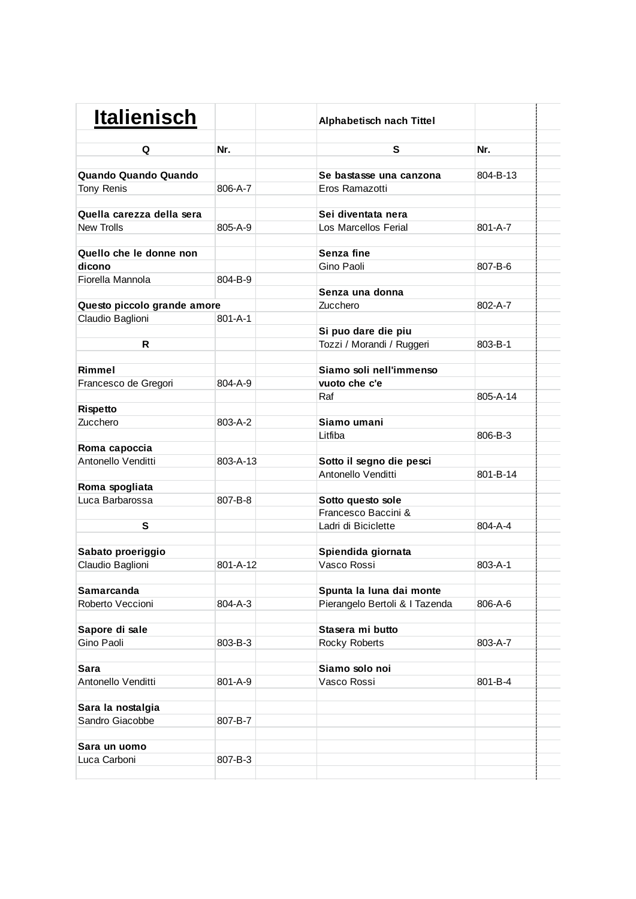| <b>Italienisch</b>          |          | Alphabetisch nach Tittel       |               |  |
|-----------------------------|----------|--------------------------------|---------------|--|
| Q                           | Nr.      | S                              | Nr.           |  |
| Quando Quando Quando        |          | Se bastasse una canzona        | 804-B-13      |  |
| Tony Renis                  | 806-A-7  | Eros Ramazotti                 |               |  |
|                             |          |                                |               |  |
| Quella carezza della sera   |          | Sei diventata nera             |               |  |
| <b>New Trolls</b>           | 805-A-9  | Los Marcellos Ferial           | $801 - A - 7$ |  |
|                             |          |                                |               |  |
| Quello che le donne non     |          | Senza fine                     |               |  |
| dicono                      |          | Gino Paoli                     | 807-B-6       |  |
| Fiorella Mannola            | 804-B-9  |                                |               |  |
|                             |          | Senza una donna                |               |  |
| Questo piccolo grande amore |          | Zucchero                       | 802-A-7       |  |
| Claudio Baglioni            | 801-A-1  |                                |               |  |
|                             |          | Si puo dare die piu            |               |  |
| R                           |          | Tozzi / Morandi / Ruggeri      | 803-B-1       |  |
| Rimmel                      |          | Siamo soli nell'immenso        |               |  |
| Francesco de Gregori        | 804-A-9  | vuoto che c'e                  |               |  |
|                             |          | Raf                            | 805-A-14      |  |
| Rispetto                    |          |                                |               |  |
| Zucchero                    | 803-A-2  | Siamo umani                    |               |  |
|                             |          | Litfiba                        | 806-B-3       |  |
| Roma capoccia               |          |                                |               |  |
| Antonello Venditti          | 803-A-13 | Sotto il segno die pesci       |               |  |
|                             |          | Antonello Venditti             | 801-B-14      |  |
| Roma spogliata              |          |                                |               |  |
| Luca Barbarossa             | 807-B-8  | Sotto questo sole              |               |  |
|                             |          | Francesco Baccini &            |               |  |
| S                           |          | Ladri di Biciclette            | 804-A-4       |  |
|                             |          |                                |               |  |
| Sabato proeriggio           | 801-A-12 | Spiendida giornata             |               |  |
| Claudio Baglioni            |          | Vasco Rossi                    | 803-A-1       |  |
| Samarcanda                  |          | Spunta la luna dai monte       |               |  |
| Roberto Veccioni            | 804-A-3  | Pierangelo Bertoli & I Tazenda | 806-A-6       |  |
|                             |          |                                |               |  |
| Sapore di sale              |          | Stasera mi butto               |               |  |
| Gino Paoli                  | 803-B-3  | Rocky Roberts                  | 803-A-7       |  |
|                             |          |                                |               |  |
| Sara                        |          | Siamo solo noi                 |               |  |
| Antonello Venditti          | 801-A-9  | Vasco Rossi                    | 801-B-4       |  |
| Sara la nostalgia           |          |                                |               |  |
| Sandro Giacobbe             | 807-B-7  |                                |               |  |
|                             |          |                                |               |  |
| Sara un uomo                |          |                                |               |  |
| Luca Carboni                | 807-B-3  |                                |               |  |
|                             |          |                                |               |  |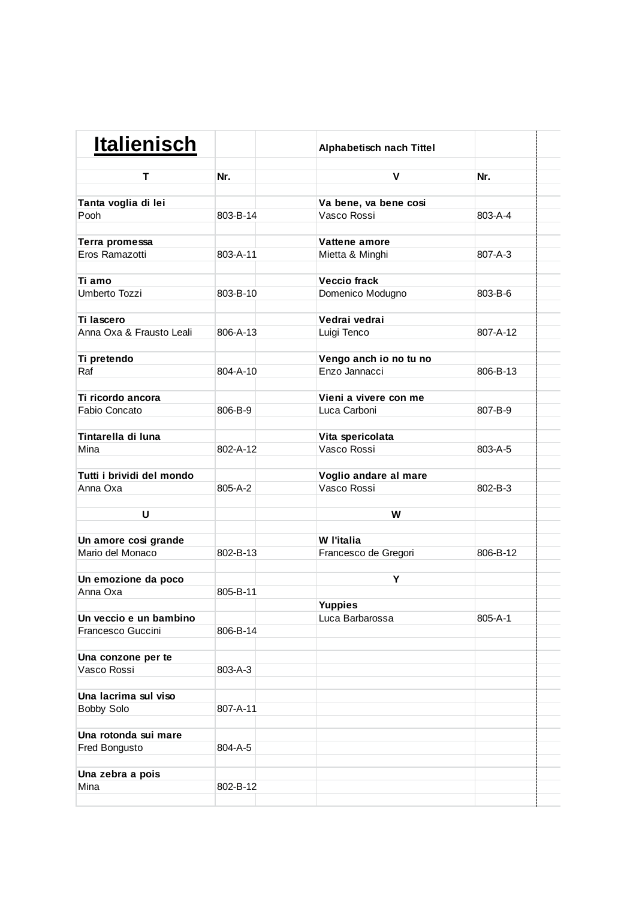| т<br>Nr.<br>V<br>Nr.<br>Tanta voglia di lei<br>Va bene, va bene cosi<br>803-B-14<br>Vasco Rossi<br>803-A-4<br>Pooh<br>Terra promessa<br>Vattene amore<br>Eros Ramazotti<br>803-A-11<br>807-A-3<br>Mietta & Minghi<br><b>Veccio frack</b><br>Ti amo<br>Umberto Tozzi<br>803-B-10<br>Domenico Modugno<br>803-B-6<br>Ti lascero<br>Vedrai vedrai<br>Anna Oxa & Frausto Leali<br>806-A-13<br>807-A-12<br>Luigi Tenco<br>Vengo anch io no tu no<br>Ti pretendo<br>804-A-10<br>Enzo Jannacci<br>806-B-13<br>Raf<br>Ti ricordo ancora<br>Vieni a vivere con me<br>Fabio Concato<br>806-B-9<br>Luca Carboni<br>807-B-9<br>Tintarella di luna<br>Vita spericolata<br>Vasco Rossi<br>Mina<br>802-A-12<br>803-A-5<br>Tutti i brividi del mondo<br>Voglio andare al mare<br>Vasco Rossi<br>Anna Oxa<br>805-A-2<br>802-B-3<br>U<br>W<br>Un amore cosi grande<br>W l'italia<br>Mario del Monaco<br>802-B-13<br>Francesco de Gregori<br>806-B-12<br>Un emozione da poco<br>Y<br>Anna Oxa<br>805-B-11<br><b>Yuppies</b><br>Un veccio e un bambino<br>805-A-1<br>Luca Barbarossa<br>Francesco Guccini<br>806-B-14<br>Una conzone per te<br>Vasco Rossi<br>803-A-3<br>Una lacrima sul viso<br>807-A-11<br><b>Bobby Solo</b><br>Una rotonda sui mare<br>804-A-5<br>Fred Bongusto<br>Una zebra a pois<br>802-B-12<br>Mina | <b>Italienisch</b> | <b>Alphabetisch nach Tittel</b> |  |
|-------------------------------------------------------------------------------------------------------------------------------------------------------------------------------------------------------------------------------------------------------------------------------------------------------------------------------------------------------------------------------------------------------------------------------------------------------------------------------------------------------------------------------------------------------------------------------------------------------------------------------------------------------------------------------------------------------------------------------------------------------------------------------------------------------------------------------------------------------------------------------------------------------------------------------------------------------------------------------------------------------------------------------------------------------------------------------------------------------------------------------------------------------------------------------------------------------------------------------------------------------------------------------------------------------|--------------------|---------------------------------|--|
|                                                                                                                                                                                                                                                                                                                                                                                                                                                                                                                                                                                                                                                                                                                                                                                                                                                                                                                                                                                                                                                                                                                                                                                                                                                                                                       |                    |                                 |  |
|                                                                                                                                                                                                                                                                                                                                                                                                                                                                                                                                                                                                                                                                                                                                                                                                                                                                                                                                                                                                                                                                                                                                                                                                                                                                                                       |                    |                                 |  |
|                                                                                                                                                                                                                                                                                                                                                                                                                                                                                                                                                                                                                                                                                                                                                                                                                                                                                                                                                                                                                                                                                                                                                                                                                                                                                                       |                    |                                 |  |
|                                                                                                                                                                                                                                                                                                                                                                                                                                                                                                                                                                                                                                                                                                                                                                                                                                                                                                                                                                                                                                                                                                                                                                                                                                                                                                       |                    |                                 |  |
|                                                                                                                                                                                                                                                                                                                                                                                                                                                                                                                                                                                                                                                                                                                                                                                                                                                                                                                                                                                                                                                                                                                                                                                                                                                                                                       |                    |                                 |  |
|                                                                                                                                                                                                                                                                                                                                                                                                                                                                                                                                                                                                                                                                                                                                                                                                                                                                                                                                                                                                                                                                                                                                                                                                                                                                                                       |                    |                                 |  |
|                                                                                                                                                                                                                                                                                                                                                                                                                                                                                                                                                                                                                                                                                                                                                                                                                                                                                                                                                                                                                                                                                                                                                                                                                                                                                                       |                    |                                 |  |
|                                                                                                                                                                                                                                                                                                                                                                                                                                                                                                                                                                                                                                                                                                                                                                                                                                                                                                                                                                                                                                                                                                                                                                                                                                                                                                       |                    |                                 |  |
|                                                                                                                                                                                                                                                                                                                                                                                                                                                                                                                                                                                                                                                                                                                                                                                                                                                                                                                                                                                                                                                                                                                                                                                                                                                                                                       |                    |                                 |  |
|                                                                                                                                                                                                                                                                                                                                                                                                                                                                                                                                                                                                                                                                                                                                                                                                                                                                                                                                                                                                                                                                                                                                                                                                                                                                                                       |                    |                                 |  |
|                                                                                                                                                                                                                                                                                                                                                                                                                                                                                                                                                                                                                                                                                                                                                                                                                                                                                                                                                                                                                                                                                                                                                                                                                                                                                                       |                    |                                 |  |
|                                                                                                                                                                                                                                                                                                                                                                                                                                                                                                                                                                                                                                                                                                                                                                                                                                                                                                                                                                                                                                                                                                                                                                                                                                                                                                       |                    |                                 |  |
|                                                                                                                                                                                                                                                                                                                                                                                                                                                                                                                                                                                                                                                                                                                                                                                                                                                                                                                                                                                                                                                                                                                                                                                                                                                                                                       |                    |                                 |  |
|                                                                                                                                                                                                                                                                                                                                                                                                                                                                                                                                                                                                                                                                                                                                                                                                                                                                                                                                                                                                                                                                                                                                                                                                                                                                                                       |                    |                                 |  |
|                                                                                                                                                                                                                                                                                                                                                                                                                                                                                                                                                                                                                                                                                                                                                                                                                                                                                                                                                                                                                                                                                                                                                                                                                                                                                                       |                    |                                 |  |
|                                                                                                                                                                                                                                                                                                                                                                                                                                                                                                                                                                                                                                                                                                                                                                                                                                                                                                                                                                                                                                                                                                                                                                                                                                                                                                       |                    |                                 |  |
|                                                                                                                                                                                                                                                                                                                                                                                                                                                                                                                                                                                                                                                                                                                                                                                                                                                                                                                                                                                                                                                                                                                                                                                                                                                                                                       |                    |                                 |  |
|                                                                                                                                                                                                                                                                                                                                                                                                                                                                                                                                                                                                                                                                                                                                                                                                                                                                                                                                                                                                                                                                                                                                                                                                                                                                                                       |                    |                                 |  |
|                                                                                                                                                                                                                                                                                                                                                                                                                                                                                                                                                                                                                                                                                                                                                                                                                                                                                                                                                                                                                                                                                                                                                                                                                                                                                                       |                    |                                 |  |
|                                                                                                                                                                                                                                                                                                                                                                                                                                                                                                                                                                                                                                                                                                                                                                                                                                                                                                                                                                                                                                                                                                                                                                                                                                                                                                       |                    |                                 |  |
|                                                                                                                                                                                                                                                                                                                                                                                                                                                                                                                                                                                                                                                                                                                                                                                                                                                                                                                                                                                                                                                                                                                                                                                                                                                                                                       |                    |                                 |  |
|                                                                                                                                                                                                                                                                                                                                                                                                                                                                                                                                                                                                                                                                                                                                                                                                                                                                                                                                                                                                                                                                                                                                                                                                                                                                                                       |                    |                                 |  |
|                                                                                                                                                                                                                                                                                                                                                                                                                                                                                                                                                                                                                                                                                                                                                                                                                                                                                                                                                                                                                                                                                                                                                                                                                                                                                                       |                    |                                 |  |
|                                                                                                                                                                                                                                                                                                                                                                                                                                                                                                                                                                                                                                                                                                                                                                                                                                                                                                                                                                                                                                                                                                                                                                                                                                                                                                       |                    |                                 |  |
|                                                                                                                                                                                                                                                                                                                                                                                                                                                                                                                                                                                                                                                                                                                                                                                                                                                                                                                                                                                                                                                                                                                                                                                                                                                                                                       |                    |                                 |  |
|                                                                                                                                                                                                                                                                                                                                                                                                                                                                                                                                                                                                                                                                                                                                                                                                                                                                                                                                                                                                                                                                                                                                                                                                                                                                                                       |                    |                                 |  |
|                                                                                                                                                                                                                                                                                                                                                                                                                                                                                                                                                                                                                                                                                                                                                                                                                                                                                                                                                                                                                                                                                                                                                                                                                                                                                                       |                    |                                 |  |
|                                                                                                                                                                                                                                                                                                                                                                                                                                                                                                                                                                                                                                                                                                                                                                                                                                                                                                                                                                                                                                                                                                                                                                                                                                                                                                       |                    |                                 |  |
|                                                                                                                                                                                                                                                                                                                                                                                                                                                                                                                                                                                                                                                                                                                                                                                                                                                                                                                                                                                                                                                                                                                                                                                                                                                                                                       |                    |                                 |  |
|                                                                                                                                                                                                                                                                                                                                                                                                                                                                                                                                                                                                                                                                                                                                                                                                                                                                                                                                                                                                                                                                                                                                                                                                                                                                                                       |                    |                                 |  |
|                                                                                                                                                                                                                                                                                                                                                                                                                                                                                                                                                                                                                                                                                                                                                                                                                                                                                                                                                                                                                                                                                                                                                                                                                                                                                                       |                    |                                 |  |
|                                                                                                                                                                                                                                                                                                                                                                                                                                                                                                                                                                                                                                                                                                                                                                                                                                                                                                                                                                                                                                                                                                                                                                                                                                                                                                       |                    |                                 |  |
|                                                                                                                                                                                                                                                                                                                                                                                                                                                                                                                                                                                                                                                                                                                                                                                                                                                                                                                                                                                                                                                                                                                                                                                                                                                                                                       |                    |                                 |  |
|                                                                                                                                                                                                                                                                                                                                                                                                                                                                                                                                                                                                                                                                                                                                                                                                                                                                                                                                                                                                                                                                                                                                                                                                                                                                                                       |                    |                                 |  |
|                                                                                                                                                                                                                                                                                                                                                                                                                                                                                                                                                                                                                                                                                                                                                                                                                                                                                                                                                                                                                                                                                                                                                                                                                                                                                                       |                    |                                 |  |
|                                                                                                                                                                                                                                                                                                                                                                                                                                                                                                                                                                                                                                                                                                                                                                                                                                                                                                                                                                                                                                                                                                                                                                                                                                                                                                       |                    |                                 |  |
|                                                                                                                                                                                                                                                                                                                                                                                                                                                                                                                                                                                                                                                                                                                                                                                                                                                                                                                                                                                                                                                                                                                                                                                                                                                                                                       |                    |                                 |  |
|                                                                                                                                                                                                                                                                                                                                                                                                                                                                                                                                                                                                                                                                                                                                                                                                                                                                                                                                                                                                                                                                                                                                                                                                                                                                                                       |                    |                                 |  |
|                                                                                                                                                                                                                                                                                                                                                                                                                                                                                                                                                                                                                                                                                                                                                                                                                                                                                                                                                                                                                                                                                                                                                                                                                                                                                                       |                    |                                 |  |
|                                                                                                                                                                                                                                                                                                                                                                                                                                                                                                                                                                                                                                                                                                                                                                                                                                                                                                                                                                                                                                                                                                                                                                                                                                                                                                       |                    |                                 |  |
|                                                                                                                                                                                                                                                                                                                                                                                                                                                                                                                                                                                                                                                                                                                                                                                                                                                                                                                                                                                                                                                                                                                                                                                                                                                                                                       |                    |                                 |  |
|                                                                                                                                                                                                                                                                                                                                                                                                                                                                                                                                                                                                                                                                                                                                                                                                                                                                                                                                                                                                                                                                                                                                                                                                                                                                                                       |                    |                                 |  |
|                                                                                                                                                                                                                                                                                                                                                                                                                                                                                                                                                                                                                                                                                                                                                                                                                                                                                                                                                                                                                                                                                                                                                                                                                                                                                                       |                    |                                 |  |
|                                                                                                                                                                                                                                                                                                                                                                                                                                                                                                                                                                                                                                                                                                                                                                                                                                                                                                                                                                                                                                                                                                                                                                                                                                                                                                       |                    |                                 |  |
|                                                                                                                                                                                                                                                                                                                                                                                                                                                                                                                                                                                                                                                                                                                                                                                                                                                                                                                                                                                                                                                                                                                                                                                                                                                                                                       |                    |                                 |  |
|                                                                                                                                                                                                                                                                                                                                                                                                                                                                                                                                                                                                                                                                                                                                                                                                                                                                                                                                                                                                                                                                                                                                                                                                                                                                                                       |                    |                                 |  |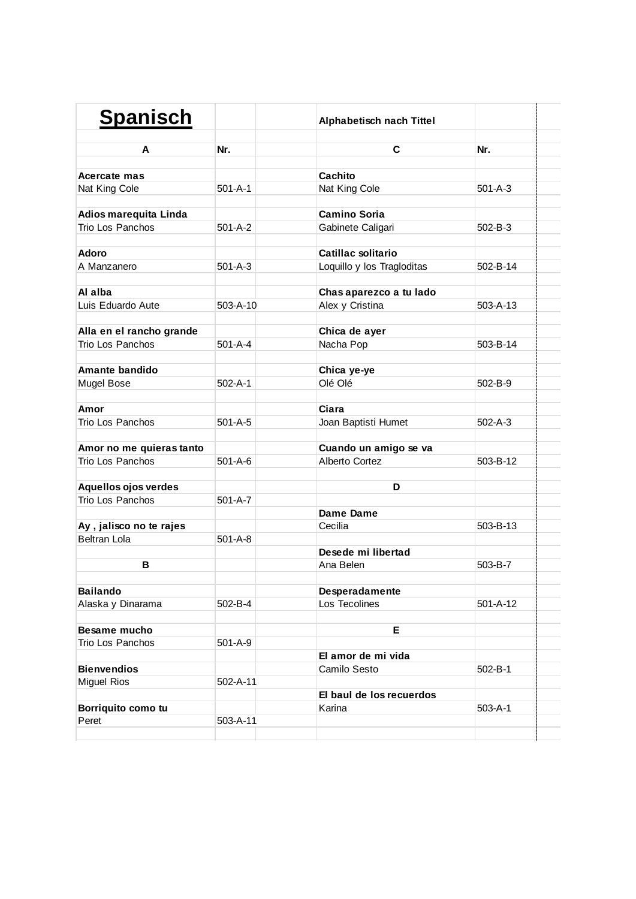| <b>Spanisch</b>          |                | <b>Alphabetisch nach Tittel</b> |                |  |
|--------------------------|----------------|---------------------------------|----------------|--|
| A                        | Nr.            | C                               | Nr.            |  |
|                          |                |                                 |                |  |
| Acercate mas             |                | Cachito                         |                |  |
| Nat King Cole            | $501 - A - 1$  | Nat King Cole                   | $501 - A - 3$  |  |
| Adios marequita Linda    |                | <b>Camino Soria</b>             |                |  |
| Trio Los Panchos         | $501 - A - 2$  | Gabinete Caligari               | $502 - B - 3$  |  |
| <b>Adoro</b>             |                | Catillac solitario              |                |  |
| A Manzanero              | $501 - A - 3$  | Loquillo y los Tragloditas      | 502-B-14       |  |
| Al alba                  |                | Chas aparezco a tu lado         |                |  |
| Luis Eduardo Aute        | $503 - A - 10$ | Alex y Cristina                 | $503 - A - 13$ |  |
| Alla en el rancho grande |                | Chica de ayer                   |                |  |
| Trio Los Panchos         | $501 - A - 4$  | Nacha Pop                       | 503-B-14       |  |
|                          |                |                                 |                |  |
| Amante bandido           |                | Chica ye-ye                     |                |  |
| Mugel Bose               | $502 - A - 1$  | Olé Olé                         | 502-B-9        |  |
| Amor                     |                | Ciara                           |                |  |
| Trio Los Panchos         | $501 - A - 5$  | Joan Baptisti Humet             | $502 - A - 3$  |  |
|                          |                |                                 |                |  |
| Amor no me quieras tanto |                | Cuando un amigo se va           |                |  |
| Trio Los Panchos         | $501 - A - 6$  | Alberto Cortez                  | 503-B-12       |  |
| Aquellos ojos verdes     |                | D                               |                |  |
| Trio Los Panchos         | $501 - A - 7$  |                                 |                |  |
|                          |                | Dame Dame                       |                |  |
| Ay, jalisco no te rajes  |                | Cecilia                         | 503-B-13       |  |
| <b>Beltran Lola</b>      | $501 - A - 8$  |                                 |                |  |
|                          |                | Desede mi libertad              |                |  |
| в                        |                | Ana Belen                       | 503-B-7        |  |
|                          |                |                                 |                |  |
| <b>Bailando</b>          |                | Desperadamente                  |                |  |
| Alaska y Dinarama        | 502-B-4        | Los Tecolines                   | 501-A-12       |  |
| Besame mucho             |                | Е                               |                |  |
| Trio Los Panchos         | $501 - A - 9$  |                                 |                |  |
|                          |                | El amor de mi vida              |                |  |
| <b>Bienvendios</b>       |                | Camilo Sesto                    | $502 - B - 1$  |  |
| <b>Miguel Rios</b>       | $502 - A - 11$ |                                 |                |  |
|                          |                | El baul de los recuerdos        |                |  |
| Borriquito como tu       |                | Karina                          | $503 - A - 1$  |  |
| Peret                    | 503-A-11       |                                 |                |  |
|                          |                |                                 |                |  |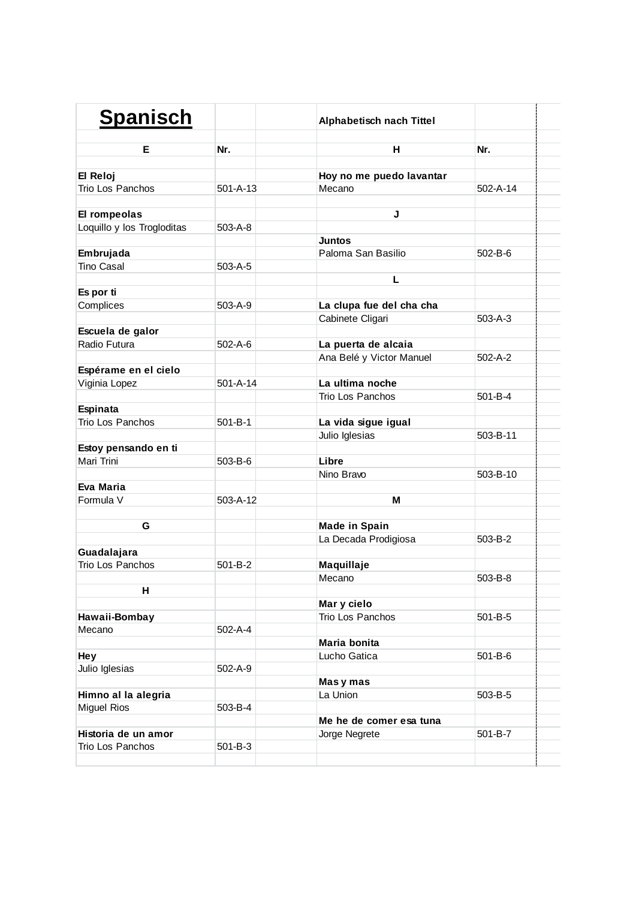| <b>Spanisch</b>                    |                | Alphabetisch nach Tittel |                |  |
|------------------------------------|----------------|--------------------------|----------------|--|
| Е                                  | Nr.            | н                        | Nr.            |  |
| El Reloj                           |                | Hoy no me puedo lavantar |                |  |
| Trio Los Panchos                   | $501 - A - 13$ | Mecano                   | $502 - A - 14$ |  |
|                                    |                |                          |                |  |
| El rompeolas                       |                | J                        |                |  |
| Loquillo y los Trogloditas         | $503 - A - 8$  |                          |                |  |
|                                    |                | <b>Juntos</b>            |                |  |
| Embrujada                          |                | Paloma San Basilio       | 502-B-6        |  |
| <b>Tino Casal</b>                  | $503 - A - 5$  |                          |                |  |
|                                    |                | Г                        |                |  |
| Es por ti                          |                |                          |                |  |
| Complices                          | 503-A-9        | La clupa fue del cha cha |                |  |
|                                    |                | Cabinete Cligari         | $503 - A - 3$  |  |
| Escuela de galor                   |                |                          |                |  |
| Radio Futura                       | $502 - A - 6$  | La puerta de alcaia      |                |  |
|                                    |                | Ana Belé y Victor Manuel | $502 - A - 2$  |  |
| Espérame en el cielo               |                |                          |                |  |
| Viginia Lopez                      | $501 - A - 14$ | La ultima noche          |                |  |
|                                    |                | Trio Los Panchos         | 501-B-4        |  |
| Espinata                           |                |                          |                |  |
| Trio Los Panchos                   | 501-B-1        | La vida sigue igual      |                |  |
|                                    |                | Julio Iglesias           | 503-B-11       |  |
| Estoy pensando en ti<br>Mari Trini | 503-B-6        | Libre                    |                |  |
|                                    |                | Nino Bravo               | 503-B-10       |  |
| Eva Maria                          |                |                          |                |  |
| Formula V                          | 503-A-12       | м                        |                |  |
|                                    |                |                          |                |  |
| G                                  |                | <b>Made in Spain</b>     |                |  |
|                                    |                | La Decada Prodigiosa     | 503-B-2        |  |
| Guadalajara                        |                |                          |                |  |
| Trio Los Panchos                   | 501-B-2        | Maquillaje               |                |  |
|                                    |                | Mecano                   | 503-B-8        |  |
| н                                  |                |                          |                |  |
|                                    |                | Mar y cielo              |                |  |
| Hawaii-Bombay                      |                | Trio Los Panchos         | 501-B-5        |  |
| Mecano                             | $502 - A - 4$  |                          |                |  |
|                                    |                | Maria bonita             |                |  |
| Hey                                |                | Lucho Gatica             | 501-B-6        |  |
| Julio Iglesias                     | 502-A-9        |                          |                |  |
|                                    |                | Masy mas                 |                |  |
| Himno al la alegria                |                | La Union                 | 503-B-5        |  |
| <b>Miguel Rios</b>                 | 503-B-4        |                          |                |  |
|                                    |                | Me he de comer esa tuna  |                |  |
| Historia de un amor                |                | Jorge Negrete            | 501-B-7        |  |
| Trio Los Panchos                   | $501 - B - 3$  |                          |                |  |
|                                    |                |                          |                |  |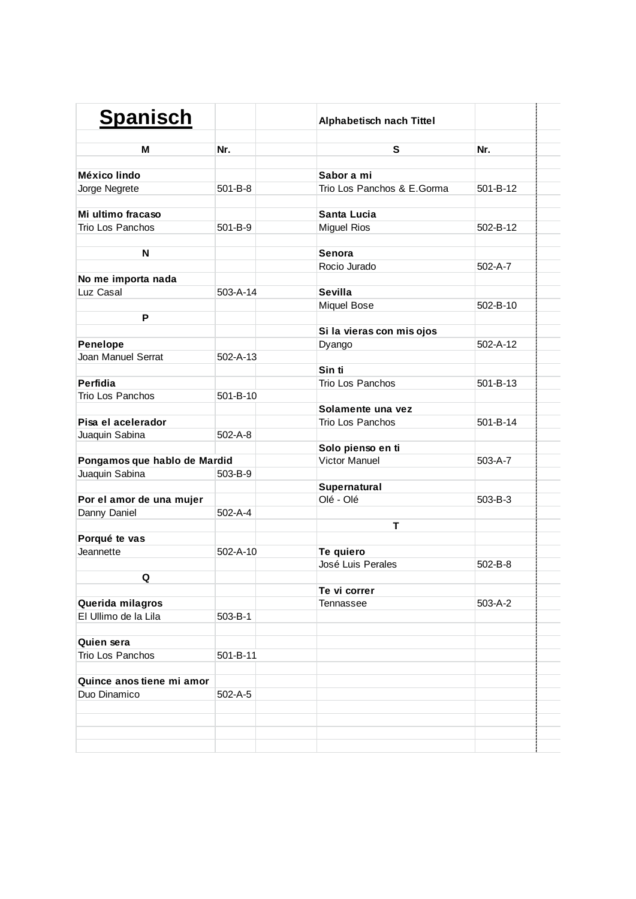| <b>Spanisch</b>              |                | <b>Alphabetisch nach Tittel</b> |               |  |
|------------------------------|----------------|---------------------------------|---------------|--|
| м                            | Nr.            | S                               | Nr.           |  |
|                              |                |                                 |               |  |
| México lindo                 |                | Sabor a mi                      |               |  |
| Jorge Negrete                | $501 - B - 8$  | Trio Los Panchos & E.Gorma      | 501-B-12      |  |
|                              |                |                                 |               |  |
| Mi ultimo fracaso            |                | Santa Lucia                     |               |  |
| Trio Los Panchos             | $501 - B - 9$  | <b>Miguel Rios</b>              | 502-B-12      |  |
| N                            |                | Senora                          |               |  |
|                              |                | Rocio Jurado                    | $502 - A - 7$ |  |
| No me importa nada           |                |                                 |               |  |
| Luz Casal                    | 503-A-14       | <b>Sevilla</b>                  |               |  |
|                              |                | Miquel Bose                     | 502-B-10      |  |
| P                            |                |                                 |               |  |
|                              |                | Si la vieras con mis ojos       |               |  |
| Penelope                     |                | Dyango                          | 502-A-12      |  |
| Joan Manuel Serrat           | $502 - A - 13$ |                                 |               |  |
|                              |                | Sin ti                          |               |  |
| Perfidia                     |                | Trio Los Panchos                | 501-B-13      |  |
| Trio Los Panchos             | $501 - B - 10$ |                                 |               |  |
|                              |                | Solamente una vez               |               |  |
| Pisa el acelerador           |                | Trio Los Panchos                | 501-B-14      |  |
| Juaquin Sabina               | $502 - A - 8$  |                                 |               |  |
|                              |                | Solo pienso en ti               |               |  |
| Pongamos que hablo de Mardid |                | <b>Victor Manuel</b>            | 503-A-7       |  |
| Juaquin Sabina               | 503-B-9        |                                 |               |  |
|                              |                | Supernatural<br>Olé - Olé       |               |  |
| Por el amor de una mujer     | $502 - A - 4$  |                                 | 503-B-3       |  |
| Danny Daniel                 |                | т                               |               |  |
| Porqué te vas                |                |                                 |               |  |
| Jeannette                    | $502 - A - 10$ | Te quiero                       |               |  |
|                              |                | José Luis Perales               | $502 - B - 8$ |  |
| Q                            |                |                                 |               |  |
|                              |                | Te vi correr                    |               |  |
| Querida milagros             |                | Tennassee                       | 503-A-2       |  |
| El Ullimo de la Lila         | 503-B-1        |                                 |               |  |
|                              |                |                                 |               |  |
| Quien sera                   |                |                                 |               |  |
| Trio Los Panchos             | 501-B-11       |                                 |               |  |
|                              |                |                                 |               |  |
| Quince anos tiene mi amor    |                |                                 |               |  |
| Duo Dinamico                 | $502 - A - 5$  |                                 |               |  |
|                              |                |                                 |               |  |
|                              |                |                                 |               |  |
|                              |                |                                 |               |  |
|                              |                |                                 |               |  |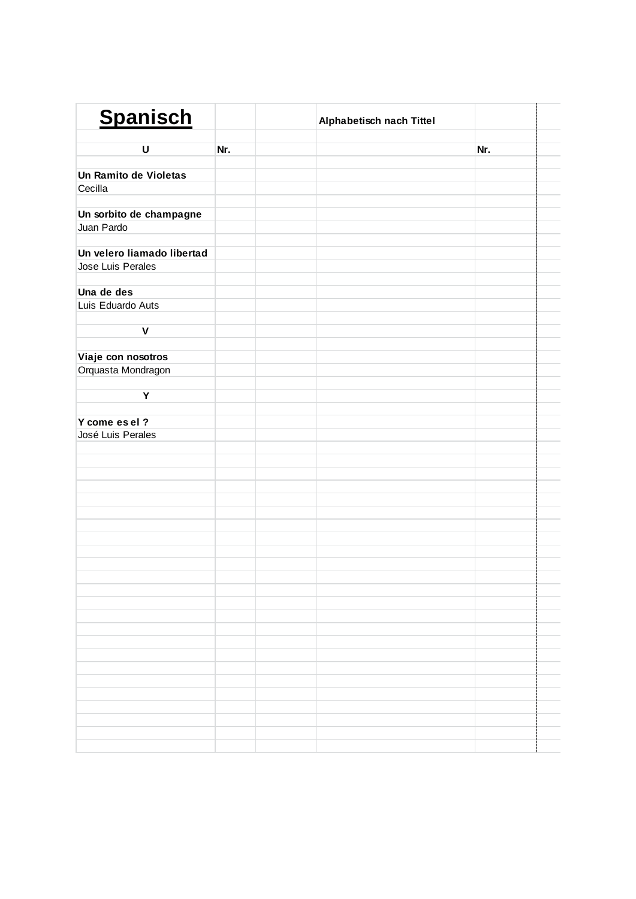| <b>Spanisch</b>                 |     | Alphabetisch nach Tittel |     |  |
|---------------------------------|-----|--------------------------|-----|--|
| U                               | Nr. |                          | Nr. |  |
|                                 |     |                          |     |  |
| Un Ramito de Violetas           |     |                          |     |  |
| Cecilla                         |     |                          |     |  |
|                                 |     |                          |     |  |
| Un sorbito de champagne         |     |                          |     |  |
| Juan Pardo                      |     |                          |     |  |
|                                 |     |                          |     |  |
| Un velero liamado libertad      |     |                          |     |  |
| Jose Luis Perales               |     |                          |     |  |
|                                 |     |                          |     |  |
| Una de des<br>Luis Eduardo Auts |     |                          |     |  |
|                                 |     |                          |     |  |
| $\pmb{\mathsf{V}}$              |     |                          |     |  |
|                                 |     |                          |     |  |
| Viaje con nosotros              |     |                          |     |  |
| Orquasta Mondragon              |     |                          |     |  |
|                                 |     |                          |     |  |
| Υ                               |     |                          |     |  |
|                                 |     |                          |     |  |
| Y come es el ?                  |     |                          |     |  |
| José Luis Perales               |     |                          |     |  |
|                                 |     |                          |     |  |
|                                 |     |                          |     |  |
|                                 |     |                          |     |  |
|                                 |     |                          |     |  |
|                                 |     |                          |     |  |
|                                 |     |                          |     |  |
|                                 |     |                          |     |  |
|                                 |     |                          |     |  |
|                                 |     |                          |     |  |
|                                 |     |                          |     |  |
|                                 |     |                          |     |  |
|                                 |     |                          |     |  |
|                                 |     |                          |     |  |
|                                 |     |                          |     |  |
|                                 |     |                          |     |  |
|                                 |     |                          |     |  |
|                                 |     |                          |     |  |
|                                 |     |                          |     |  |
|                                 |     |                          |     |  |
|                                 |     |                          |     |  |
|                                 |     |                          |     |  |
|                                 |     |                          |     |  |
|                                 |     |                          |     |  |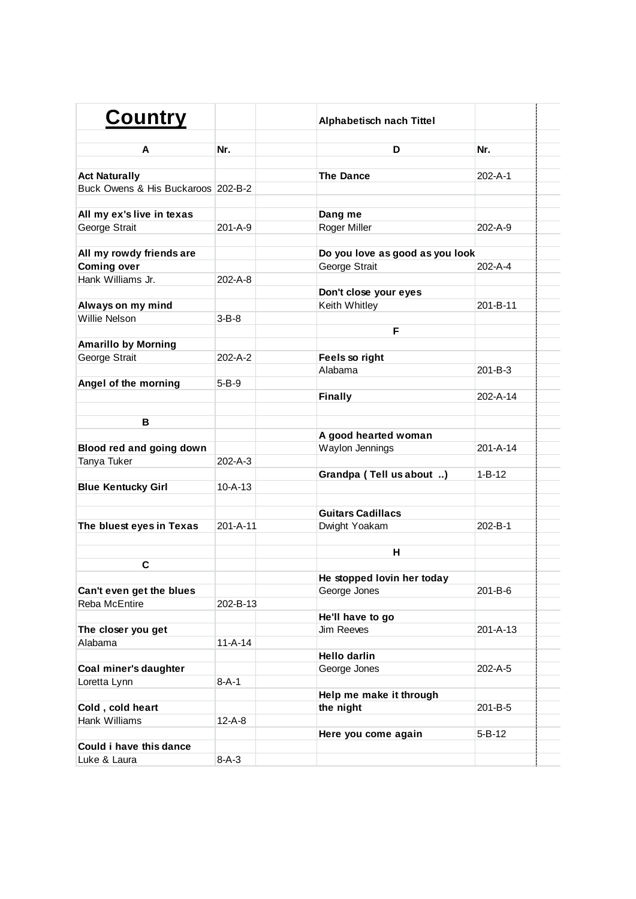| <b>Country</b>                     |               | Alphabetisch nach Tittel        |               |  |
|------------------------------------|---------------|---------------------------------|---------------|--|
| A                                  | Nr.           | D                               | Nr.           |  |
| <b>Act Naturally</b>               |               | <b>The Dance</b>                | 202-A-1       |  |
| Buck Owens & His Buckaroos 202-B-2 |               |                                 |               |  |
|                                    |               |                                 |               |  |
| All my ex's live in texas          |               | Dang me                         |               |  |
| George Strait                      | $201 - A - 9$ | Roger Miller                    | 202-A-9       |  |
|                                    |               |                                 |               |  |
| All my rowdy friends are           |               | Do you love as good as you look |               |  |
| <b>Coming over</b>                 |               | George Strait                   | 202-A-4       |  |
| Hank Williams Jr.                  | 202-A-8       |                                 |               |  |
|                                    |               | Don't close your eyes           |               |  |
| Always on my mind                  |               | Keith Whitley                   | 201-B-11      |  |
| Willie Nelson                      | $3 - B - 8$   |                                 |               |  |
|                                    |               | F                               |               |  |
| <b>Amarillo by Morning</b>         |               |                                 |               |  |
| George Strait                      | 202-A-2       | Feels so right                  |               |  |
|                                    |               | Alabama                         | $201 - B - 3$ |  |
| Angel of the morning               | $5 - B - 9$   |                                 |               |  |
|                                    |               | <b>Finally</b>                  | 202-A-14      |  |
|                                    |               |                                 |               |  |
| В                                  |               |                                 |               |  |
|                                    |               | A good hearted woman            |               |  |
| Blood red and going down           |               | Waylon Jennings                 | 201-A-14      |  |
| Tanya Tuker                        | 202-A-3       |                                 |               |  |
|                                    |               | Grandpa (Tell us about )        | $1 - B - 12$  |  |
| <b>Blue Kentucky Girl</b>          | $10 - A - 13$ |                                 |               |  |
|                                    |               |                                 |               |  |
|                                    |               | <b>Guitars Cadillacs</b>        |               |  |
| The bluest eyes in Texas           | 201-A-11      | Dwight Yoakam                   | 202-B-1       |  |
|                                    |               |                                 |               |  |
|                                    |               | н                               |               |  |
| C                                  |               |                                 |               |  |
|                                    |               | He stopped lovin her today      |               |  |
| Can't even get the blues           |               | George Jones                    | 201-B-6       |  |
| Reba McEntire                      | 202-B-13      |                                 |               |  |
|                                    |               | He'll have to go                |               |  |
| The closer you get                 |               | Jim Reeves                      | 201-A-13      |  |
| Alabama                            | $11 - A - 14$ |                                 |               |  |
|                                    |               | <b>Hello darlin</b>             |               |  |
| Coal miner's daughter              |               | George Jones                    | 202-A-5       |  |
| Loretta Lynn                       | $8 - A - 1$   |                                 |               |  |
|                                    |               | Help me make it through         |               |  |
| Cold, cold heart                   |               | the night                       | 201-B-5       |  |
| Hank Williams                      | $12 - A - 8$  |                                 |               |  |
|                                    |               | Here you come again             | 5-B-12        |  |
| Could i have this dance            |               |                                 |               |  |
| Luke & Laura                       | $8 - A - 3$   |                                 |               |  |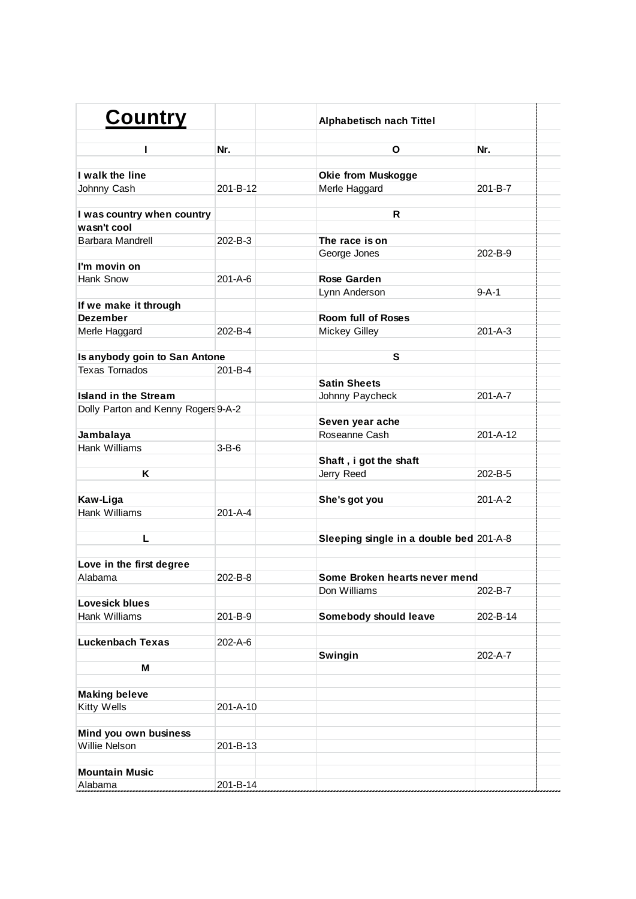| <b>Country</b>                      |               | <b>Alphabetisch nach Tittel</b>         |               |  |
|-------------------------------------|---------------|-----------------------------------------|---------------|--|
| ı                                   | Nr.           | O                                       | Nr.           |  |
| I walk the line                     |               | Okie from Muskogge                      |               |  |
| Johnny Cash                         | 201-B-12      | Merle Haggard                           | $201 - B - 7$ |  |
|                                     |               |                                         |               |  |
| I was country when country          |               | R                                       |               |  |
| wasn't cool                         |               |                                         |               |  |
| <b>Barbara Mandrell</b>             | 202-B-3       | The race is on                          |               |  |
|                                     |               | George Jones                            | 202-B-9       |  |
| I'm movin on                        |               |                                         |               |  |
| Hank Snow                           | $201 - A - 6$ | Rose Garden                             |               |  |
|                                     |               | Lynn Anderson                           | $9 - A - 1$   |  |
| If we make it through               |               |                                         |               |  |
| <b>Dezember</b>                     |               | <b>Room full of Roses</b>               |               |  |
| Merle Haggard                       | $202 - B - 4$ | <b>Mickey Gilley</b>                    | $201 - A - 3$ |  |
|                                     |               |                                         |               |  |
| Is anybody goin to San Antone       |               | S                                       |               |  |
| <b>Texas Tornados</b>               | $201 - B - 4$ |                                         |               |  |
|                                     |               | <b>Satin Sheets</b>                     |               |  |
| <b>Island in the Stream</b>         |               | Johnny Paycheck                         | $201 - A - 7$ |  |
| Dolly Parton and Kenny Rogers 9-A-2 |               |                                         |               |  |
|                                     |               | Seven year ache                         |               |  |
| Jambalaya                           |               | Roseanne Cash                           | 201-A-12      |  |
| Hank Williams                       | $3 - B - 6$   |                                         |               |  |
|                                     |               | Shaft, i got the shaft                  |               |  |
| Κ                                   |               | Jerry Reed                              | 202-B-5       |  |
|                                     |               |                                         |               |  |
| Kaw-Liga                            |               | She's got you                           | $201 - A - 2$ |  |
| Hank Williams                       | 201-A-4       |                                         |               |  |
|                                     |               |                                         |               |  |
| L                                   |               | Sleeping single in a double bed 201-A-8 |               |  |
|                                     |               |                                         |               |  |
| Love in the first degree            |               |                                         |               |  |
| Alabama                             | 202-B-8       | Some Broken hearts never mend           |               |  |
|                                     |               | Don Williams                            | 202-B-7       |  |
| Lovesick blues                      |               |                                         |               |  |
| Hank Williams                       | 201-B-9       | Somebody should leave                   | 202-B-14      |  |
|                                     |               |                                         |               |  |
| <b>Luckenbach Texas</b>             | 202-A-6       |                                         |               |  |
|                                     |               | Swingin                                 | 202-A-7       |  |
| M                                   |               |                                         |               |  |
|                                     |               |                                         |               |  |
| <b>Making beleve</b>                |               |                                         |               |  |
| <b>Kitty Wells</b>                  | 201-A-10      |                                         |               |  |
|                                     |               |                                         |               |  |
| Mind you own business               |               |                                         |               |  |
| Willie Nelson                       | 201-B-13      |                                         |               |  |
|                                     |               |                                         |               |  |
| <b>Mountain Music</b>               |               |                                         |               |  |
| Alabama                             | 201-B-14      |                                         |               |  |
|                                     |               |                                         |               |  |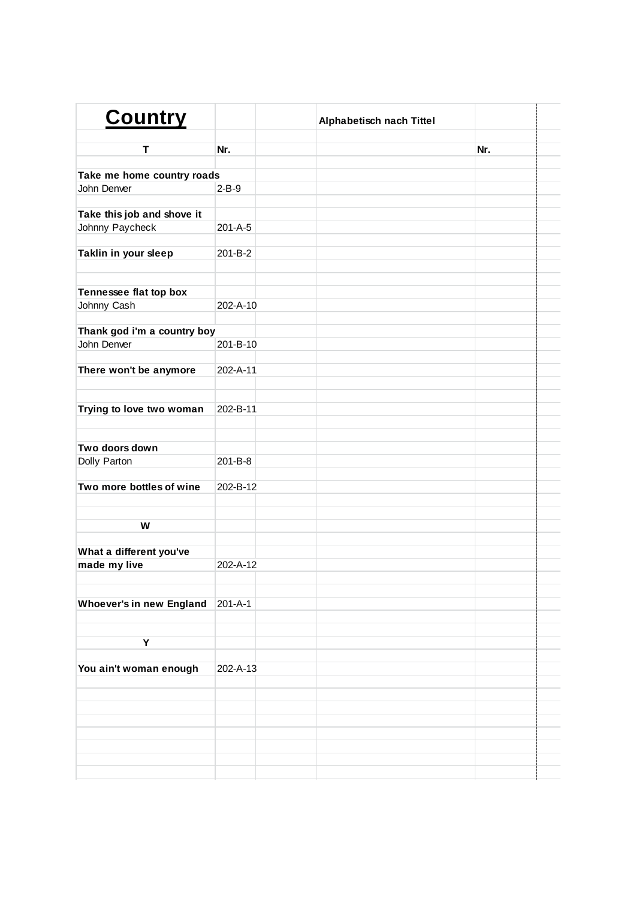| <b>Country</b>                  |               | Alphabetisch nach Tittel |     |  |
|---------------------------------|---------------|--------------------------|-----|--|
| Т                               | Nr.           |                          | Nr. |  |
|                                 |               |                          |     |  |
| Take me home country roads      |               |                          |     |  |
| John Denver                     | $2-B-9$       |                          |     |  |
|                                 |               |                          |     |  |
| Take this job and shove it      |               |                          |     |  |
| Johnny Paycheck                 | 201-A-5       |                          |     |  |
| Taklin in your sleep            | 201-B-2       |                          |     |  |
|                                 |               |                          |     |  |
|                                 |               |                          |     |  |
| Tennessee flat top box          |               |                          |     |  |
| Johnny Cash                     | 202-A-10      |                          |     |  |
|                                 |               |                          |     |  |
| Thank god i'm a country boy     |               |                          |     |  |
| John Denver                     | 201-B-10      |                          |     |  |
|                                 |               |                          |     |  |
| There won't be anymore          | 202-A-11      |                          |     |  |
|                                 |               |                          |     |  |
|                                 |               |                          |     |  |
| Trying to love two woman        | 202-B-11      |                          |     |  |
|                                 |               |                          |     |  |
|                                 |               |                          |     |  |
| Two doors down                  |               |                          |     |  |
| Dolly Parton                    | 201-B-8       |                          |     |  |
| Two more bottles of wine        | 202-B-12      |                          |     |  |
|                                 |               |                          |     |  |
|                                 |               |                          |     |  |
| W                               |               |                          |     |  |
|                                 |               |                          |     |  |
| What a different you've         |               |                          |     |  |
| made my live                    | 202-A-12      |                          |     |  |
|                                 |               |                          |     |  |
|                                 |               |                          |     |  |
| <b>Whoever's in new England</b> | $201 - A - 1$ |                          |     |  |
|                                 |               |                          |     |  |
|                                 |               |                          |     |  |
| Y                               |               |                          |     |  |
|                                 |               |                          |     |  |
| You ain't woman enough          | 202-A-13      |                          |     |  |
|                                 |               |                          |     |  |
|                                 |               |                          |     |  |
|                                 |               |                          |     |  |
|                                 |               |                          |     |  |
|                                 |               |                          |     |  |
|                                 |               |                          |     |  |
|                                 |               |                          |     |  |
|                                 |               |                          |     |  |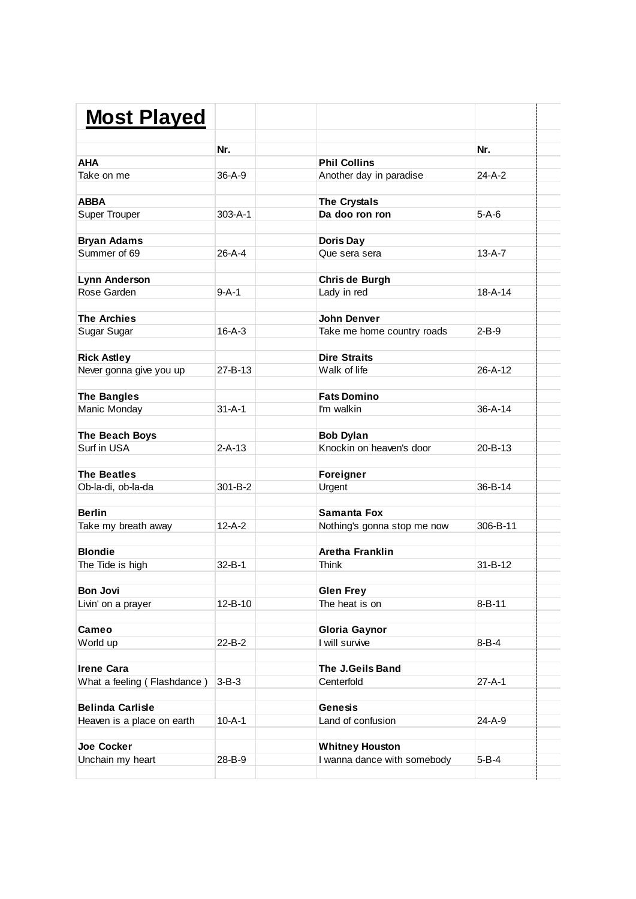| <b>Most Played</b>          |               |                             |               |
|-----------------------------|---------------|-----------------------------|---------------|
|                             |               |                             |               |
|                             | Nr.           |                             | Nr.           |
| <b>AHA</b>                  |               | <b>Phil Collins</b>         |               |
| Take on me                  | $36-A-9$      | Another day in paradise     | $24-A-2$      |
| <b>ABBA</b>                 |               | The Crystals                |               |
| <b>Super Trouper</b>        | $303 - A - 1$ | Da doo ron ron              | $5-A-6$       |
| <b>Bryan Adams</b>          |               | Doris Day                   |               |
| Summer of 69                | $26 - A - 4$  | Que sera sera               | $13-A-7$      |
| Lynn Anderson               |               | Chris de Burgh              |               |
| Rose Garden                 | $9 - A - 1$   | Lady in red                 | $18 - A - 14$ |
| <b>The Archies</b>          |               | <b>John Denver</b>          |               |
| Sugar Sugar                 | $16 - A - 3$  | Take me home country roads  | $2-B-9$       |
|                             |               |                             |               |
| <b>Rick Astley</b>          |               | <b>Dire Straits</b>         |               |
| Never gonna give you up     | $27 - B - 13$ | Walk of life                | 26-A-12       |
| <b>The Bangles</b>          |               | <b>Fats Domino</b>          |               |
| Manic Monday                | $31 - A - 1$  | I'm walkin                  | $36 - A - 14$ |
| The Beach Boys              |               | <b>Bob Dylan</b>            |               |
| Surf in USA                 | $2 - A - 13$  | Knockin on heaven's door    | $20 - B - 13$ |
| <b>The Beatles</b>          |               |                             |               |
|                             | $301 - B - 2$ | Foreigner                   | 36-B-14       |
| Ob-la-di, ob-la-da          |               | Urgent                      |               |
| <b>Berlin</b>               |               | Samanta Fox                 |               |
| Take my breath away         | $12 - A - 2$  | Nothing's gonna stop me now | 306-B-11      |
| <b>Blondie</b>              |               | <b>Aretha Franklin</b>      |               |
| The Tide is high            | $32 - B - 1$  | <b>Think</b>                | $31 - B - 12$ |
| <b>Bon Jovi</b>             |               | <b>Glen Frey</b>            |               |
| Livin' on a prayer          | 12-B-10       | The heat is on              | $8 - B - 11$  |
| Cameo                       |               | <b>Gloria Gaynor</b>        |               |
| World up                    | 22-B-2        | I will survive              | $8 - B - 4$   |
|                             |               |                             |               |
| <b>Irene Cara</b>           |               | The J.Geils Band            |               |
| What a feeling (Flashdance) | $3 - B - 3$   | Centerfold                  | $27 - A - 1$  |
| <b>Belinda Carlisle</b>     |               | <b>Genesis</b>              |               |
| Heaven is a place on earth  | $10 - A - 1$  | Land of confusion           | 24-A-9        |
| Joe Cocker                  |               | <b>Whitney Houston</b>      |               |
| Unchain my heart            | 28-B-9        | I wanna dance with somebody | $5 - B - 4$   |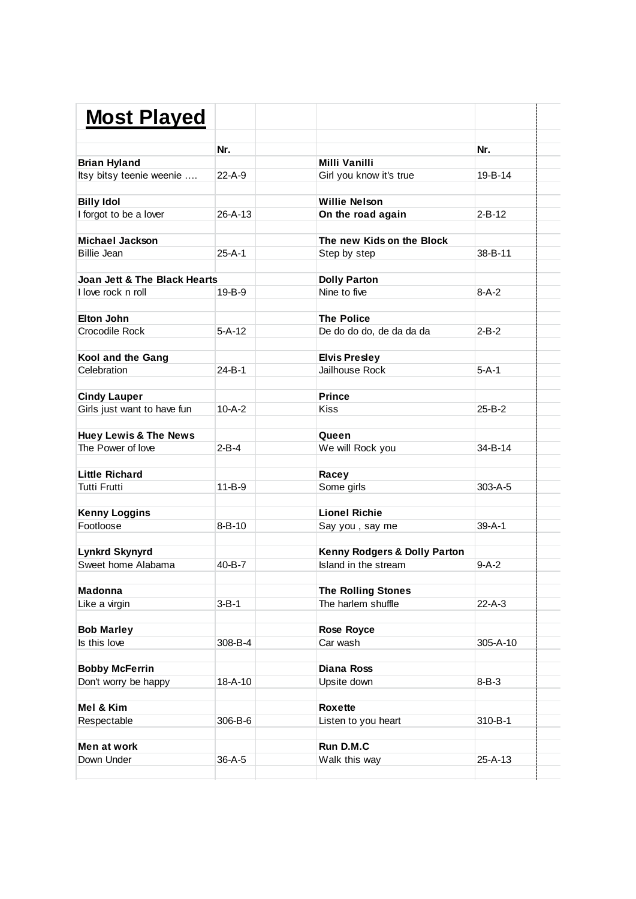| <b>Most Played</b>                                 |               |                              |               |
|----------------------------------------------------|---------------|------------------------------|---------------|
|                                                    |               |                              |               |
|                                                    | Nr.           |                              | Nr.           |
| <b>Brian Hyland</b>                                |               | <b>Milli Vanilli</b>         |               |
| Itsy bitsy teenie weenie                           | 22-A-9        | Girl you know it's true      | 19-B-14       |
| <b>Billy Idol</b>                                  |               | <b>Willie Nelson</b>         |               |
| I forgot to be a lover                             | $26 - A - 13$ | On the road again            | $2 - B - 12$  |
| <b>Michael Jackson</b>                             |               | The new Kids on the Block    |               |
| <b>Billie Jean</b>                                 | $25-A-1$      | Step by step                 | 38-B-11       |
| <b>Joan Jett &amp; The Black Hearts</b>            |               | <b>Dolly Parton</b>          |               |
| I love rock n roll                                 | $19 - B - 9$  | Nine to five                 | $8-A-2$       |
| <b>Elton John</b>                                  |               | <b>The Police</b>            |               |
| Crocodile Rock                                     | $5 - A - 12$  | De do do do, de da da da     | $2 - R - 2$   |
| Kool and the Gang                                  |               | <b>Elvis Presley</b>         |               |
| Celebration                                        | $24 - B - 1$  | Jailhouse Rock               | 5-A-1         |
|                                                    |               | <b>Prince</b>                |               |
| <b>Cindy Lauper</b><br>Girls just want to have fun | $10 - A - 2$  | <b>Kiss</b>                  | $25 - B - 2$  |
|                                                    |               |                              |               |
| <b>Huey Lewis &amp; The News</b>                   |               | Queen                        |               |
| The Power of love                                  | $2 - B - 4$   | We will Rock you             | 34-B-14       |
| <b>Little Richard</b>                              |               | Racey                        |               |
| <b>Tutti Frutti</b>                                | $11 - B - 9$  | Some girls                   | $303 - A - 5$ |
| <b>Kenny Loggins</b>                               |               | <b>Lionel Richie</b>         |               |
| Footloose                                          | $8 - B - 10$  | Say you, say me              | $39 - A - 1$  |
| <b>Lynkrd Skynyrd</b>                              |               | Kenny Rodgers & Dolly Parton |               |
| Sweet home Alabama                                 | $40 - B - 7$  | Island in the stream         | $9-A-2$       |
|                                                    |               |                              |               |
| <b>Madonna</b>                                     |               | <b>The Rolling Stones</b>    |               |
| Like a virgin                                      | $3 - B - 1$   | The harlem shuffle           | 22-A-3        |
| <b>Bob Marley</b>                                  |               | <b>Rose Royce</b>            |               |
| Is this love                                       | 308-B-4       | Car wash                     | 305-A-10      |
|                                                    |               |                              |               |
| <b>Bobby McFerrin</b>                              |               | <b>Diana Ross</b>            |               |
| Don't worry be happy                               | 18-A-10       | Upsite down                  | $8 - B - 3$   |
| Mel & Kim                                          |               | Roxette                      |               |
| Respectable                                        | 306-B-6       | Listen to you heart          | 310-B-1       |
| Men at work                                        |               | Run D.M.C                    |               |
|                                                    |               |                              |               |